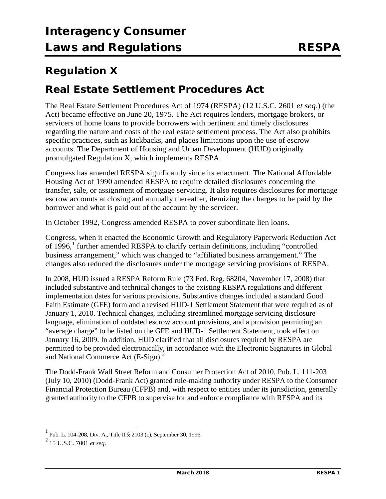## **Regulation X**

## **Real Estate Settlement Procedures Act**

The Real Estate Settlement Procedures Act of 1974 (RESPA) (12 U.S.C. 2601 *et seq*.) (the Act) became effective on June 20, 1975. The Act requires lenders, mortgage brokers, or servicers of home loans to provide borrowers with pertinent and timely disclosures regarding the nature and costs of the real estate settlement process. The Act also prohibits specific practices, such as kickbacks, and places limitations upon the use of escrow accounts. The Department of Housing and Urban Development (HUD) originally promulgated Regulation X, which implements RESPA.

Congress has amended RESPA significantly since its enactment. The National Affordable Housing Act of 1990 amended RESPA to require detailed disclosures concerning the transfer, sale, or assignment of mortgage servicing. It also requires disclosures for mortgage escrow accounts at closing and annually thereafter, itemizing the charges to be paid by the borrower and what is paid out of the account by the servicer.

In October 1992, Congress amended RESPA to cover subordinate lien loans.

Congress, when it enacted the Economic Growth and Regulatory Paperwork Reduction Act of  $1996$  $1996$ ,<sup>1</sup> further amended RESPA to clarify certain definitions, including "controlled business arrangement," which was changed to "affiliated business arrangement." The changes also reduced the disclosures under the mortgage servicing provisions of RESPA.

In 2008, HUD issued a RESPA Reform Rule (73 Fed. Reg. 68204, November 17, 2008) that included substantive and technical changes to the existing RESPA regulations and different implementation dates for various provisions. Substantive changes included a standard Good Faith Estimate (GFE) form and a revised HUD-1 Settlement Statement that were required as of January 1, 2010. Technical changes, including streamlined mortgage servicing disclosure language, elimination of outdated escrow account provisions, and a provision permitting an "average charge" to be listed on the GFE and HUD-1 Settlement Statement, took effect on January 16, 2009. In addition, HUD clarified that all disclosures required by RESPA are permitted to be provided electronically, in accordance with the Electronic Signatures in Global and National Commerce Act (E-Sign).<sup>[2](#page-0-1)</sup>

The Dodd-Frank Wall Street Reform and Consumer Protection Act of 2010, Pub. L. 111-203 (July 10, 2010) (Dodd-Frank Act) granted rule-making authority under RESPA to the Consumer Financial Protection Bureau (CFPB) and, with respect to entities under its jurisdiction, generally granted authority to the CFPB to supervise for and enforce compliance with RESPA and its

<span id="page-0-0"></span> $1$  Pub. L. 104-208, Div. A., Title II § 2103 (c), September 30, 1996.

<span id="page-0-1"></span><sup>2</sup> 15 U.S.C. 7001 *et seq*.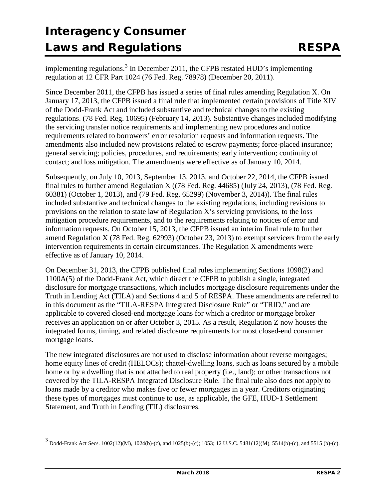implementing regulations.<sup>[3](#page-1-0)</sup> In December 2011, the CFPB restated HUD's implementing regulation at 12 CFR Part 1024 (76 Fed. Reg. 78978) (December 20, 2011).

Since December 2011, the CFPB has issued a series of final rules amending Regulation X. On January 17, 2013, the CFPB issued a final rule that implemented certain provisions of Title XIV of the Dodd-Frank Act and included substantive and technical changes to the existing regulations. (78 Fed. Reg. 10695) (February 14, 2013). Substantive changes included modifying the servicing transfer notice requirements and implementing new procedures and notice requirements related to borrowers' error resolution requests and information requests. The amendments also included new provisions related to escrow payments; force-placed insurance; general servicing; policies, procedures, and requirements; early intervention; continuity of contact; and loss mitigation. The amendments were effective as of January 10, 2014.

Subsequently, on July 10, 2013, September 13, 2013, and October 22, 2014, the CFPB issued final rules to further amend Regulation X ((78 Fed. Reg. 44685) (July 24, 2013), (78 Fed. Reg. 60381) (October 1, 2013), and (79 Fed. Reg. 65299) (November 3, 2014)). The final rules included substantive and technical changes to the existing regulations, including revisions to provisions on the relation to state law of Regulation X's servicing provisions, to the loss mitigation procedure requirements, and to the requirements relating to notices of error and information requests. On October 15, 2013, the CFPB issued an interim final rule to further amend Regulation X (78 Fed. Reg. 62993) (October 23, 2013) to exempt servicers from the early intervention requirements in certain circumstances. The Regulation X amendments were effective as of January 10, 2014.

On December 31, 2013, the CFPB published final rules implementing Sections 1098(2) and 1100A(5) of the Dodd-Frank Act, which direct the CFPB to publish a single, integrated disclosure for mortgage transactions, which includes mortgage disclosure requirements under the Truth in Lending Act (TILA) and Sections 4 and 5 of RESPA. These amendments are referred to in this document as the "TILA-RESPA Integrated Disclosure Rule" or "TRID," and are applicable to covered closed-end mortgage loans for which a creditor or mortgage broker receives an application on or after October 3, 2015. As a result, Regulation Z now houses the integrated forms, timing, and related disclosure requirements for most closed-end consumer mortgage loans.

The new integrated disclosures are not used to disclose information about reverse mortgages; home equity lines of credit (HELOCs); chattel-dwelling loans, such as loans secured by a mobile home or by a dwelling that is not attached to real property (i.e., land); or other transactions not covered by the TILA-RESPA Integrated Disclosure Rule. The final rule also does not apply to loans made by a creditor who makes five or fewer mortgages in a year. Creditors originating these types of mortgages must continue to use, as applicable, the GFE, HUD-1 Settlement Statement, and Truth in Lending (TIL) disclosures.

j

<span id="page-1-0"></span> $3$  Dodd-Frank Act Secs. 1002(12)(M), 1024(b)-(c), and 1025(b)-(c); 1053; 12 U.S.C. 5481(12)(M), 5514(b)-(c), and 5515 (b)-(c).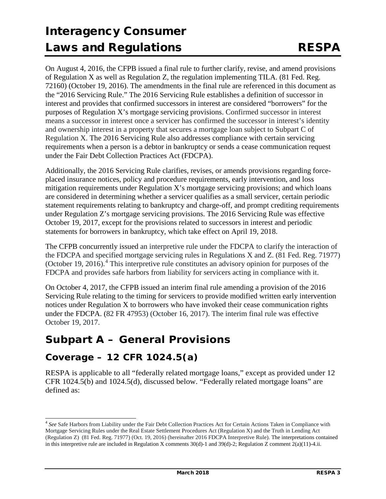On August 4, 2016, the CFPB issued a final rule to further clarify, revise, and amend provisions of Regulation X as well as Regulation Z, the regulation implementing TILA. (81 Fed. Reg. 72160) (October 19, 2016). The amendments in the final rule are referenced in this document as the "2016 Servicing Rule." The 2016 Servicing Rule establishes a definition of successor in interest and provides that confirmed successors in interest are considered "borrowers" for the purposes of Regulation X's mortgage servicing provisions. Confirmed successor in interest means a successor in interest once a servicer has confirmed the successor in interest's identity and ownership interest in a property that secures a mortgage loan subject to Subpart C of Regulation X. The 2016 Servicing Rule also addresses compliance with certain servicing requirements when a person is a debtor in bankruptcy or sends a cease communication request under the Fair Debt Collection Practices Act (FDCPA).

Additionally, the 2016 Servicing Rule clarifies, revises, or amends provisions regarding forceplaced insurance notices, policy and procedure requirements, early intervention, and loss mitigation requirements under Regulation X's mortgage servicing provisions; and which loans are considered in determining whether a servicer qualifies as a small servicer, certain periodic statement requirements relating to bankruptcy and charge-off, and prompt crediting requirements under Regulation Z's mortgage servicing provisions. The 2016 Servicing Rule was effective October 19, 2017, except for the provisions related to successors in interest and periodic statements for borrowers in bankruptcy, which take effect on April 19, 2018.

The CFPB concurrently issued an interpretive rule under the FDCPA to clarify the interaction of the FDCPA and specified mortgage servicing rules in Regulations X and Z. (81 Fed. Reg. 71977) (October 19, 2016).<sup>[4](#page-2-0)</sup> This interpretive rule constitutes an advisory opinion for purposes of the FDCPA and provides safe harbors from liability for servicers acting in compliance with it.

On October 4, 2017, the CFPB issued an interim final rule amending a provision of the 2016 Servicing Rule relating to the timing for servicers to provide modified written early intervention notices under Regulation X to borrowers who have invoked their cease communication rights under the FDCPA. (82 FR 47953) (October 16, 2017). The interim final rule was effective October 19, 2017.

## **Subpart A – General Provisions**

## **Coverage – 12 CFR 1024.5(a)**

RESPA is applicable to all "federally related mortgage loans," except as provided under 12 CFR 1024.5(b) and 1024.5(d), discussed below. "Federally related mortgage loans" are defined as:

<span id="page-2-0"></span> <sup>4</sup> *See* Safe Harbors from Liability under the Fair Debt Collection Practices Act for Certain Actions Taken in Compliance with Mortgage Servicing Rules under the Real Estate Settlement Procedures Act (Regulation X) and the Truth in Lending Act (Regulation Z) (81 Fed. Reg. 71977) (Oct. 19, 2016) (hereinafter 2016 FDCPA Interpretive Rule). The interpretations contained in this interpretive rule are included in Regulation X comments 30(d)-1 and 39(d)-2; Regulation Z comment 2(a)(11)-4.ii.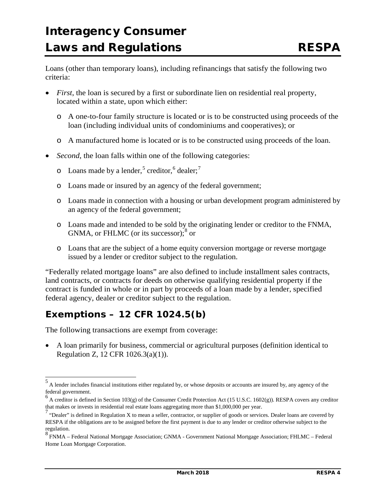Loans (other than temporary loans), including refinancings that satisfy the following two criteria:

- *First*, the loan is secured by a first or subordinate lien on residential real property, located within a state, upon which either:
	- o A one-to-four family structure is located or is to be constructed using proceeds of the loan (including individual units of condominiums and cooperatives); or
	- o A manufactured home is located or is to be constructed using proceeds of the loan.
- *Second*, the loan falls within one of the following categories:
	- $\circ$  Loans made by a lender,<sup>[5](#page-3-0)</sup> creditor,<sup>[6](#page-3-1)</sup> dealer;<sup>[7](#page-3-2)</sup>
	- o Loans made or insured by an agency of the federal government;
	- o Loans made in connection with a housing or urban development program administered by an agency of the federal government;
	- o Loans made and intended to be sold by the originating lender or creditor to the FNMA, GNMA, or FHLMC (or its successor); $8 \text{ or }$  $8 \text{ or }$
	- o Loans that are the subject of a home equity conversion mortgage or reverse mortgage issued by a lender or creditor subject to the regulation.

"Federally related mortgage loans" are also defined to include installment sales contracts, land contracts, or contracts for deeds on otherwise qualifying residential property if the contract is funded in whole or in part by proceeds of a loan made by a lender, specified federal agency, dealer or creditor subject to the regulation.

## **Exemptions – 12 CFR 1024.5(b)**

The following transactions are exempt from coverage:

• A loan primarily for business, commercial or agricultural purposes (definition identical to Regulation Z, 12 CFR 1026.3(a)(1)).

<span id="page-3-0"></span> <sup>5</sup> A lender includes financial institutions either regulated by, or whose deposits or accounts are insured by, any agency of the federal government.

<span id="page-3-1"></span> $<sup>6</sup>$  A creditor is defined in Section 103(g) of the Consumer Credit Protection Act (15 U.S.C. 1602(g)). RESPA covers any creditor</sup> that makes or invests in residential real estate loans aggregating more than \$1,000,000 per year.

<span id="page-3-2"></span> $^7$  "Dealer" is defined in Regulation X to mean a seller, contractor, or supplier of goods or services. Dealer loans are covered by RESPA if the obligations are to be assigned before the first payment is due to any lender or creditor otherwise subject to the regulation.

<span id="page-3-3"></span><sup>8</sup> FNMA – Federal National Mortgage Association; GNMA - Government National Mortgage Association; FHLMC – Federal Home Loan Mortgage Corporation.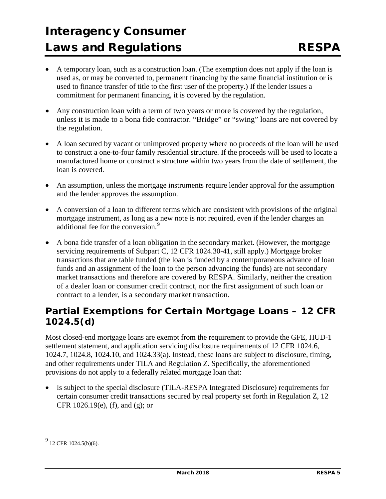- A temporary loan, such as a construction loan. (The exemption does not apply if the loan is used as, or may be converted to, permanent financing by the same financial institution or is used to finance transfer of title to the first user of the property.) If the lender issues a commitment for permanent financing, it is covered by the regulation.
- Any construction loan with a term of two years or more is covered by the regulation, unless it is made to a bona fide contractor. "Bridge" or "swing" loans are not covered by the regulation.
- A loan secured by vacant or unimproved property where no proceeds of the loan will be used to construct a one-to-four family residential structure. If the proceeds will be used to locate a manufactured home or construct a structure within two years from the date of settlement, the loan is covered.
- An assumption, unless the mortgage instruments require lender approval for the assumption and the lender approves the assumption.
- A conversion of a loan to different terms which are consistent with provisions of the original mortgage instrument, as long as a new note is not required, even if the lender charges an additional fee for the conversion.<sup>[9](#page-4-0)</sup>
- A bona fide transfer of a loan obligation in the secondary market. (However, the mortgage servicing requirements of Subpart C, 12 CFR 1024.30-41, still apply.) Mortgage broker transactions that are table funded (the loan is funded by a contemporaneous advance of loan funds and an assignment of the loan to the person advancing the funds) are not secondary market transactions and therefore are covered by RESPA. Similarly, neither the creation of a dealer loan or consumer credit contract, nor the first assignment of such loan or contract to a lender, is a secondary market transaction.

## **Partial Exemptions for Certain Mortgage Loans – 12 CFR 1024.5(d)**

Most closed-end mortgage loans are exempt from the requirement to provide the GFE, HUD-1 settlement statement, and application servicing disclosure requirements of 12 CFR 1024.6, 1024.7, 1024.8, 1024.10, and 1024.33(a). Instead, these loans are subject to disclosure, timing, and other requirements under TILA and Regulation Z. Specifically, the aforementioned provisions do not apply to a federally related mortgage loan that:

• Is subject to the special disclosure (TILA-RESPA Integrated Disclosure) requirements for certain consumer credit transactions secured by real property set forth in Regulation Z, 12 CFR 1026.19(e), (f), and (g); or

j

<span id="page-4-0"></span> $^{9}$  12 CFR 1024.5(b)(6).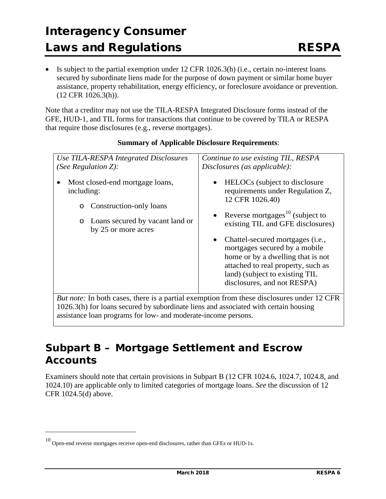• Is subject to the partial exemption under 12 CFR 1026.3(h) (i.e., certain no-interest loans secured by subordinate liens made for the purpose of down payment or similar home buyer assistance, property rehabilitation, energy efficiency, or foreclosure avoidance or prevention. (12 CFR 1026.3(h)).

Note that a creditor may not use the TILA-RESPA Integrated Disclosure forms instead of the GFE, HUD-1, and TIL forms for transactions that continue to be covered by TILA or RESPA that require those disclosures (e.g., reverse mortgages).

| Use TILA-RESPA Integrated Disclosures                                                                                                                    | Continue to use existing TIL, RESPA                                                                                                                                                                                                                                                                                                                                                                                             |
|----------------------------------------------------------------------------------------------------------------------------------------------------------|---------------------------------------------------------------------------------------------------------------------------------------------------------------------------------------------------------------------------------------------------------------------------------------------------------------------------------------------------------------------------------------------------------------------------------|
| (See Regulation $Z$ ):                                                                                                                                   | Disclosures (as applicable):                                                                                                                                                                                                                                                                                                                                                                                                    |
| Most closed-end mortgage loans,<br>including:<br>Construction-only loans<br>$\circ$<br>Loans secured by vacant land or<br>$\circ$<br>by 25 or more acres | HELOCs (subject to disclosure)<br>$\bullet$<br>requirements under Regulation Z,<br>12 CFR 1026.40)<br>• Reverse mortgages <sup>10</sup> (subject to<br>existing TIL and GFE disclosures)<br>Chattel-secured mortgages ( <i>i.e.</i> ,<br>$\bullet$<br>mortgages secured by a mobile<br>home or by a dwelling that is not<br>attached to real property, such as<br>land) (subject to existing TIL<br>disclosures, and not RESPA) |

#### **Summary of Applicable Disclosure Requirements**:

*But note:* In both cases, there is a partial exemption from these disclosures under 12 CFR 1026.3(h) for loans secured by subordinate liens and associated with certain housing assistance loan programs for low- and moderate-income persons.

## **Subpart B – Mortgage Settlement and Escrow Accounts**

Examiners should note that certain provisions in Subpart B (12 CFR 1024.6, 1024.7, 1024.8, and 1024.10) are applicable only to limited categories of mortgage loans. *See* the discussion of 12 CFR 1024.5(d) above.

j

<span id="page-5-0"></span><sup>10</sup> Open-end reverse mortgages receive open-end disclosures, rather than GFEs or HUD-1s.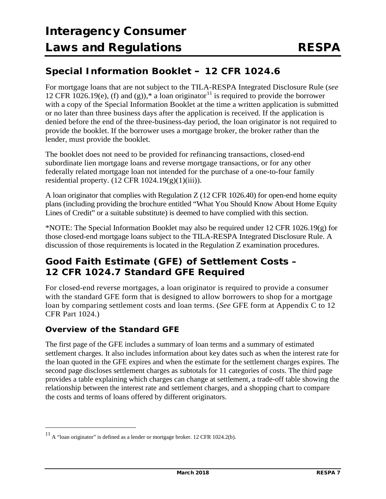## **Special Information Booklet – 12 CFR 1024.6**

For mortgage loans that are not subject to the TILA-RESPA Integrated Disclosure Rule (*see* 12 CFR 1026.19(e), (f) and (g)),\* a loan originator<sup>[11](#page-6-0)</sup> is required to provide the borrower with a copy of the Special Information Booklet at the time a written application is submitted or no later than three business days after the application is received. If the application is denied before the end of the three-business-day period, the loan originator is not required to provide the booklet. If the borrower uses a mortgage broker, the broker rather than the lender, must provide the booklet.

The booklet does not need to be provided for refinancing transactions, closed-end subordinate lien mortgage loans and reverse mortgage transactions, or for any other federally related mortgage loan not intended for the purchase of a one-to-four family residential property.  $(12 \text{ CFR } 1024.19(g)(1)(iii))$ .

A loan originator that complies with Regulation Z (12 CFR 1026.40) for open-end home equity plans (including providing the brochure entitled "What You Should Know About Home Equity Lines of Credit" or a suitable substitute) is deemed to have complied with this section.

\*NOTE: The Special Information Booklet may also be required under 12 CFR 1026.19(g) for those closed-end mortgage loans subject to the TILA-RESPA Integrated Disclosure Rule. A discussion of those requirements is located in the Regulation Z examination procedures.

## **Good Faith Estimate (GFE) of Settlement Costs – 12 CFR 1024.7 Standard GFE Required**

For closed-end reverse mortgages, a loan originator is required to provide a consumer with the standard GFE form that is designed to allow borrowers to shop for a mortgage loan by comparing settlement costs and loan terms. (*See* GFE form at Appendix C to 12 CFR Part 1024.)

### **Overview of the Standard GFE**

 $\overline{a}$ 

The first page of the GFE includes a summary of loan terms and a summary of estimated settlement charges. It also includes information about key dates such as when the interest rate for the loan quoted in the GFE expires and when the estimate for the settlement charges expires. The second page discloses settlement charges as subtotals for 11 categories of costs. The third page provides a table explaining which charges can change at settlement, a trade-off table showing the relationship between the interest rate and settlement charges, and a shopping chart to compare the costs and terms of loans offered by different originators.

<span id="page-6-0"></span> $11$  A "loan originator" is defined as a lender or mortgage broker. 12 CFR 1024.2(b).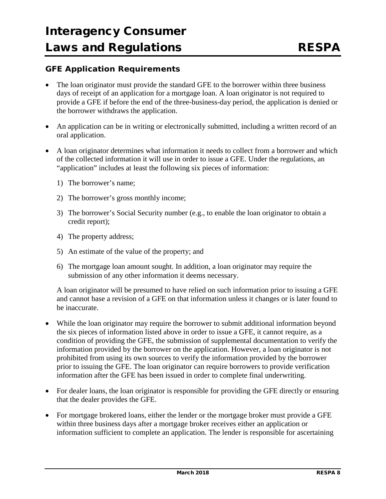#### **GFE Application Requirements**

- The loan originator must provide the standard GFE to the borrower within three business days of receipt of an application for a mortgage loan. A loan originator is not required to provide a GFE if before the end of the three-business-day period, the application is denied or the borrower withdraws the application.
- An application can be in writing or electronically submitted, including a written record of an oral application.
- A loan originator determines what information it needs to collect from a borrower and which of the collected information it will use in order to issue a GFE. Under the regulations, an "application" includes at least the following six pieces of information:
	- 1) The borrower's name;
	- 2) The borrower's gross monthly income;
	- 3) The borrower's Social Security number (e.g., to enable the loan originator to obtain a credit report);
	- 4) The property address;
	- 5) An estimate of the value of the property; and
	- 6) The mortgage loan amount sought. In addition, a loan originator may require the submission of any other information it deems necessary.

A loan originator will be presumed to have relied on such information prior to issuing a GFE and cannot base a revision of a GFE on that information unless it changes or is later found to be inaccurate.

- While the loan originator may require the borrower to submit additional information beyond the six pieces of information listed above in order to issue a GFE, it cannot require, as a condition of providing the GFE, the submission of supplemental documentation to verify the information provided by the borrower on the application. However, a loan originator is not prohibited from using its own sources to verify the information provided by the borrower prior to issuing the GFE. The loan originator can require borrowers to provide verification information after the GFE has been issued in order to complete final underwriting.
- For dealer loans, the loan originator is responsible for providing the GFE directly or ensuring that the dealer provides the GFE.
- For mortgage brokered loans, either the lender or the mortgage broker must provide a GFE within three business days after a mortgage broker receives either an application or information sufficient to complete an application. The lender is responsible for ascertaining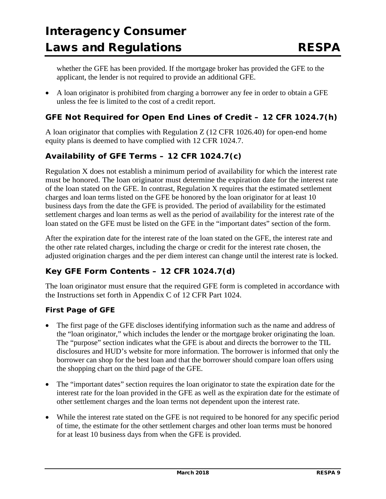whether the GFE has been provided. If the mortgage broker has provided the GFE to the applicant, the lender is not required to provide an additional GFE.

• A loan originator is prohibited from charging a borrower any fee in order to obtain a GFE unless the fee is limited to the cost of a credit report.

### **GFE Not Required for Open End Lines of Credit – 12 CFR 1024.7(h)**

A loan originator that complies with Regulation Z (12 CFR 1026.40) for open-end home equity plans is deemed to have complied with 12 CFR 1024.7.

### **Availability of GFE Terms – 12 CFR 1024.7(c)**

Regulation X does not establish a minimum period of availability for which the interest rate must be honored. The loan originator must determine the expiration date for the interest rate of the loan stated on the GFE. In contrast, Regulation X requires that the estimated settlement charges and loan terms listed on the GFE be honored by the loan originator for at least 10 business days from the date the GFE is provided. The period of availability for the estimated settlement charges and loan terms as well as the period of availability for the interest rate of the loan stated on the GFE must be listed on the GFE in the "important dates" section of the form.

After the expiration date for the interest rate of the loan stated on the GFE, the interest rate and the other rate related charges, including the charge or credit for the interest rate chosen, the adjusted origination charges and the per diem interest can change until the interest rate is locked.

### **Key GFE Form Contents – 12 CFR 1024.7(d)**

The loan originator must ensure that the required GFE form is completed in accordance with the Instructions set forth in Appendix C of 12 CFR Part 1024.

### *First Page of GFE*

- The first page of the GFE discloses identifying information such as the name and address of the "loan originator," which includes the lender or the mortgage broker originating the loan. The "purpose" section indicates what the GFE is about and directs the borrower to the TIL disclosures and HUD's website for more information. The borrower is informed that only the borrower can shop for the best loan and that the borrower should compare loan offers using the shopping chart on the third page of the GFE.
- The "important dates" section requires the loan originator to state the expiration date for the interest rate for the loan provided in the GFE as well as the expiration date for the estimate of other settlement charges and the loan terms not dependent upon the interest rate.
- While the interest rate stated on the GFE is not required to be honored for any specific period of time, the estimate for the other settlement charges and other loan terms must be honored for at least 10 business days from when the GFE is provided.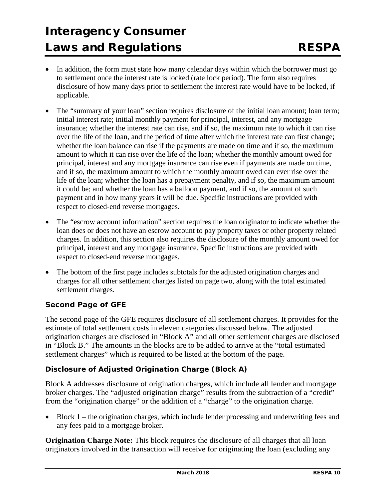- In addition, the form must state how many calendar days within which the borrower must go to settlement once the interest rate is locked (rate lock period). The form also requires disclosure of how many days prior to settlement the interest rate would have to be locked, if applicable.
- The "summary of your loan" section requires disclosure of the initial loan amount; loan term; initial interest rate; initial monthly payment for principal, interest, and any mortgage insurance; whether the interest rate can rise, and if so, the maximum rate to which it can rise over the life of the loan, and the period of time after which the interest rate can first change; whether the loan balance can rise if the payments are made on time and if so, the maximum amount to which it can rise over the life of the loan; whether the monthly amount owed for principal, interest and any mortgage insurance can rise even if payments are made on time, and if so, the maximum amount to which the monthly amount owed can ever rise over the life of the loan; whether the loan has a prepayment penalty, and if so, the maximum amount it could be; and whether the loan has a balloon payment, and if so, the amount of such payment and in how many years it will be due. Specific instructions are provided with respect to closed-end reverse mortgages.
- The "escrow account information" section requires the loan originator to indicate whether the loan does or does not have an escrow account to pay property taxes or other property related charges. In addition, this section also requires the disclosure of the monthly amount owed for principal, interest and any mortgage insurance. Specific instructions are provided with respect to closed-end reverse mortgages.
- The bottom of the first page includes subtotals for the adjusted origination charges and charges for all other settlement charges listed on page two, along with the total estimated settlement charges.

### *Second Page of GFE*

The second page of the GFE requires disclosure of all settlement charges. It provides for the estimate of total settlement costs in eleven categories discussed below. The adjusted origination charges are disclosed in "Block A" and all other settlement charges are disclosed in "Block B." The amounts in the blocks are to be added to arrive at the "total estimated settlement charges" which is required to be listed at the bottom of the page.

### *Disclosure of Adjusted Origination Charge (Block A)*

Block A addresses disclosure of origination charges, which include all lender and mortgage broker charges. The "adjusted origination charge" results from the subtraction of a "credit" from the "origination charge" or the addition of a "charge" to the origination charge.

• Block 1 – the origination charges, which include lender processing and underwriting fees and any fees paid to a mortgage broker.

**Origination Charge Note:** This block requires the disclosure of all charges that all loan originators involved in the transaction will receive for originating the loan (excluding any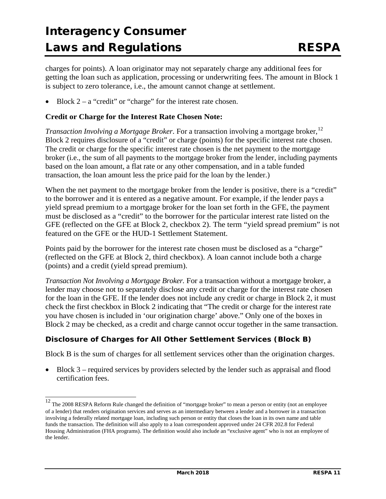charges for points). A loan originator may not separately charge any additional fees for getting the loan such as application, processing or underwriting fees. The amount in Block 1 is subject to zero tolerance, i.e., the amount cannot change at settlement.

Block  $2 - a$  "credit" or "charge" for the interest rate chosen.

#### **Credit or Charge for the Interest Rate Chosen Note:**

*Transaction Involving a Mortgage Broker*. For a transaction involving a mortgage broker,<sup>[12](#page-10-0)</sup> Block 2 requires disclosure of a "credit" or charge (points) for the specific interest rate chosen. The credit or charge for the specific interest rate chosen is the net payment to the mortgage broker (i.e., the sum of all payments to the mortgage broker from the lender, including payments based on the loan amount, a flat rate or any other compensation, and in a table funded transaction, the loan amount less the price paid for the loan by the lender.)

When the net payment to the mortgage broker from the lender is positive, there is a "credit" to the borrower and it is entered as a negative amount. For example, if the lender pays a yield spread premium to a mortgage broker for the loan set forth in the GFE, the payment must be disclosed as a "credit" to the borrower for the particular interest rate listed on the GFE (reflected on the GFE at Block 2, checkbox 2). The term "yield spread premium" is not featured on the GFE or the HUD-1 Settlement Statement.

Points paid by the borrower for the interest rate chosen must be disclosed as a "charge" (reflected on the GFE at Block 2, third checkbox). A loan cannot include both a charge (points) and a credit (yield spread premium).

*Transaction Not Involving a Mortgage Broker.* For a transaction without a mortgage broker, a lender may choose not to separately disclose any credit or charge for the interest rate chosen for the loan in the GFE. If the lender does not include any credit or charge in Block 2, it must check the first checkbox in Block 2 indicating that "The credit or charge for the interest rate you have chosen is included in 'our origination charge' above." Only one of the boxes in Block 2 may be checked, as a credit and charge cannot occur together in the same transaction.

### *Disclosure of Charges for All Other Settlement Services (Block B)*

Block B is the sum of charges for all settlement services other than the origination charges.

• Block 3 – required services by providers selected by the lender such as appraisal and flood certification fees.

<span id="page-10-0"></span> $\frac{12}{12}$  The 2008 RESPA Reform Rule changed the definition of "mortgage broker" to mean a person or entity (not an employee of a lender) that renders origination services and serves as an intermediary between a lender and a borrower in a transaction involving a federally related mortgage loan, including such person or entity that closes the loan in its own name and table funds the transaction. The definition will also apply to a loan correspondent approved under 24 CFR 202.8 for Federal Housing Administration (FHA programs). The definition would also include an "exclusive agent" who is not an employee of the lender.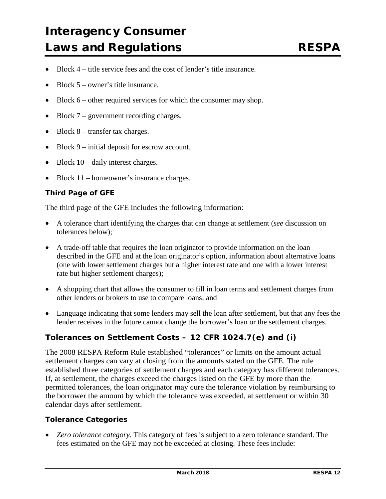- Block 4 title service fees and the cost of lender's title insurance.
- Block 5 owner's title insurance.
- Block  $6$  other required services for which the consumer may shop.
- Block 7 government recording charges.
- Block  $8$  transfer tax charges.
- Block 9 initial deposit for escrow account.
- Block  $10 -$  daily interest charges.
- Block 11 homeowner's insurance charges.

#### *Third Page of GFE*

The third page of the GFE includes the following information:

- A tolerance chart identifying the charges that can change at settlement (*see* discussion on tolerances below);
- A trade-off table that requires the loan originator to provide information on the loan described in the GFE and at the loan originator's option, information about alternative loans (one with lower settlement charges but a higher interest rate and one with a lower interest rate but higher settlement charges);
- A shopping chart that allows the consumer to fill in loan terms and settlement charges from other lenders or brokers to use to compare loans; and
- Language indicating that some lenders may sell the loan after settlement, but that any fees the lender receives in the future cannot change the borrower's loan or the settlement charges.

#### **Tolerances on Settlement Costs – 12 CFR 1024.7(e) and (i)**

The 2008 RESPA Reform Rule established "tolerances" or limits on the amount actual settlement charges can vary at closing from the amounts stated on the GFE. The rule established three categories of settlement charges and each category has different tolerances. If, at settlement, the charges exceed the charges listed on the GFE by more than the permitted tolerances, the loan originator may cure the tolerance violation by reimbursing to the borrower the amount by which the tolerance was exceeded, at settlement or within 30 calendar days after settlement.

#### *Tolerance Categories*

• *Zero tolerance category.* This category of fees is subject to a zero tolerance standard. The fees estimated on the GFE may not be exceeded at closing. These fees include: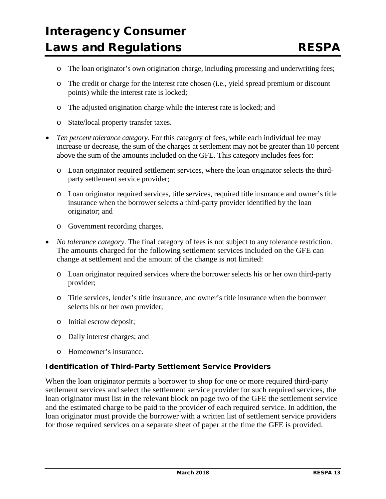- o The loan originator's own origination charge, including processing and underwriting fees;
- o The credit or charge for the interest rate chosen (i.e., yield spread premium or discount points) while the interest rate is locked;
- o The adjusted origination charge while the interest rate is locked; and
- o State/local property transfer taxes.
- *Ten percent tolerance category.* For this category of fees, while each individual fee may increase or decrease, the sum of the charges at settlement may not be greater than 10 percent above the sum of the amounts included on the GFE. This category includes fees for:
	- o Loan originator required settlement services, where the loan originator selects the thirdparty settlement service provider;
	- o Loan originator required services, title services, required title insurance and owner's title insurance when the borrower selects a third-party provider identified by the loan originator; and
	- o Government recording charges.
- *No tolerance category*. The final category of fees is not subject to any tolerance restriction. The amounts charged for the following settlement services included on the GFE can change at settlement and the amount of the change is not limited:
	- o Loan originator required services where the borrower selects his or her own third-party provider;
	- o Title services, lender's title insurance, and owner's title insurance when the borrower selects his or her own provider;
	- o Initial escrow deposit;
	- o Daily interest charges; and
	- o Homeowner's insurance.

#### *Identification of Third-Party Settlement Service Providers*

When the loan originator permits a borrower to shop for one or more required third-party settlement services and select the settlement service provider for such required services, the loan originator must list in the relevant block on page two of the GFE the settlement service and the estimated charge to be paid to the provider of each required service. In addition, the loan originator must provide the borrower with a written list of settlement service providers for those required services on a separate sheet of paper at the time the GFE is provided.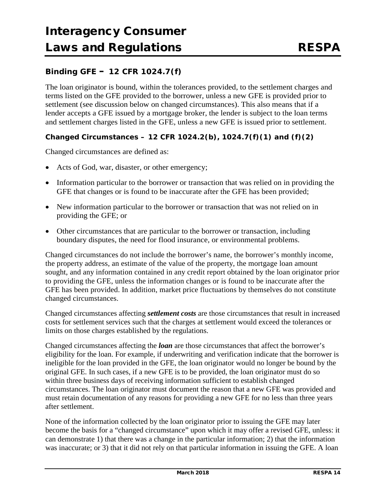### **Binding GFE – 12 CFR 1024.7(f)**

The loan originator is bound, within the tolerances provided, to the settlement charges and terms listed on the GFE provided to the borrower, unless a new GFE is provided prior to settlement (see discussion below on changed circumstances). This also means that if a lender accepts a GFE issued by a mortgage broker, the lender is subject to the loan terms and settlement charges listed in the GFE, unless a new GFE is issued prior to settlement.

#### *Changed Circumstances – 12 CFR 1024.2(b), 1024.7(f)(1) and (f)(2)*

Changed circumstances are defined as:

- Acts of God, war, disaster, or other emergency;
- Information particular to the borrower or transaction that was relied on in providing the GFE that changes or is found to be inaccurate after the GFE has been provided;
- New information particular to the borrower or transaction that was not relied on in providing the GFE; or
- Other circumstances that are particular to the borrower or transaction, including boundary disputes, the need for flood insurance, or environmental problems.

Changed circumstances do not include the borrower's name, the borrower's monthly income, the property address, an estimate of the value of the property, the mortgage loan amount sought, and any information contained in any credit report obtained by the loan originator prior to providing the GFE, unless the information changes or is found to be inaccurate after the GFE has been provided. In addition, market price fluctuations by themselves do not constitute changed circumstances.

Changed circumstances affecting *settlement costs* are those circumstances that result in increased costs for settlement services such that the charges at settlement would exceed the tolerances or limits on those charges established by the regulations.

Changed circumstances affecting the *loan* are those circumstances that affect the borrower's eligibility for the loan. For example, if underwriting and verification indicate that the borrower is ineligible for the loan provided in the GFE, the loan originator would no longer be bound by the original GFE. In such cases, if a new GFE is to be provided, the loan originator must do so within three business days of receiving information sufficient to establish changed circumstances. The loan originator must document the reason that a new GFE was provided and must retain documentation of any reasons for providing a new GFE for no less than three years after settlement.

None of the information collected by the loan originator prior to issuing the GFE may later become the basis for a "changed circumstance" upon which it may offer a revised GFE, unless: it can demonstrate 1) that there was a change in the particular information; 2) that the information was inaccurate; or 3) that it did not rely on that particular information in issuing the GFE. A loan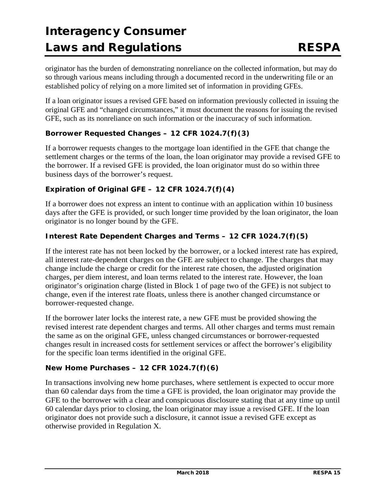originator has the burden of demonstrating nonreliance on the collected information, but may do so through various means including through a documented record in the underwriting file or an established policy of relying on a more limited set of information in providing GFEs.

If a loan originator issues a revised GFE based on information previously collected in issuing the original GFE and "changed circumstances," it must document the reasons for issuing the revised GFE, such as its nonreliance on such information or the inaccuracy of such information.

#### *Borrower Requested Changes – 12 CFR 1024.7(f)(3)*

If a borrower requests changes to the mortgage loan identified in the GFE that change the settlement charges or the terms of the loan, the loan originator may provide a revised GFE to the borrower. If a revised GFE is provided, the loan originator must do so within three business days of the borrower's request.

#### *Expiration of Original GFE – 12 CFR 1024.7(f)(4)*

If a borrower does not express an intent to continue with an application within 10 business days after the GFE is provided, or such longer time provided by the loan originator, the loan originator is no longer bound by the GFE.

#### *Interest Rate Dependent Charges and Terms – 12 CFR 1024.7(f)(5)*

If the interest rate has not been locked by the borrower, or a locked interest rate has expired, all interest rate-dependent charges on the GFE are subject to change. The charges that may change include the charge or credit for the interest rate chosen, the adjusted origination charges, per diem interest, and loan terms related to the interest rate. However, the loan originator's origination charge (listed in Block 1 of page two of the GFE) is not subject to change, even if the interest rate floats, unless there is another changed circumstance or borrower-requested change.

If the borrower later locks the interest rate, a new GFE must be provided showing the revised interest rate dependent charges and terms. All other charges and terms must remain the same as on the original GFE, unless changed circumstances or borrower-requested changes result in increased costs for settlement services or affect the borrower's eligibility for the specific loan terms identified in the original GFE.

#### *New Home Purchases – 12 CFR 1024.7(f)(6)*

In transactions involving new home purchases, where settlement is expected to occur more than 60 calendar days from the time a GFE is provided, the loan originator may provide the GFE to the borrower with a clear and conspicuous disclosure stating that at any time up until 60 calendar days prior to closing, the loan originator may issue a revised GFE. If the loan originator does not provide such a disclosure, it cannot issue a revised GFE except as otherwise provided in Regulation X.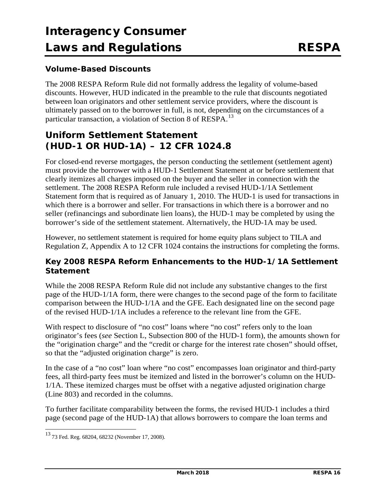### **Volume-Based Discounts**

The 2008 RESPA Reform Rule did not formally address the legality of volume-based discounts. However, HUD indicated in the preamble to the rule that discounts negotiated between loan originators and other settlement service providers, where the discount is ultimately passed on to the borrower in full, is not, depending on the circumstances of a particular transaction, a violation of Section 8 of RESPA.<sup>[13](#page-15-0)</sup>

## **Uniform Settlement Statement (HUD-1 OR HUD-1A) – 12 CFR 1024.8**

For closed-end reverse mortgages, the person conducting the settlement (settlement agent) must provide the borrower with a HUD-1 Settlement Statement at or before settlement that clearly itemizes all charges imposed on the buyer and the seller in connection with the settlement. The 2008 RESPA Reform rule included a revised HUD-1/1A Settlement Statement form that is required as of January 1, 2010. The HUD-1 is used for transactions in which there is a borrower and seller. For transactions in which there is a borrower and no seller (refinancings and subordinate lien loans), the HUD-1 may be completed by using the borrower's side of the settlement statement. Alternatively, the HUD-1A may be used.

However, no settlement statement is required for home equity plans subject to TILA and Regulation Z, Appendix A to 12 CFR 1024 contains the instructions for completing the forms.

### **Key 2008 RESPA Reform Enhancements to the HUD-1/1A Settlement Statement**

While the 2008 RESPA Reform Rule did not include any substantive changes to the first page of the HUD-1/1A form, there were changes to the second page of the form to facilitate comparison between the HUD-1/1A and the GFE. Each designated line on the second page of the revised HUD-1/1A includes a reference to the relevant line from the GFE.

With respect to disclosure of "no cost" loans where "no cost" refers only to the loan originator's fees (*see* Section L, Subsection 800 of the HUD-1 form), the amounts shown for the "origination charge" and the "credit or charge for the interest rate chosen" should offset, so that the "adjusted origination charge" is zero.

In the case of a "no cost" loan where "no cost" encompasses loan originator and third-party fees, all third-party fees must be itemized and listed in the borrower's column on the HUD-1/1A. These itemized charges must be offset with a negative adjusted origination charge (Line 803) and recorded in the columns.

To further facilitate comparability between the forms, the revised HUD-1 includes a third page (second page of the HUD-1A) that allows borrowers to compare the loan terms and

<span id="page-15-0"></span> <sup>13</sup> 73 Fed. Reg. 68204, 68232 (November 17, 2008).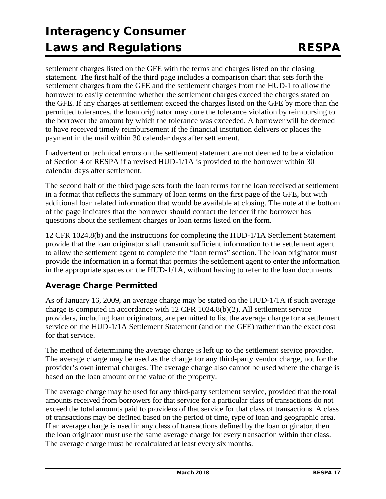settlement charges listed on the GFE with the terms and charges listed on the closing statement. The first half of the third page includes a comparison chart that sets forth the settlement charges from the GFE and the settlement charges from the HUD-1 to allow the borrower to easily determine whether the settlement charges exceed the charges stated on the GFE. If any charges at settlement exceed the charges listed on the GFE by more than the permitted tolerances, the loan originator may cure the tolerance violation by reimbursing to the borrower the amount by which the tolerance was exceeded. A borrower will be deemed to have received timely reimbursement if the financial institution delivers or places the payment in the mail within 30 calendar days after settlement.

Inadvertent or technical errors on the settlement statement are not deemed to be a violation of Section 4 of RESPA if a revised HUD-1/1A is provided to the borrower within 30 calendar days after settlement.

The second half of the third page sets forth the loan terms for the loan received at settlement in a format that reflects the summary of loan terms on the first page of the GFE, but with additional loan related information that would be available at closing. The note at the bottom of the page indicates that the borrower should contact the lender if the borrower has questions about the settlement charges or loan terms listed on the form.

12 CFR 1024.8(b) and the instructions for completing the HUD-1/1A Settlement Statement provide that the loan originator shall transmit sufficient information to the settlement agent to allow the settlement agent to complete the "loan terms" section. The loan originator must provide the information in a format that permits the settlement agent to enter the information in the appropriate spaces on the HUD-1/1A, without having to refer to the loan documents.

### **Average Charge Permitted**

As of January 16, 2009, an average charge may be stated on the HUD-1/1A if such average charge is computed in accordance with 12 CFR 1024.8(b)(2). All settlement service providers, including loan originators, are permitted to list the average charge for a settlement service on the HUD-1/1A Settlement Statement (and on the GFE) rather than the exact cost for that service.

The method of determining the average charge is left up to the settlement service provider. The average charge may be used as the charge for any third-party vendor charge, not for the provider's own internal charges. The average charge also cannot be used where the charge is based on the loan amount or the value of the property.

The average charge may be used for any third-party settlement service, provided that the total amounts received from borrowers for that service for a particular class of transactions do not exceed the total amounts paid to providers of that service for that class of transactions. A class of transactions may be defined based on the period of time, type of loan and geographic area. If an average charge is used in any class of transactions defined by the loan originator, then the loan originator must use the same average charge for every transaction within that class. The average charge must be recalculated at least every six months.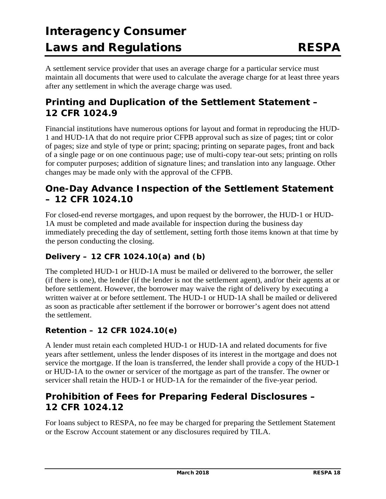A settlement service provider that uses an average charge for a particular service must maintain all documents that were used to calculate the average charge for at least three years after any settlement in which the average charge was used.

## **Printing and Duplication of the Settlement Statement – 12 CFR 1024.9**

Financial institutions have numerous options for layout and format in reproducing the HUD-1 and HUD-1A that do not require prior CFPB approval such as size of pages; tint or color of pages; size and style of type or print; spacing; printing on separate pages, front and back of a single page or on one continuous page; use of multi-copy tear-out sets; printing on rolls for computer purposes; addition of signature lines; and translation into any language. Other changes may be made only with the approval of the CFPB.

## **One-Day Advance Inspection of the Settlement Statement – 12 CFR 1024.10**

For closed-end reverse mortgages, and upon request by the borrower, the HUD-1 or HUD-1A must be completed and made available for inspection during the business day immediately preceding the day of settlement, setting forth those items known at that time by the person conducting the closing.

### **Delivery – 12 CFR 1024.10(a) and (b)**

The completed HUD-1 or HUD-1A must be mailed or delivered to the borrower, the seller (if there is one), the lender (if the lender is not the settlement agent), and/or their agents at or before settlement. However, the borrower may waive the right of delivery by executing a written waiver at or before settlement. The HUD-1 or HUD-1A shall be mailed or delivered as soon as practicable after settlement if the borrower or borrower's agent does not attend the settlement.

### **Retention – 12 CFR 1024.10(e)**

A lender must retain each completed HUD-1 or HUD-1A and related documents for five years after settlement, unless the lender disposes of its interest in the mortgage and does not service the mortgage. If the loan is transferred, the lender shall provide a copy of the HUD-1 or HUD-1A to the owner or servicer of the mortgage as part of the transfer. The owner or servicer shall retain the HUD-1 or HUD-1A for the remainder of the five-year period.

## **Prohibition of Fees for Preparing Federal Disclosures – 12 CFR 1024.12**

For loans subject to RESPA, no fee may be charged for preparing the Settlement Statement or the Escrow Account statement or any disclosures required by TILA.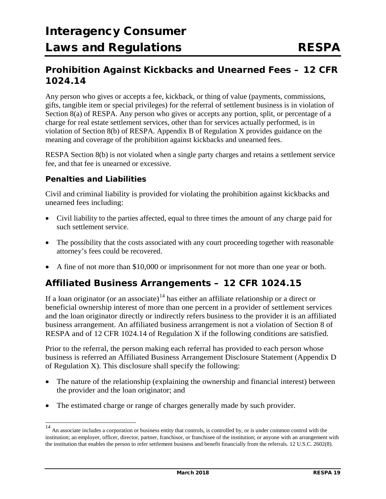## **Prohibition Against Kickbacks and Unearned Fees – 12 CFR 1024.14**

Any person who gives or accepts a fee, kickback, or thing of value (payments, commissions, gifts, tangible item or special privileges) for the referral of settlement business is in violation of Section 8(a) of RESPA. Any person who gives or accepts any portion, split, or percentage of a charge for real estate settlement services, other than for services actually performed, is in violation of Section 8(b) of RESPA. Appendix B of Regulation X provides guidance on the meaning and coverage of the prohibition against kickbacks and unearned fees.

RESPA Section 8(b) is not violated when a single party charges and retains a settlement service fee, and that fee is unearned or excessive.

#### **Penalties and Liabilities**

Civil and criminal liability is provided for violating the prohibition against kickbacks and unearned fees including:

- Civil liability to the parties affected, equal to three times the amount of any charge paid for such settlement service.
- The possibility that the costs associated with any court proceeding together with reasonable attorney's fees could be recovered.
- A fine of not more than \$10,000 or imprisonment for not more than one year or both.

## **Affiliated Business Arrangements – 12 CFR 1024.15**

If a loan originator (or an associate)<sup>[14](#page-18-0)</sup> has either an affiliate relationship or a direct or beneficial ownership interest of more than one percent in a provider of settlement services and the loan originator directly or indirectly refers business to the provider it is an affiliated business arrangement. An affiliated business arrangement is not a violation of Section 8 of RESPA and of 12 CFR 1024.14 of Regulation X if the following conditions are satisfied.

Prior to the referral, the person making each referral has provided to each person whose business is referred an Affiliated Business Arrangement Disclosure Statement (Appendix D of Regulation X). This disclosure shall specify the following:

- The nature of the relationship (explaining the ownership and financial interest) between the provider and the loan originator; and
- The estimated charge or range of charges generally made by such provider.

<span id="page-18-0"></span><sup>&</sup>lt;sup>14</sup> An associate includes a corporation or business entity that controls, is controlled by, or is under common control with the institution; an employer, officer, director, partner, franchisor, or franchisee of the institution; or anyone with an arrangement with the institution that enables the person to refer settlement business and benefit financially from the referrals. 12 U.S.C. 2602(8).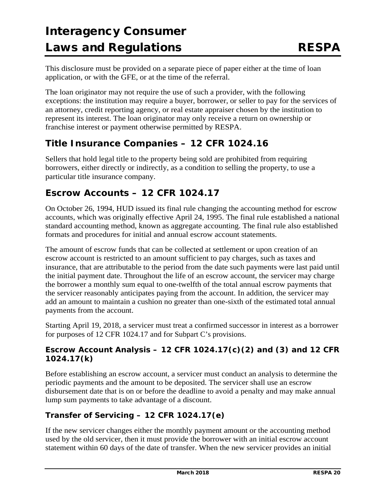This disclosure must be provided on a separate piece of paper either at the time of loan application, or with the GFE, or at the time of the referral.

The loan originator may not require the use of such a provider, with the following exceptions: the institution may require a buyer, borrower, or seller to pay for the services of an attorney, credit reporting agency, or real estate appraiser chosen by the institution to represent its interest. The loan originator may only receive a return on ownership or franchise interest or payment otherwise permitted by RESPA.

## **Title Insurance Companies – 12 CFR 1024.16**

Sellers that hold legal title to the property being sold are prohibited from requiring borrowers, either directly or indirectly, as a condition to selling the property, to use a particular title insurance company.

## **Escrow Accounts – 12 CFR 1024.17**

On October 26, 1994, HUD issued its final rule changing the accounting method for escrow accounts, which was originally effective April 24, 1995. The final rule established a national standard accounting method, known as aggregate accounting. The final rule also established formats and procedures for initial and annual escrow account statements.

The amount of escrow funds that can be collected at settlement or upon creation of an escrow account is restricted to an amount sufficient to pay charges, such as taxes and insurance, that are attributable to the period from the date such payments were last paid until the initial payment date. Throughout the life of an escrow account, the servicer may charge the borrower a monthly sum equal to one-twelfth of the total annual escrow payments that the servicer reasonably anticipates paying from the account. In addition, the servicer may add an amount to maintain a cushion no greater than one-sixth of the estimated total annual payments from the account.

Starting April 19, 2018, a servicer must treat a confirmed successor in interest as a borrower for purposes of 12 CFR 1024.17 and for Subpart C's provisions.

### **Escrow Account Analysis – 12 CFR 1024.17(c)(2) and (3) and 12 CFR 1024.17(k)**

Before establishing an escrow account, a servicer must conduct an analysis to determine the periodic payments and the amount to be deposited. The servicer shall use an escrow disbursement date that is on or before the deadline to avoid a penalty and may make annual lump sum payments to take advantage of a discount.

## **Transfer of Servicing – 12 CFR 1024.17(e)**

If the new servicer changes either the monthly payment amount or the accounting method used by the old servicer, then it must provide the borrower with an initial escrow account statement within 60 days of the date of transfer. When the new servicer provides an initial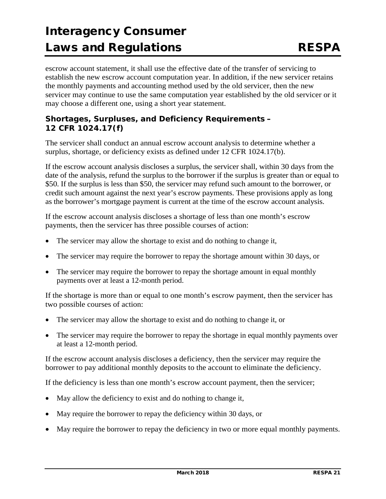escrow account statement, it shall use the effective date of the transfer of servicing to establish the new escrow account computation year. In addition, if the new servicer retains the monthly payments and accounting method used by the old servicer, then the new servicer may continue to use the same computation year established by the old servicer or it may choose a different one, using a short year statement.

### **Shortages, Surpluses, and Deficiency Requirements – 12 CFR 1024.17(f)**

The servicer shall conduct an annual escrow account analysis to determine whether a surplus, shortage, or deficiency exists as defined under 12 CFR 1024.17(b).

If the escrow account analysis discloses a surplus, the servicer shall, within 30 days from the date of the analysis, refund the surplus to the borrower if the surplus is greater than or equal to \$50. If the surplus is less than \$50, the servicer may refund such amount to the borrower, or credit such amount against the next year's escrow payments. These provisions apply as long as the borrower's mortgage payment is current at the time of the escrow account analysis.

If the escrow account analysis discloses a shortage of less than one month's escrow payments, then the servicer has three possible courses of action:

- The servicer may allow the shortage to exist and do nothing to change it,
- The servicer may require the borrower to repay the shortage amount within 30 days, or
- The servicer may require the borrower to repay the shortage amount in equal monthly payments over at least a 12-month period.

If the shortage is more than or equal to one month's escrow payment, then the servicer has two possible courses of action:

- The servicer may allow the shortage to exist and do nothing to change it, or
- The servicer may require the borrower to repay the shortage in equal monthly payments over at least a 12-month period.

If the escrow account analysis discloses a deficiency, then the servicer may require the borrower to pay additional monthly deposits to the account to eliminate the deficiency.

If the deficiency is less than one month's escrow account payment, then the servicer;

- May allow the deficiency to exist and do nothing to change it,
- May require the borrower to repay the deficiency within 30 days, or
- May require the borrower to repay the deficiency in two or more equal monthly payments.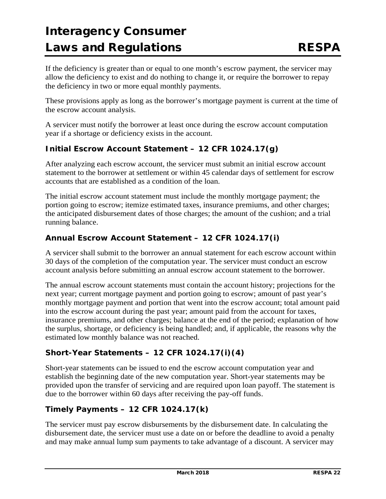If the deficiency is greater than or equal to one month's escrow payment, the servicer may allow the deficiency to exist and do nothing to change it, or require the borrower to repay the deficiency in two or more equal monthly payments.

These provisions apply as long as the borrower's mortgage payment is current at the time of the escrow account analysis.

A servicer must notify the borrower at least once during the escrow account computation year if a shortage or deficiency exists in the account.

### **Initial Escrow Account Statement – 12 CFR 1024.17(g)**

After analyzing each escrow account, the servicer must submit an initial escrow account statement to the borrower at settlement or within 45 calendar days of settlement for escrow accounts that are established as a condition of the loan.

The initial escrow account statement must include the monthly mortgage payment; the portion going to escrow; itemize estimated taxes, insurance premiums, and other charges; the anticipated disbursement dates of those charges; the amount of the cushion; and a trial running balance.

### **Annual Escrow Account Statement – 12 CFR 1024.17(i)**

A servicer shall submit to the borrower an annual statement for each escrow account within 30 days of the completion of the computation year. The servicer must conduct an escrow account analysis before submitting an annual escrow account statement to the borrower.

The annual escrow account statements must contain the account history; projections for the next year; current mortgage payment and portion going to escrow; amount of past year's monthly mortgage payment and portion that went into the escrow account; total amount paid into the escrow account during the past year; amount paid from the account for taxes, insurance premiums, and other charges; balance at the end of the period; explanation of how the surplus, shortage, or deficiency is being handled; and, if applicable, the reasons why the estimated low monthly balance was not reached.

### **Short-Year Statements – 12 CFR 1024.17(i)(4)**

Short-year statements can be issued to end the escrow account computation year and establish the beginning date of the new computation year. Short-year statements may be provided upon the transfer of servicing and are required upon loan payoff. The statement is due to the borrower within 60 days after receiving the pay-off funds.

### **Timely Payments – 12 CFR 1024.17(k)**

The servicer must pay escrow disbursements by the disbursement date. In calculating the disbursement date, the servicer must use a date on or before the deadline to avoid a penalty and may make annual lump sum payments to take advantage of a discount. A servicer may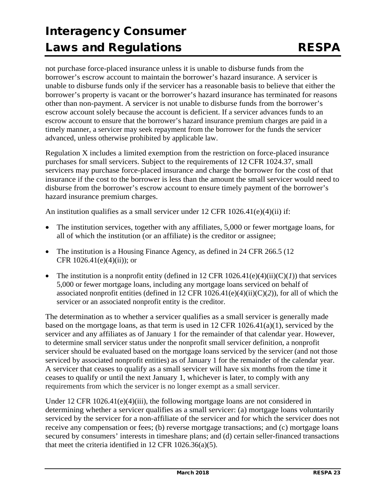not purchase force-placed insurance unless it is unable to disburse funds from the borrower's escrow account to maintain the borrower's hazard insurance. A servicer is unable to disburse funds only if the servicer has a reasonable basis to believe that either the borrower's property is vacant or the borrower's hazard insurance has terminated for reasons other than non-payment. A servicer is not unable to disburse funds from the borrower's escrow account solely because the account is deficient. If a servicer advances funds to an escrow account to ensure that the borrower's hazard insurance premium charges are paid in a timely manner, a servicer may seek repayment from the borrower for the funds the servicer advanced, unless otherwise prohibited by applicable law.

Regulation X includes a limited exemption from the restriction on force-placed insurance purchases for small servicers. Subject to the requirements of 12 CFR 1024.37, small servicers may purchase force-placed insurance and charge the borrower for the cost of that insurance if the cost to the borrower is less than the amount the small servicer would need to disburse from the borrower's escrow account to ensure timely payment of the borrower's hazard insurance premium charges.

An institution qualifies as a small servicer under 12 CFR 1026.41(e)(4)(ii) if:

- The institution services, together with any affiliates, 5,000 or fewer mortgage loans, for all of which the institution (or an affiliate) is the creditor or assignee;
- The institution is a Housing Finance Agency, as defined in 24 CFR 266.5 (12) CFR  $1026.41(e)(4)(ii)$ ; or
- The institution is a nonprofit entity (defined in 12 CFR  $1026.41(e)(4)(ii)(C)(I)$ ) that services 5,000 or fewer mortgage loans, including any mortgage loans serviced on behalf of associated nonprofit entities (defined in 12 CFR 1026.41(e)(4)(ii)(C)(*2*)), for all of which the servicer or an associated nonprofit entity is the creditor.

The determination as to whether a servicer qualifies as a small servicer is generally made based on the mortgage loans, as that term is used in 12 CFR  $1026.41(a)(1)$ , serviced by the servicer and any affiliates as of January 1 for the remainder of that calendar year. However, to determine small servicer status under the nonprofit small servicer definition, a nonprofit servicer should be evaluated based on the mortgage loans serviced by the servicer (and not those serviced by associated nonprofit entities) as of January 1 for the remainder of the calendar year. A servicer that ceases to qualify as a small servicer will have six months from the time it ceases to qualify or until the next January 1, whichever is later, to comply with any requirements from which the servicer is no longer exempt as a small servicer.

Under 12 CFR  $1026.41(e)(4)(iii)$ , the following mortgage loans are not considered in determining whether a servicer qualifies as a small servicer: (a) mortgage loans voluntarily serviced by the servicer for a non-affiliate of the servicer and for which the servicer does not receive any compensation or fees; (b) reverse mortgage transactions; and (c) mortgage loans secured by consumers' interests in timeshare plans; and (d) certain seller-financed transactions that meet the criteria identified in 12 CFR 1026.36(a)(5).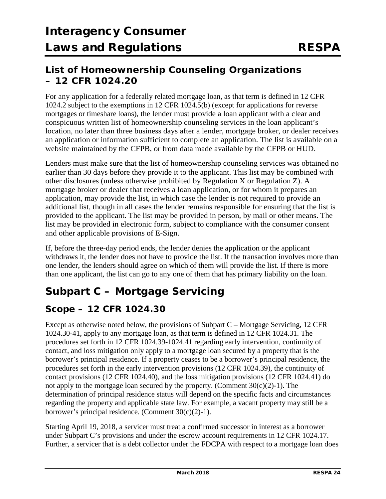## **List of Homeownership Counseling Organizations – 12 CFR 1024.20**

For any application for a federally related mortgage loan, as that term is defined in 12 CFR 1024.2 subject to the exemptions in 12 CFR 1024.5(b) (except for applications for reverse mortgages or timeshare loans), the lender must provide a loan applicant with a clear and conspicuous written list of homeownership counseling services in the loan applicant's location, no later than three business days after a lender, mortgage broker, or dealer receives an application or information sufficient to complete an application. The list is available on a website maintained by the CFPB, or from data made available by the CFPB or HUD.

Lenders must make sure that the list of homeownership counseling services was obtained no earlier than 30 days before they provide it to the applicant. This list may be combined with other disclosures (unless otherwise prohibited by Regulation X or Regulation Z). A mortgage broker or dealer that receives a loan application, or for whom it prepares an application, may provide the list, in which case the lender is not required to provide an additional list, though in all cases the lender remains responsible for ensuring that the list is provided to the applicant. The list may be provided in person, by mail or other means. The list may be provided in electronic form, subject to compliance with the consumer consent and other applicable provisions of E-Sign.

If, before the three-day period ends, the lender denies the application or the applicant withdraws it, the lender does not have to provide the list. If the transaction involves more than one lender, the lenders should agree on which of them will provide the list. If there is more than one applicant, the list can go to any one of them that has primary liability on the loan.

## **Subpart C – Mortgage Servicing**

## **Scope – 12 CFR 1024.30**

Except as otherwise noted below, the provisions of Subpart C – Mortgage Servicing, 12 CFR 1024.30-41, apply to any mortgage loan, as that term is defined in 12 CFR 1024.31. The procedures set forth in 12 CFR 1024.39-1024.41 regarding early intervention, continuity of contact, and loss mitigation only apply to a mortgage loan secured by a property that is the borrower's principal residence. If a property ceases to be a borrower's principal residence, the procedures set forth in the early intervention provisions (12 CFR 1024.39), the continuity of contact provisions (12 CFR 1024.40), and the loss mitigation provisions (12 CFR 1024.41) do not apply to the mortgage loan secured by the property. (Comment  $30(c)(2)-1$ ). The determination of principal residence status will depend on the specific facts and circumstances regarding the property and applicable state law. For example, a vacant property may still be a borrower's principal residence. (Comment 30(c)(2)-1).

Starting April 19, 2018, a servicer must treat a confirmed successor in interest as a borrower under Subpart C's provisions and under the escrow account requirements in 12 CFR 1024.17. Further, a servicer that is a debt collector under the FDCPA with respect to a mortgage loan does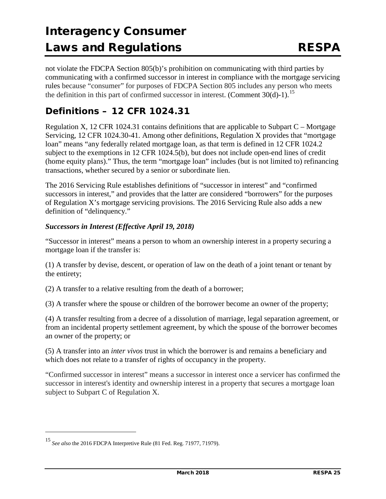not violate the FDCPA Section 805(b)'s prohibition on communicating with third parties by communicating with a confirmed successor in interest in compliance with the mortgage servicing rules because "consumer" for purposes of FDCPA Section 805 includes any person who meets the definition in this part of confirmed successor in interest. (Comment  $30(d)-1$ ).<sup>[15](#page-24-0)</sup>

## **Definitions – 12 CFR 1024.31**

Regulation X, 12 CFR 1024.31 contains definitions that are applicable to Subpart  $C$  – Mortgage Servicing, 12 CFR 1024.30-41. Among other definitions, Regulation X provides that "mortgage loan" means "any federally related mortgage loan, as that term is defined in 12 CFR 1024.2 subject to the exemptions in 12 CFR 1024.5(b), but does not include open-end lines of credit (home equity plans)." Thus, the term "mortgage loan" includes (but is not limited to) refinancing transactions, whether secured by a senior or subordinate lien.

The 2016 Servicing Rule establishes definitions of "successor in interest" and "confirmed successors in interest," and provides that the latter are considered "borrowers" for the purposes of Regulation X's mortgage servicing provisions. The 2016 Servicing Rule also adds a new definition of "delinquency."

#### *Successors in Interest (Effective April 19, 2018)*

"Successor in interest" means a person to whom an ownership interest in a property securing a mortgage loan if the transfer is:

(1) A transfer by devise, descent, or operation of law on the death of a joint tenant or tenant by the entirety;

(2) A transfer to a relative resulting from the death of a borrower;

(3) A transfer where the spouse or children of the borrower become an owner of the property;

(4) A transfer resulting from a decree of a dissolution of marriage, legal separation agreement, or from an incidental property settlement agreement, by which the spouse of the borrower becomes an owner of the property; or

(5) A transfer into an *inter vivos* trust in which the borrower is and remains a beneficiary and which does not relate to a transfer of rights of occupancy in the property.

"Confirmed successor in interest" means a successor in interest once a servicer has confirmed the successor in interest's identity and ownership interest in a property that secures a mortgage loan subject to Subpart C of Regulation X.

j

<span id="page-24-0"></span><sup>15</sup> *See also* the 2016 FDCPA Interpretive Rule (81 Fed. Reg. 71977, 71979).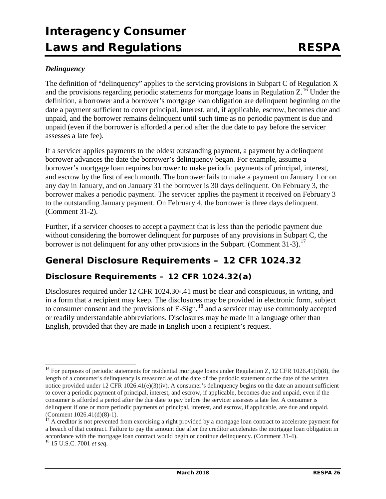#### *Delinquency*

The definition of "delinquency" applies to the servicing provisions in Subpart C of Regulation X and the provisions regarding periodic statements for mortgage loans in Regulation  $Z<sup>16</sup>$  $Z<sup>16</sup>$  $Z<sup>16</sup>$  Under the definition, a borrower and a borrower's mortgage loan obligation are delinquent beginning on the date a payment sufficient to cover principal, interest, and, if applicable, escrow, becomes due and unpaid, and the borrower remains delinquent until such time as no periodic payment is due and unpaid (even if the borrower is afforded a period after the due date to pay before the servicer assesses a late fee).

If a servicer applies payments to the oldest outstanding payment, a payment by a delinquent borrower advances the date the borrower's delinquency began. For example, assume a borrower's mortgage loan requires borrower to make periodic payments of principal, interest, and escrow by the first of each month. The borrower fails to make a payment on January 1 or on any day in January, and on January 31 the borrower is 30 days delinquent. On February 3, the borrower makes a periodic payment. The servicer applies the payment it received on February 3 to the outstanding January payment. On February 4, the borrower is three days delinquent. (Comment 31-2).

Further, if a servicer chooses to accept a payment that is less than the periodic payment due without considering the borrower delinquent for purposes of any provisions in Subpart C, the borrower is not delinquent for any other provisions in the Subpart. (Comment 31-3).<sup>[17](#page-25-1)</sup>

## **General Disclosure Requirements – 12 CFR 1024.32**

### **Disclosure Requirements – 12 CFR 1024.32(a)**

Disclosures required under 12 CFR 1024.30-.41 must be clear and conspicuous, in writing, and in a form that a recipient may keep. The disclosures may be provided in electronic form, subject to consumer consent and the provisions of  $E-Sign<sup>18</sup>$  $E-Sign<sup>18</sup>$  $E-Sign<sup>18</sup>$  and a servicer may use commonly accepted or readily understandable abbreviations. Disclosures may be made in a language other than English, provided that they are made in English upon a recipient's request.

<span id="page-25-0"></span><sup>&</sup>lt;sup>16</sup> For purposes of periodic statements for residential mortgage loans under Regulation Z, [12 CFR 1026.41\(d\)\(8\),](https://1.next.westlaw.com/Link/Document/FullText?findType=L&pubNum=1000547&cite=12CFRS1026.41&originatingDoc=N2A6FE650D29711E69433D80CE303A078&refType=VB&originationContext=document&transitionType=DocumentItem&contextData=(sc.Keycite)#co_pp_12ab0000df301) the length of a consumer's delinquency is measured as of the date of the periodic statement or the date of the written notice provided under [12 CFR 1026.41\(e\)\(3\)\(iv\).](https://1.next.westlaw.com/Link/Document/FullText?findType=L&pubNum=1000547&cite=12CFRS1026.41&originatingDoc=N2A6FE650D29711E69433D80CE303A078&refType=VB&originationContext=document&transitionType=DocumentItem&contextData=(sc.Keycite)#co_pp_bc300000de221) A consumer's delinquency begins on the date an amount sufficient to cover a periodic payment of principal, interest, and escrow, if applicable, becomes due and unpaid, even if the consumer is afforded a period after the due date to pay before the servicer assesses a late fee. A consumer is delinquent if one or more periodic payments of principal, interest, and escrow, if applicable, are due and unpaid. (Comment 1026.41(d)(8)-1).

<span id="page-25-2"></span><span id="page-25-1"></span> $\frac{17}{4}$  A creditor is not prevented from exercising a right provided by a mortgage loan contract to accelerate payment for a breach of that contract. Failure to pay the amount due after the creditor accelerates the mortgage loan obligation in accordance with the mortgage loan contract would begin or continue delinquency. (Comment 31-4). 18 15 U.S.C. 7001 *et seq*.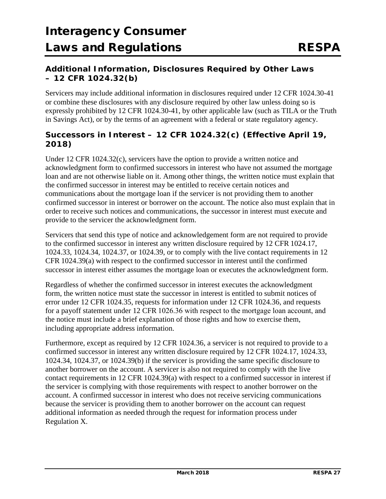### **Additional Information, Disclosures Required by Other Laws – 12 CFR 1024.32(b)**

Servicers may include additional information in disclosures required under 12 CFR 1024.30-41 or combine these disclosures with any disclosure required by other law unless doing so is expressly prohibited by 12 CFR 1024.30-41, by other applicable law (such as TILA or the Truth in Savings Act), or by the terms of an agreement with a federal or state regulatory agency.

### **Successors in Interest – 12 CFR 1024.32(c) (***Effective April 19, 2018***)**

Under 12 CFR 1024.32(c), servicers have the option to provide a written notice and acknowledgment form to confirmed successors in interest who have not assumed the mortgage loan and are not otherwise liable on it. Among other things, the written notice must explain that the confirmed successor in interest may be entitled to receive certain notices and communications about the mortgage loan if the servicer is not providing them to another confirmed successor in interest or borrower on the account. The notice also must explain that in order to receive such notices and communications, the successor in interest must execute and provide to the servicer the acknowledgment form.

Servicers that send this type of notice and acknowledgement form are not required to provide to the confirmed successor in interest any written disclosure required by 12 CFR 1024.17, 1024.33, 1024.34, 1024.37, or 1024.39, or to comply with the live contact requirements in 12 CFR 1024.39(a) with respect to the confirmed successor in interest until the confirmed successor in interest either assumes the mortgage loan or executes the acknowledgment form.

Regardless of whether the confirmed successor in interest executes the acknowledgment form, the written notice must state the successor in interest is entitled to submit notices of error under 12 CFR 1024.35, requests for information under 12 CFR 1024.36, and requests for a payoff statement under 12 CFR 1026.36 with respect to the mortgage loan account, and the notice must include a brief explanation of those rights and how to exercise them, including appropriate address information.

Furthermore, except as required by 12 CFR 1024.36, a servicer is not required to provide to a confirmed successor in interest any written disclosure required by 12 CFR 1024.17, 1024.33, 1024.34, 1024.37, or 1024.39(b) if the servicer is providing the same specific disclosure to another borrower on the account. A servicer is also not required to comply with the live contact requirements in 12 CFR 1024.39(a) with respect to a confirmed successor in interest if the servicer is complying with those requirements with respect to another borrower on the account. A confirmed successor in interest who does not receive servicing communications because the servicer is providing them to another borrower on the account can request additional information as needed through the request for information process under Regulation X.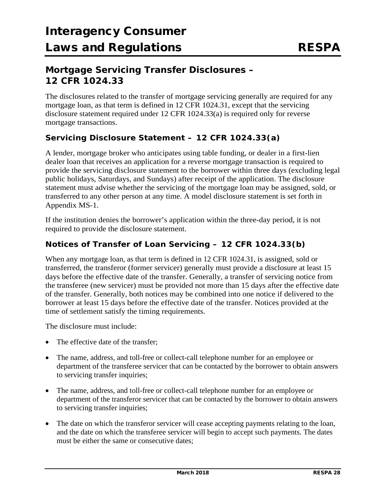## **Mortgage Servicing Transfer Disclosures – 12 CFR 1024.33**

The disclosures related to the transfer of mortgage servicing generally are required for any mortgage loan, as that term is defined in 12 CFR 1024.31, except that the servicing disclosure statement required under 12 CFR 1024.33(a) is required only for reverse mortgage transactions.

### **Servicing Disclosure Statement – 12 CFR 1024.33(a)**

A lender, mortgage broker who anticipates using table funding, or dealer in a first-lien dealer loan that receives an application for a reverse mortgage transaction is required to provide the servicing disclosure statement to the borrower within three days (excluding legal public holidays, Saturdays, and Sundays) after receipt of the application. The disclosure statement must advise whether the servicing of the mortgage loan may be assigned, sold, or transferred to any other person at any time. A model disclosure statement is set forth in Appendix MS-1.

If the institution denies the borrower's application within the three-day period, it is not required to provide the disclosure statement.

### **Notices of Transfer of Loan Servicing – 12 CFR 1024.33(b)**

When any mortgage loan, as that term is defined in 12 CFR 1024.31, is assigned, sold or transferred, the transferor (former servicer) generally must provide a disclosure at least 15 days before the effective date of the transfer. Generally, a transfer of servicing notice from the transferee (new servicer) must be provided not more than 15 days after the effective date of the transfer. Generally, both notices may be combined into one notice if delivered to the borrower at least 15 days before the effective date of the transfer. Notices provided at the time of settlement satisfy the timing requirements.

The disclosure must include:

- The effective date of the transfer;
- The name, address, and toll-free or collect-call telephone number for an employee or department of the transferee servicer that can be contacted by the borrower to obtain answers to servicing transfer inquiries;
- The name, address, and toll-free or collect-call telephone number for an employee or department of the transferor servicer that can be contacted by the borrower to obtain answers to servicing transfer inquiries;
- The date on which the transferor servicer will cease accepting payments relating to the loan, and the date on which the transferee servicer will begin to accept such payments. The dates must be either the same or consecutive dates;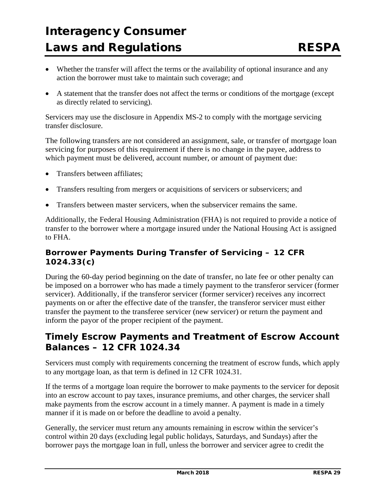- Whether the transfer will affect the terms or the availability of optional insurance and any action the borrower must take to maintain such coverage; and
- A statement that the transfer does not affect the terms or conditions of the mortgage (except as directly related to servicing).

Servicers may use the disclosure in Appendix MS-2 to comply with the mortgage servicing transfer disclosure.

The following transfers are not considered an assignment, sale, or transfer of mortgage loan servicing for purposes of this requirement if there is no change in the payee, address to which payment must be delivered, account number, or amount of payment due:

- Transfers between affiliates;
- Transfers resulting from mergers or acquisitions of servicers or subservicers; and
- Transfers between master servicers, when the subservicer remains the same.

Additionally, the Federal Housing Administration (FHA) is not required to provide a notice of transfer to the borrower where a mortgage insured under the National Housing Act is assigned to FHA.

### **Borrower Payments During Transfer of Servicing – 12 CFR 1024.33(c)**

During the 60-day period beginning on the date of transfer, no late fee or other penalty can be imposed on a borrower who has made a timely payment to the transferor servicer (former servicer). Additionally, if the transferor servicer (former servicer) receives any incorrect payments on or after the effective date of the transfer, the transferor servicer must either transfer the payment to the transferee servicer (new servicer) or return the payment and inform the payor of the proper recipient of the payment.

## **Timely Escrow Payments and Treatment of Escrow Account Balances – 12 CFR 1024.34**

Servicers must comply with requirements concerning the treatment of escrow funds, which apply to any mortgage loan, as that term is defined in 12 CFR 1024.31.

If the terms of a mortgage loan require the borrower to make payments to the servicer for deposit into an escrow account to pay taxes, insurance premiums, and other charges, the servicer shall make payments from the escrow account in a timely manner. A payment is made in a timely manner if it is made on or before the deadline to avoid a penalty.

Generally, the servicer must return any amounts remaining in escrow within the servicer's control within 20 days (excluding legal public holidays, Saturdays, and Sundays) after the borrower pays the mortgage loan in full, unless the borrower and servicer agree to credit the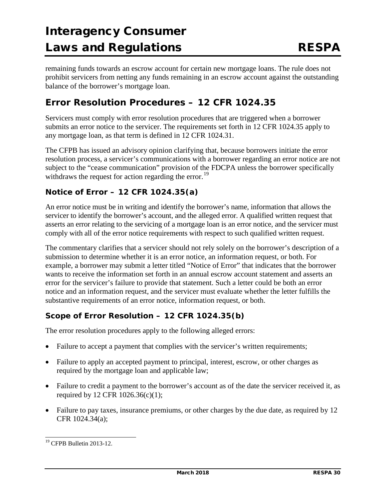remaining funds towards an escrow account for certain new mortgage loans. The rule does not prohibit servicers from netting any funds remaining in an escrow account against the outstanding balance of the borrower's mortgage loan.

## **Error Resolution Procedures – 12 CFR 1024.35**

Servicers must comply with error resolution procedures that are triggered when a borrower submits an error notice to the servicer. The requirements set forth in 12 CFR 1024.35 apply to any mortgage loan, as that term is defined in 12 CFR 1024.31.

The CFPB has issued an advisory opinion clarifying that, because borrowers initiate the error resolution process, a servicer's communications with a borrower regarding an error notice are not subject to the "cease communication" provision of the FDCPA unless the borrower specifically withdraws the request for action regarding the error.<sup>[19](#page-29-0)</sup>

### **Notice of Error – 12 CFR 1024.35(a)**

An error notice must be in writing and identify the borrower's name, information that allows the servicer to identify the borrower's account, and the alleged error. A qualified written request that asserts an error relating to the servicing of a mortgage loan is an error notice, and the servicer must comply with all of the error notice requirements with respect to such qualified written request.

The commentary clarifies that a servicer should not rely solely on the borrower's description of a submission to determine whether it is an error notice, an information request, or both. For example, a borrower may submit a letter titled "Notice of Error" that indicates that the borrower wants to receive the information set forth in an annual escrow account statement and asserts an error for the servicer's failure to provide that statement. Such a letter could be both an error notice and an information request, and the servicer must evaluate whether the letter fulfills the substantive requirements of an error notice, information request, or both.

### **Scope of Error Resolution – 12 CFR 1024.35(b)**

The error resolution procedures apply to the following alleged errors:

- Failure to accept a payment that complies with the servicer's written requirements;
- Failure to apply an accepted payment to principal, interest, escrow, or other charges as required by the mortgage loan and applicable law;
- Failure to credit a payment to the borrower's account as of the date the servicer received it, as required by 12 CFR 1026.36(c)(1);
- Failure to pay taxes, insurance premiums, or other charges by the due date, as required by 12 CFR 1024.34(a);

<span id="page-29-0"></span> <sup>19</sup> CFPB Bulletin 2013-12.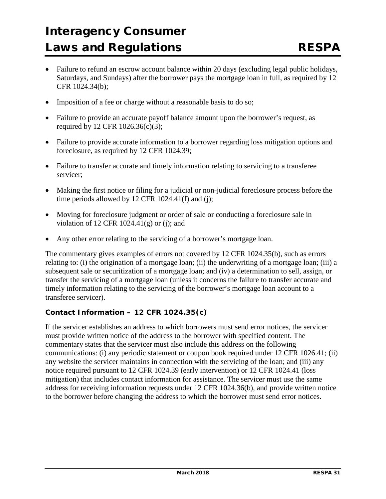- Failure to refund an escrow account balance within 20 days (excluding legal public holidays, Saturdays, and Sundays) after the borrower pays the mortgage loan in full, as required by 12 CFR 1024.34(b);
- Imposition of a fee or charge without a reasonable basis to do so;
- Failure to provide an accurate payoff balance amount upon the borrower's request, as required by 12 CFR 1026.36(c)(3);
- Failure to provide accurate information to a borrower regarding loss mitigation options and foreclosure, as required by 12 CFR 1024.39;
- Failure to transfer accurate and timely information relating to servicing to a transferee servicer;
- Making the first notice or filing for a judicial or non-judicial foreclosure process before the time periods allowed by 12 CFR 1024.41(f) and (j);
- Moving for foreclosure judgment or order of sale or conducting a foreclosure sale in violation of 12 CFR  $1024.41(g)$  or (j); and
- Any other error relating to the servicing of a borrower's mortgage loan.

The commentary gives examples of errors not covered by 12 CFR 1024.35(b), such as errors relating to: (i) the origination of a mortgage loan; (ii) the underwriting of a mortgage loan; (iii) a subsequent sale or securitization of a mortgage loan; and (iv) a determination to sell, assign, or transfer the servicing of a mortgage loan (unless it concerns the failure to transfer accurate and timely information relating to the servicing of the borrower's mortgage loan account to a transferee servicer).

#### **Contact Information – 12 CFR 1024.35(c)**

If the servicer establishes an address to which borrowers must send error notices, the servicer must provide written notice of the address to the borrower with specified content. The commentary states that the servicer must also include this address on the following communications: (i) any periodic statement or coupon book required under 12 CFR 1026.41; (ii) any website the servicer maintains in connection with the servicing of the loan; and (iii) any notice required pursuant to 12 CFR 1024.39 (early intervention) or 12 CFR 1024.41 (loss mitigation) that includes contact information for assistance. The servicer must use the same address for receiving information requests under 12 CFR 1024.36(b), and provide written notice to the borrower before changing the address to which the borrower must send error notices.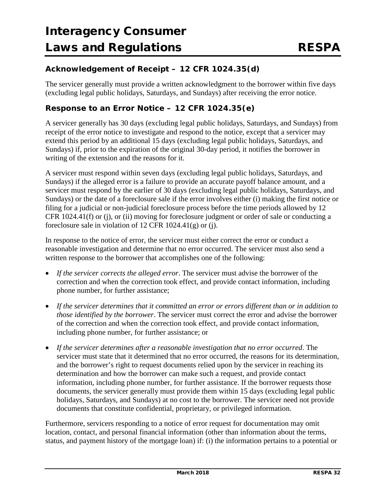### **Acknowledgement of Receipt – 12 CFR 1024.35(d)**

The servicer generally must provide a written acknowledgment to the borrower within five days (excluding legal public holidays, Saturdays, and Sundays) after receiving the error notice.

### **Response to an Error Notice – 12 CFR 1024.35(e)**

A servicer generally has 30 days (excluding legal public holidays, Saturdays, and Sundays) from receipt of the error notice to investigate and respond to the notice, except that a servicer may extend this period by an additional 15 days (excluding legal public holidays, Saturdays, and Sundays) if, prior to the expiration of the original 30-day period, it notifies the borrower in writing of the extension and the reasons for it.

A servicer must respond within seven days (excluding legal public holidays, Saturdays, and Sundays) if the alleged error is a failure to provide an accurate payoff balance amount, and a servicer must respond by the earlier of 30 days (excluding legal public holidays, Saturdays, and Sundays) or the date of a foreclosure sale if the error involves either (i) making the first notice or filing for a judicial or non-judicial foreclosure process before the time periods allowed by 12 CFR 1024.41(f) or (j), or (ii) moving for foreclosure judgment or order of sale or conducting a foreclosure sale in violation of 12 CFR 1024.41(g) or (j).

In response to the notice of error, the servicer must either correct the error or conduct a reasonable investigation and determine that no error occurred. The servicer must also send a written response to the borrower that accomplishes one of the following:

- *If the servicer corrects the alleged error*. The servicer must advise the borrower of the correction and when the correction took effect, and provide contact information, including phone number, for further assistance;
- *If the servicer determines that it committed an error or errors different than or in addition to those identified by the borrower*. The servicer must correct the error and advise the borrower of the correction and when the correction took effect, and provide contact information, including phone number, for further assistance; or
- *If the servicer determines after a reasonable investigation that no error occurred*. The servicer must state that it determined that no error occurred, the reasons for its determination, and the borrower's right to request documents relied upon by the servicer in reaching its determination and how the borrower can make such a request, and provide contact information, including phone number, for further assistance. If the borrower requests those documents, the servicer generally must provide them within 15 days (excluding legal public holidays, Saturdays, and Sundays) at no cost to the borrower. The servicer need not provide documents that constitute confidential, proprietary, or privileged information.

Furthermore, servicers responding to a notice of error request for documentation may omit location, contact, and personal financial information (other than information about the terms, status, and payment history of the mortgage loan) if: (i) the information pertains to a potential or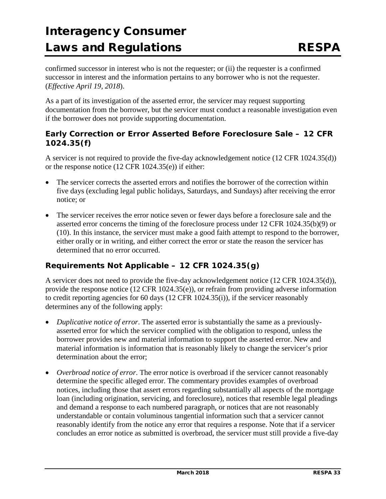confirmed successor in interest who is not the requester; or (ii) the requester is a confirmed successor in interest and the information pertains to any borrower who is not the requester. (*Effective April 19, 2018*).

As a part of its investigation of the asserted error, the servicer may request supporting documentation from the borrower, but the servicer must conduct a reasonable investigation even if the borrower does not provide supporting documentation.

#### **Early Correction or Error Asserted Before Foreclosure Sale – 12 CFR 1024.35(f)**

A servicer is not required to provide the five-day acknowledgement notice (12 CFR 1024.35(d)) or the response notice (12 CFR 1024.35(e)) if either:

- The servicer corrects the asserted errors and notifies the borrower of the correction within five days (excluding legal public holidays, Saturdays, and Sundays) after receiving the error notice; or
- The servicer receives the error notice seven or fewer days before a foreclosure sale and the asserted error concerns the timing of the foreclosure process under 12 CFR 1024.35(b)(9) or (10). In this instance, the servicer must make a good faith attempt to respond to the borrower, either orally or in writing, and either correct the error or state the reason the servicer has determined that no error occurred.

### **Requirements Not Applicable – 12 CFR 1024.35(g)**

A servicer does not need to provide the five-day acknowledgement notice (12 CFR 1024.35(d)), provide the response notice (12 CFR 1024.35(e)), or refrain from providing adverse information to credit reporting agencies for 60 days (12 CFR 1024.35(i)), if the servicer reasonably determines any of the following apply:

- *Duplicative notice of error*. The asserted error is substantially the same as a previouslyasserted error for which the servicer complied with the obligation to respond, unless the borrower provides new and material information to support the asserted error. New and material information is information that is reasonably likely to change the servicer's prior determination about the error;
- *Overbroad notice of error*. The error notice is overbroad if the servicer cannot reasonably determine the specific alleged error. The commentary provides examples of overbroad notices, including those that assert errors regarding substantially all aspects of the mortgage loan (including origination, servicing, and foreclosure), notices that resemble legal pleadings and demand a response to each numbered paragraph, or notices that are not reasonably understandable or contain voluminous tangential information such that a servicer cannot reasonably identify from the notice any error that requires a response. Note that if a servicer concludes an error notice as submitted is overbroad, the servicer must still provide a five-day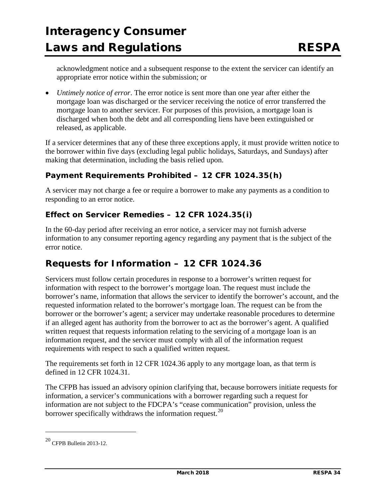acknowledgment notice and a subsequent response to the extent the servicer can identify an appropriate error notice within the submission; or

• *Untimely notice of error*. The error notice is sent more than one year after either the mortgage loan was discharged or the servicer receiving the notice of error transferred the mortgage loan to another servicer. For purposes of this provision, a mortgage loan is discharged when both the debt and all corresponding liens have been extinguished or released, as applicable.

If a servicer determines that any of these three exceptions apply, it must provide written notice to the borrower within five days (excluding legal public holidays, Saturdays, and Sundays) after making that determination, including the basis relied upon.

#### **Payment Requirements Prohibited – 12 CFR 1024.35(h)**

A servicer may not charge a fee or require a borrower to make any payments as a condition to responding to an error notice.

### **Effect on Servicer Remedies – 12 CFR 1024.35(i)**

In the 60-day period after receiving an error notice, a servicer may not furnish adverse information to any consumer reporting agency regarding any payment that is the subject of the error notice.

## **Requests for Information – 12 CFR 1024.36**

Servicers must follow certain procedures in response to a borrower's written request for information with respect to the borrower's mortgage loan. The request must include the borrower's name, information that allows the servicer to identify the borrower's account, and the requested information related to the borrower's mortgage loan. The request can be from the borrower or the borrower's agent; a servicer may undertake reasonable procedures to determine if an alleged agent has authority from the borrower to act as the borrower's agent. A qualified written request that requests information relating to the servicing of a mortgage loan is an information request, and the servicer must comply with all of the information request requirements with respect to such a qualified written request.

The requirements set forth in 12 CFR 1024.36 apply to any mortgage loan, as that term is defined in 12 CFR 1024.31.

The CFPB has issued an advisory opinion clarifying that, because borrowers initiate requests for information, a servicer's communications with a borrower regarding such a request for information are not subject to the FDCPA's "cease communication" provision, unless the borrower specifically withdraws the information request.<sup>[20](#page-33-0)</sup>

j

<span id="page-33-0"></span><sup>20</sup> CFPB Bulletin 2013-12.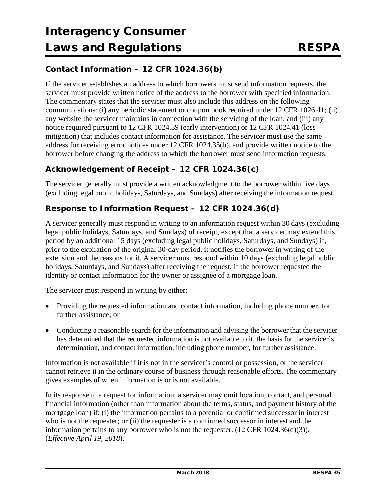### **Contact Information – 12 CFR 1024.36(b)**

If the servicer establishes an address to which borrowers must send information requests, the servicer must provide written notice of the address to the borrower with specified information. The commentary states that the servicer must also include this address on the following communications: (i) any periodic statement or coupon book required under 12 CFR 1026.41; (ii) any website the servicer maintains in connection with the servicing of the loan; and (iii) any notice required pursuant to 12 CFR 1024.39 (early intervention) or 12 CFR 1024.41 (loss mitigation) that includes contact information for assistance. The servicer must use the same address for receiving error notices under 12 CFR 1024.35(b), and provide written notice to the borrower before changing the address to which the borrower must send information requests.

### **Acknowledgement of Receipt – 12 CFR 1024.36(c)**

The servicer generally must provide a written acknowledgment to the borrower within five days (excluding legal public holidays, Saturdays, and Sundays) after receiving the information request.

### **Response to Information Request – 12 CFR 1024.36(d)**

A servicer generally must respond in writing to an information request within 30 days (excluding legal public holidays, Saturdays, and Sundays) of receipt, except that a servicer may extend this period by an additional 15 days (excluding legal public holidays, Saturdays, and Sundays) if, prior to the expiration of the original 30-day period, it notifies the borrower in writing of the extension and the reasons for it. A servicer must respond within 10 days (excluding legal public holidays, Saturdays, and Sundays) after receiving the request, if the borrower requested the identity or contact information for the owner or assignee of a mortgage loan.

The servicer must respond in writing by either:

- Providing the requested information and contact information, including phone number, for further assistance; or
- Conducting a reasonable search for the information and advising the borrower that the servicer has determined that the requested information is not available to it, the basis for the servicer's determination, and contact information, including phone number, for further assistance.

Information is not available if it is not in the servicer's control or possession, or the servicer cannot retrieve it in the ordinary course of business through reasonable efforts. The commentary gives examples of when information is or is not available.

In its response to a request for information, a servicer may omit location, contact, and personal financial information (other than information about the terms, status, and payment history of the mortgage loan) if: (i) the information pertains to a potential or confirmed successor in interest who is not the requester; or (ii) the requester is a confirmed successor in interest and the information pertains to any borrower who is not the requester. (12 CFR 1024.36(d)(3)). (*Effective April 19, 2018*).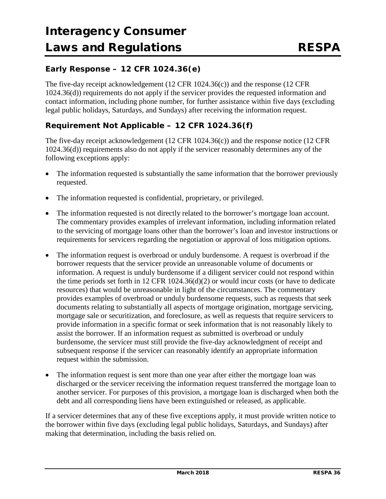### **Early Response – 12 CFR 1024.36(e)**

The five-day receipt acknowledgement (12 CFR 1024.36(c)) and the response (12 CFR 1024.36(d)) requirements do not apply if the servicer provides the requested information and contact information, including phone number, for further assistance within five days (excluding legal public holidays, Saturdays, and Sundays) after receiving the information request.

### **Requirement Not Applicable – 12 CFR 1024.36(f)**

The five-day receipt acknowledgement (12 CFR 1024.36(c)) and the response notice (12 CFR 1024.36(d)) requirements also do not apply if the servicer reasonably determines any of the following exceptions apply:

- The information requested is substantially the same information that the borrower previously requested.
- The information requested is confidential, proprietary, or privileged.
- The information requested is not directly related to the borrower's mortgage loan account. The commentary provides examples of irrelevant information, including information related to the servicing of mortgage loans other than the borrower's loan and investor instructions or requirements for servicers regarding the negotiation or approval of loss mitigation options.
- The information request is overbroad or unduly burdensome. A request is overbroad if the borrower requests that the servicer provide an unreasonable volume of documents or information. A request is unduly burdensome if a diligent servicer could not respond within the time periods set forth in 12 CFR 1024.36(d)(2) or would incur costs (or have to dedicate resources) that would be unreasonable in light of the circumstances. The commentary provides examples of overbroad or unduly burdensome requests, such as requests that seek documents relating to substantially all aspects of mortgage origination, mortgage servicing, mortgage sale or securitization, and foreclosure, as well as requests that require servicers to provide information in a specific format or seek information that is not reasonably likely to assist the borrower. If an information request as submitted is overbroad or unduly burdensome, the servicer must still provide the five-day acknowledgment of receipt and subsequent response if the servicer can reasonably identify an appropriate information request within the submission.
- The information request is sent more than one year after either the mortgage loan was discharged or the servicer receiving the information request transferred the mortgage loan to another servicer. For purposes of this provision, a mortgage loan is discharged when both the debt and all corresponding liens have been extinguished or released, as applicable.

If a servicer determines that any of these five exceptions apply, it must provide written notice to the borrower within five days (excluding legal public holidays, Saturdays, and Sundays) after making that determination, including the basis relied on.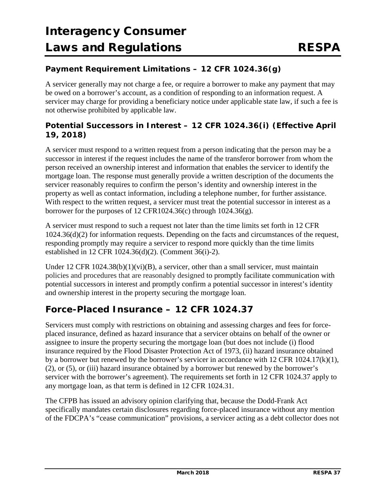### **Payment Requirement Limitations – 12 CFR 1024.36(g)**

A servicer generally may not charge a fee, or require a borrower to make any payment that may be owed on a borrower's account, as a condition of responding to an information request. A servicer may charge for providing a beneficiary notice under applicable state law, if such a fee is not otherwise prohibited by applicable law.

### **Potential Successors in Interest – 12 CFR 1024.36(i) (***Effective April 19, 2018***)**

A servicer must respond to a written request from a person indicating that the person may be a successor in interest if the request includes the name of the transferor borrower from whom the person received an ownership interest and information that enables the servicer to identify the mortgage loan. The response must generally provide a written description of the documents the servicer reasonably requires to confirm the person's identity and ownership interest in the property as well as contact information, including a telephone number, for further assistance. With respect to the written request, a servicer must treat the potential successor in interest as a borrower for the purposes of 12 CFR1024.36(c) through  $1024.36(g)$ .

A servicer must respond to such a request not later than the time limits set forth in 12 CFR 1024.36(d)(2) for information requests. Depending on the facts and circumstances of the request, responding promptly may require a servicer to respond more quickly than the time limits established in 12 CFR 1024.36(d)(2). (Comment 36(i)-2).

Under 12 CFR 1024.38(b)(1)(vi)(B), a servicer, other than a small servicer, must maintain policies and procedures that are reasonably designed to promptly facilitate communication with potential successors in interest and promptly confirm a potential successor in interest's identity and ownership interest in the property securing the mortgage loan.

### **Force-Placed Insurance – 12 CFR 1024.37**

Servicers must comply with restrictions on obtaining and assessing charges and fees for forceplaced insurance, defined as hazard insurance that a servicer obtains on behalf of the owner or assignee to insure the property securing the mortgage loan (but does not include (i) flood insurance required by the Flood Disaster Protection Act of 1973, (ii) hazard insurance obtained by a borrower but renewed by the borrower's servicer in accordance with 12 CFR 1024.17(k)(1), (2), or (5), or (iii) hazard insurance obtained by a borrower but renewed by the borrower's servicer with the borrower's agreement). The requirements set forth in 12 CFR 1024.37 apply to any mortgage loan, as that term is defined in 12 CFR 1024.31.

The CFPB has issued an advisory opinion clarifying that, because the Dodd-Frank Act specifically mandates certain disclosures regarding force-placed insurance without any mention of the FDCPA's "cease communication" provisions, a servicer acting as a debt collector does not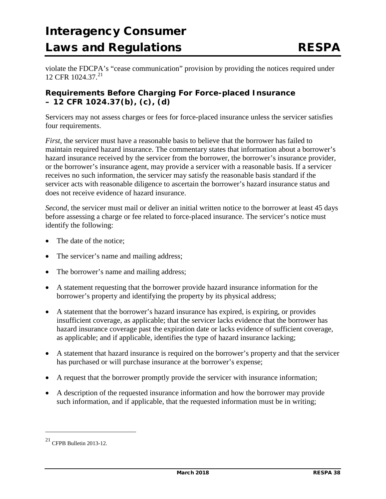violate the FDCPA's "cease communication" provision by providing the notices required under 12 CFR  $1024.37.<sup>21</sup>$  $1024.37.<sup>21</sup>$  $1024.37.<sup>21</sup>$ 

### **Requirements Before Charging For Force-placed Insurance – 12 CFR 1024.37(b), (c), (d)**

Servicers may not assess charges or fees for force-placed insurance unless the servicer satisfies four requirements.

*First*, the servicer must have a reasonable basis to believe that the borrower has failed to maintain required hazard insurance. The commentary states that information about a borrower's hazard insurance received by the servicer from the borrower, the borrower's insurance provider, or the borrower's insurance agent, may provide a servicer with a reasonable basis. If a servicer receives no such information, the servicer may satisfy the reasonable basis standard if the servicer acts with reasonable diligence to ascertain the borrower's hazard insurance status and does not receive evidence of hazard insurance.

*Second*, the servicer must mail or deliver an initial written notice to the borrower at least 45 days before assessing a charge or fee related to force-placed insurance. The servicer's notice must identify the following:

- The date of the notice:
- The servicer's name and mailing address;
- The borrower's name and mailing address;
- A statement requesting that the borrower provide hazard insurance information for the borrower's property and identifying the property by its physical address;
- A statement that the borrower's hazard insurance has expired, is expiring, or provides insufficient coverage, as applicable; that the servicer lacks evidence that the borrower has hazard insurance coverage past the expiration date or lacks evidence of sufficient coverage, as applicable; and if applicable, identifies the type of hazard insurance lacking;
- A statement that hazard insurance is required on the borrower's property and that the servicer has purchased or will purchase insurance at the borrower's expense;
- A request that the borrower promptly provide the servicer with insurance information;
- A description of the requested insurance information and how the borrower may provide such information, and if applicable, that the requested information must be in writing;

j

<span id="page-37-0"></span> $21$  CFPB Bulletin 2013-12.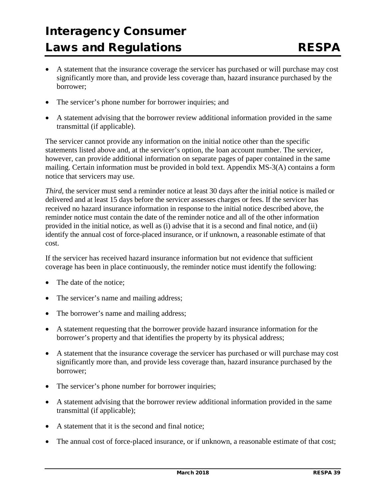- A statement that the insurance coverage the servicer has purchased or will purchase may cost significantly more than, and provide less coverage than, hazard insurance purchased by the borrower;
- The servicer's phone number for borrower inquiries; and
- A statement advising that the borrower review additional information provided in the same transmittal (if applicable).

The servicer cannot provide any information on the initial notice other than the specific statements listed above and, at the servicer's option, the loan account number. The servicer, however, can provide additional information on separate pages of paper contained in the same mailing. Certain information must be provided in bold text. Appendix MS-3(A) contains a form notice that servicers may use.

*Third*, the servicer must send a reminder notice at least 30 days after the initial notice is mailed or delivered and at least 15 days before the servicer assesses charges or fees. If the servicer has received no hazard insurance information in response to the initial notice described above, the reminder notice must contain the date of the reminder notice and all of the other information provided in the initial notice, as well as (i) advise that it is a second and final notice, and (ii) identify the annual cost of force-placed insurance, or if unknown, a reasonable estimate of that cost.

If the servicer has received hazard insurance information but not evidence that sufficient coverage has been in place continuously, the reminder notice must identify the following:

- The date of the notice:
- The servicer's name and mailing address;
- The borrower's name and mailing address;
- A statement requesting that the borrower provide hazard insurance information for the borrower's property and that identifies the property by its physical address;
- A statement that the insurance coverage the servicer has purchased or will purchase may cost significantly more than, and provide less coverage than, hazard insurance purchased by the borrower;
- The servicer's phone number for borrower inquiries;
- A statement advising that the borrower review additional information provided in the same transmittal (if applicable);
- A statement that it is the second and final notice;
- The annual cost of force-placed insurance, or if unknown, a reasonable estimate of that cost;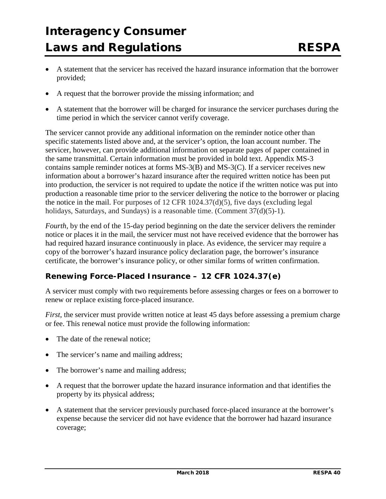- A statement that the servicer has received the hazard insurance information that the borrower provided;
- A request that the borrower provide the missing information; and
- A statement that the borrower will be charged for insurance the servicer purchases during the time period in which the servicer cannot verify coverage.

The servicer cannot provide any additional information on the reminder notice other than specific statements listed above and, at the servicer's option, the loan account number. The servicer, however, can provide additional information on separate pages of paper contained in the same transmittal. Certain information must be provided in bold text. Appendix MS-3 contains sample reminder notices at forms MS-3(B) and MS-3(C). If a servicer receives new information about a borrower's hazard insurance after the required written notice has been put into production, the servicer is not required to update the notice if the written notice was put into production a reasonable time prior to the servicer delivering the notice to the borrower or placing the notice in the mail. For purposes of [12 CFR 1024.37\(d\)\(5\),](https://1.next.westlaw.com/Link/Document/FullText?findType=L&pubNum=1000547&cite=12CFRS1024.37&originatingDoc=N7947CB60773011E2BE9DA0FBD7A2EF11&refType=VB&originationContext=document&transitionType=DocumentItem&contextData=(sc.Keycite)#co_pp_20c3000034ad5) five days (excluding legal holidays, Saturdays, and Sundays) is a reasonable time. (Comment  $37(d)(5)-1$ ).

*Fourth*, by the end of the 15-day period beginning on the date the servicer delivers the reminder notice or places it in the mail, the servicer must not have received evidence that the borrower has had required hazard insurance continuously in place. As evidence, the servicer may require a copy of the borrower's hazard insurance policy declaration page, the borrower's insurance certificate, the borrower's insurance policy, or other similar forms of written confirmation.

### **Renewing Force-Placed Insurance – 12 CFR 1024.37(e)**

A servicer must comply with two requirements before assessing charges or fees on a borrower to renew or replace existing force-placed insurance.

*First*, the servicer must provide written notice at least 45 days before assessing a premium charge or fee. This renewal notice must provide the following information:

- The date of the renewal notice;
- The servicer's name and mailing address;
- The borrower's name and mailing address;
- A request that the borrower update the hazard insurance information and that identifies the property by its physical address;
- A statement that the servicer previously purchased force-placed insurance at the borrower's expense because the servicer did not have evidence that the borrower had hazard insurance coverage;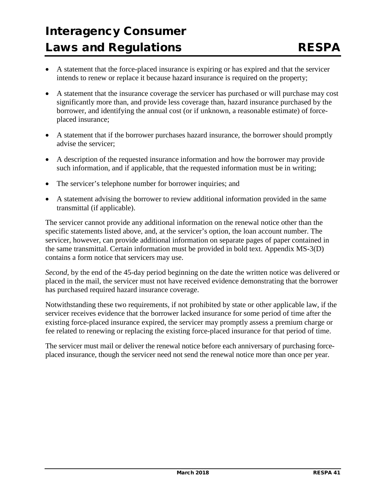- A statement that the force-placed insurance is expiring or has expired and that the servicer intends to renew or replace it because hazard insurance is required on the property;
- A statement that the insurance coverage the servicer has purchased or will purchase may cost significantly more than, and provide less coverage than, hazard insurance purchased by the borrower, and identifying the annual cost (or if unknown, a reasonable estimate) of forceplaced insurance;
- A statement that if the borrower purchases hazard insurance, the borrower should promptly advise the servicer;
- A description of the requested insurance information and how the borrower may provide such information, and if applicable, that the requested information must be in writing;
- The servicer's telephone number for borrower inquiries; and
- A statement advising the borrower to review additional information provided in the same transmittal (if applicable).

The servicer cannot provide any additional information on the renewal notice other than the specific statements listed above, and, at the servicer's option, the loan account number. The servicer, however, can provide additional information on separate pages of paper contained in the same transmittal. Certain information must be provided in bold text. Appendix MS-3(D) contains a form notice that servicers may use.

*Second*, by the end of the 45-day period beginning on the date the written notice was delivered or placed in the mail, the servicer must not have received evidence demonstrating that the borrower has purchased required hazard insurance coverage.

Notwithstanding these two requirements, if not prohibited by state or other applicable law, if the servicer receives evidence that the borrower lacked insurance for some period of time after the existing force-placed insurance expired, the servicer may promptly assess a premium charge or fee related to renewing or replacing the existing force-placed insurance for that period of time.

The servicer must mail or deliver the renewal notice before each anniversary of purchasing forceplaced insurance, though the servicer need not send the renewal notice more than once per year.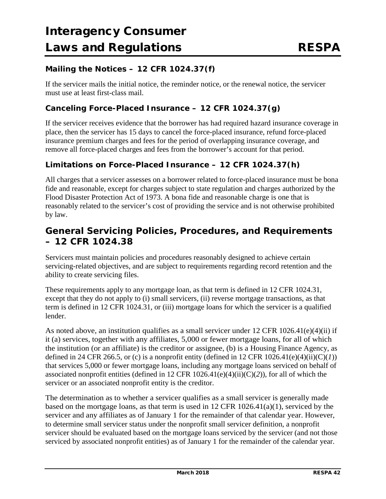### **Mailing the Notices – 12 CFR 1024.37(f)**

If the servicer mails the initial notice, the reminder notice, or the renewal notice, the servicer must use at least first-class mail.

#### **Canceling Force-Placed Insurance – 12 CFR 1024.37(g)**

If the servicer receives evidence that the borrower has had required hazard insurance coverage in place, then the servicer has 15 days to cancel the force-placed insurance, refund force-placed insurance premium charges and fees for the period of overlapping insurance coverage, and remove all force-placed charges and fees from the borrower's account for that period.

#### **Limitations on Force-Placed Insurance – 12 CFR 1024.37(h)**

All charges that a servicer assesses on a borrower related to force-placed insurance must be bona fide and reasonable, except for charges subject to state regulation and charges authorized by the Flood Disaster Protection Act of 1973. A bona fide and reasonable charge is one that is reasonably related to the servicer's cost of providing the service and is not otherwise prohibited by law.

### **General Servicing Policies, Procedures, and Requirements – 12 CFR 1024.38**

Servicers must maintain policies and procedures reasonably designed to achieve certain servicing-related objectives, and are subject to requirements regarding record retention and the ability to create servicing files.

These requirements apply to any mortgage loan, as that term is defined in 12 CFR 1024.31, except that they do not apply to (i) small servicers, (ii) reverse mortgage transactions, as that term is defined in 12 CFR 1024.31, or (iii) mortgage loans for which the servicer is a qualified lender.

As noted above, an institution qualifies as a small servicer under 12 CFR 1026.41(e)(4)(ii) if it (a) services, together with any affiliates, 5,000 or fewer mortgage loans, for all of which the institution (or an affiliate) is the creditor or assignee, (b) is a Housing Finance Agency, as defined in 24 CFR 266.5, or (c) is a nonprofit entity (defined in 12 CFR  $1026.41(e)(4)(ii)(C)(I)$ ) that services 5,000 or fewer mortgage loans, including any mortgage loans serviced on behalf of associated nonprofit entities (defined in 12 CFR 1026.41(e)(4)(ii)(C)(*2*)), for all of which the servicer or an associated nonprofit entity is the creditor.

The determination as to whether a servicer qualifies as a small servicer is generally made based on the mortgage loans, as that term is used in 12 CFR 1026.41(a)(1), serviced by the servicer and any affiliates as of January 1 for the remainder of that calendar year. However, to determine small servicer status under the nonprofit small servicer definition, a nonprofit servicer should be evaluated based on the mortgage loans serviced by the servicer (and not those serviced by associated nonprofit entities) as of January 1 for the remainder of the calendar year.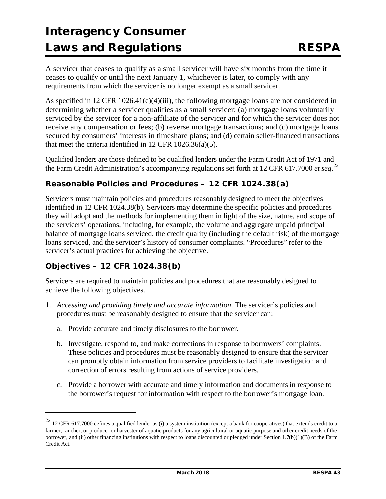A servicer that ceases to qualify as a small servicer will have six months from the time it ceases to qualify or until the next January 1, whichever is later, to comply with any requirements from which the servicer is no longer exempt as a small servicer.

As specified in 12 CFR 1026.41(e)(4)(iii), the following mortgage loans are not considered in determining whether a servicer qualifies as a small servicer: (a) mortgage loans voluntarily serviced by the servicer for a non-affiliate of the servicer and for which the servicer does not receive any compensation or fees; (b) reverse mortgage transactions; and (c) mortgage loans secured by consumers' interests in timeshare plans; and (d) certain seller-financed transactions that meet the criteria identified in 12 CFR 1026.36(a)(5).

Qualified lenders are those defined to be qualified lenders under the Farm Credit Act of 1971 and the Farm Credit Administration's accompanying regulations set forth at 12 CFR 617.7000 *et seq*. [22](#page-42-0)

### **Reasonable Policies and Procedures – 12 CFR 1024.38(a)**

Servicers must maintain policies and procedures reasonably designed to meet the objectives identified in 12 CFR 1024.38(b). Servicers may determine the specific policies and procedures they will adopt and the methods for implementing them in light of the size, nature, and scope of the servicers' operations, including, for example, the volume and aggregate unpaid principal balance of mortgage loans serviced, the credit quality (including the default risk) of the mortgage loans serviced, and the servicer's history of consumer complaints. "Procedures" refer to the servicer's actual practices for achieving the objective.

### **Objectives – 12 CFR 1024.38(b)**

 $\overline{a}$ 

Servicers are required to maintain policies and procedures that are reasonably designed to achieve the following objectives.

- 1. *Accessing and providing timely and accurate information*. The servicer's policies and procedures must be reasonably designed to ensure that the servicer can:
	- a. Provide accurate and timely disclosures to the borrower.
	- b. Investigate, respond to, and make corrections in response to borrowers' complaints. These policies and procedures must be reasonably designed to ensure that the servicer can promptly obtain information from service providers to facilitate investigation and correction of errors resulting from actions of service providers.
	- c. Provide a borrower with accurate and timely information and documents in response to the borrower's request for information with respect to the borrower's mortgage loan.

<span id="page-42-0"></span><sup>&</sup>lt;sup>22</sup> 12 CFR 617.7000 defines a qualified lender as (i) a system institution (except a bank for cooperatives) that extends credit to a farmer, rancher, or producer or harvester of aquatic products for any agricultural or aquatic purpose and other credit needs of the borrower, and (ii) other financing institutions with respect to loans discounted or pledged under Section 1.7(b)(1)(B) of the Farm Credit Act.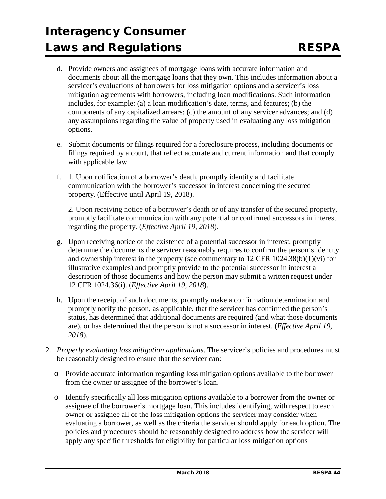- d. Provide owners and assignees of mortgage loans with accurate information and documents about all the mortgage loans that they own. This includes information about a servicer's evaluations of borrowers for loss mitigation options and a servicer's loss mitigation agreements with borrowers, including loan modifications. Such information includes, for example: (a) a loan modification's date, terms, and features; (b) the components of any capitalized arrears; (c) the amount of any servicer advances; and (d) any assumptions regarding the value of property used in evaluating any loss mitigation options.
- e. Submit documents or filings required for a foreclosure process, including documents or filings required by a court, that reflect accurate and current information and that comply with applicable law.
- f. 1. Upon notification of a borrower's death, promptly identify and facilitate communication with the borrower's successor in interest concerning the secured property. (Effective until April 19, 2018).

2. Upon receiving notice of a borrower's death or of any transfer of the secured property, promptly facilitate communication with any potential or confirmed successors in interest regarding the property. (*Effective April 19, 2018*).

- g. Upon receiving notice of the existence of a potential successor in interest, promptly determine the documents the servicer reasonably requires to confirm the person's identity and ownership interest in the property (see commentary to 12 CFR 1024.38(b)(1)(vi) for illustrative examples) and promptly provide to the potential successor in interest a description of those documents and how the person may submit a written request under 12 CFR 1024.36(i). (*Effective April 19, 2018*).
- h. Upon the receipt of such documents, promptly make a confirmation determination and promptly notify the person, as applicable, that the servicer has confirmed the person's status, has determined that additional documents are required (and what those documents are), or has determined that the person is not a successor in interest. (*Effective April 19, 2018*).
- 2. *Properly evaluating loss mitigation applications*. The servicer's policies and procedures must be reasonably designed to ensure that the servicer can:
	- o Provide accurate information regarding loss mitigation options available to the borrower from the owner or assignee of the borrower's loan.
	- o Identify specifically all loss mitigation options available to a borrower from the owner or assignee of the borrower's mortgage loan. This includes identifying, with respect to each owner or assignee all of the loss mitigation options the servicer may consider when evaluating a borrower, as well as the criteria the servicer should apply for each option. The policies and procedures should be reasonably designed to address how the servicer will apply any specific thresholds for eligibility for particular loss mitigation options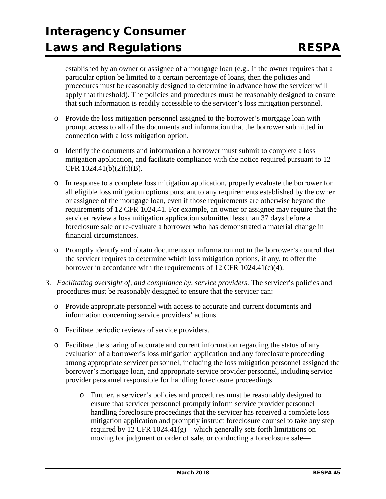established by an owner or assignee of a mortgage loan (e.g., if the owner requires that a particular option be limited to a certain percentage of loans, then the policies and procedures must be reasonably designed to determine in advance how the servicer will apply that threshold). The policies and procedures must be reasonably designed to ensure that such information is readily accessible to the servicer's loss mitigation personnel.

- o Provide the loss mitigation personnel assigned to the borrower's mortgage loan with prompt access to all of the documents and information that the borrower submitted in connection with a loss mitigation option.
- o Identify the documents and information a borrower must submit to complete a loss mitigation application, and facilitate compliance with the notice required pursuant to 12 CFR 1024.41(b)(2)(i)(B).
- o In response to a complete loss mitigation application, properly evaluate the borrower for all eligible loss mitigation options pursuant to any requirements established by the owner or assignee of the mortgage loan, even if those requirements are otherwise beyond the requirements of 12 CFR 1024.41. For example, an owner or assignee may require that the servicer review a loss mitigation application submitted less than 37 days before a foreclosure sale or re-evaluate a borrower who has demonstrated a material change in financial circumstances.
- o Promptly identify and obtain documents or information not in the borrower's control that the servicer requires to determine which loss mitigation options, if any, to offer the borrower in accordance with the requirements of 12 CFR 1024.41(c)(4).
- 3. *Facilitating oversight of, and compliance by, service providers*. The servicer's policies and procedures must be reasonably designed to ensure that the servicer can:
	- o Provide appropriate personnel with access to accurate and current documents and information concerning service providers' actions.
	- o Facilitate periodic reviews of service providers.
	- o Facilitate the sharing of accurate and current information regarding the status of any evaluation of a borrower's loss mitigation application and any foreclosure proceeding among appropriate servicer personnel, including the loss mitigation personnel assigned the borrower's mortgage loan, and appropriate service provider personnel, including service provider personnel responsible for handling foreclosure proceedings.
		- o Further, a servicer's policies and procedures must be reasonably designed to ensure that servicer personnel promptly inform service provider personnel handling foreclosure proceedings that the servicer has received a complete loss mitigation application and promptly instruct foreclosure counsel to take any step required by 12 CFR 1024.41(g)—which generally sets forth limitations on moving for judgment or order of sale, or conducting a foreclosure sale—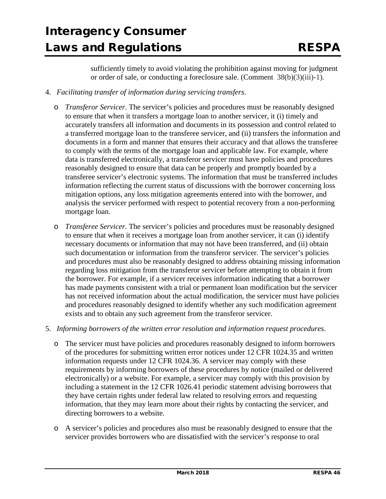sufficiently timely to avoid violating the prohibition against moving for judgment or order of sale, or conducting a foreclosure sale. (Comment 38(b)(3)(iii)-1).

- 4. *Facilitating transfer of information during servicing transfers*.
	- o *Transferor Servicer*. The servicer's policies and procedures must be reasonably designed to ensure that when it transfers a mortgage loan to another servicer, it (i) timely and accurately transfers all information and documents in its possession and control related to a transferred mortgage loan to the transferee servicer, and (ii) transfers the information and documents in a form and manner that ensures their accuracy and that allows the transferee to comply with the terms of the mortgage loan and applicable law. For example, where data is transferred electronically, a transferor servicer must have policies and procedures reasonably designed to ensure that data can be properly and promptly boarded by a transferee servicer's electronic systems. The information that must be transferred includes information reflecting the current status of discussions with the borrower concerning loss mitigation options, any loss mitigation agreements entered into with the borrower, and analysis the servicer performed with respect to potential recovery from a non-performing mortgage loan.
	- o *Transferee Servicer*. The servicer's policies and procedures must be reasonably designed to ensure that when it receives a mortgage loan from another servicer, it can (i) identify necessary documents or information that may not have been transferred, and (ii) obtain such documentation or information from the transferor servicer. The servicer's policies and procedures must also be reasonably designed to address obtaining missing information regarding loss mitigation from the transferor servicer before attempting to obtain it from the borrower. For example, if a servicer receives information indicating that a borrower has made payments consistent with a trial or permanent loan modification but the servicer has not received information about the actual modification, the servicer must have policies and procedures reasonably designed to identify whether any such modification agreement exists and to obtain any such agreement from the transferor servicer.
- 5. *Informing borrowers of the written error resolution and information request procedures*.
	- o The servicer must have policies and procedures reasonably designed to inform borrowers of the procedures for submitting written error notices under 12 CFR 1024.35 and written information requests under 12 CFR 1024.36. A servicer may comply with these requirements by informing borrowers of these procedures by notice (mailed or delivered electronically) or a website. For example, a servicer may comply with this provision by including a statement in the 12 CFR 1026.41 periodic statement advising borrowers that they have certain rights under federal law related to resolving errors and requesting information, that they may learn more about their rights by contacting the servicer, and directing borrowers to a website.
	- o A servicer's policies and procedures also must be reasonably designed to ensure that the servicer provides borrowers who are dissatisfied with the servicer's response to oral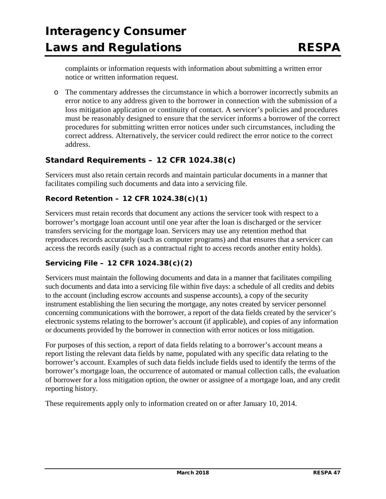complaints or information requests with information about submitting a written error notice or written information request.

o The commentary addresses the circumstance in which a borrower incorrectly submits an error notice to any address given to the borrower in connection with the submission of a loss mitigation application or continuity of contact. A servicer's policies and procedures must be reasonably designed to ensure that the servicer informs a borrower of the correct procedures for submitting written error notices under such circumstances, including the correct address. Alternatively, the servicer could redirect the error notice to the correct address.

### **Standard Requirements – 12 CFR 1024.38(c)**

Servicers must also retain certain records and maintain particular documents in a manner that facilitates compiling such documents and data into a servicing file.

#### *Record Retention – 12 CFR 1024.38(c)(1)*

Servicers must retain records that document any actions the servicer took with respect to a borrower's mortgage loan account until one year after the loan is discharged or the servicer transfers servicing for the mortgage loan. Servicers may use any retention method that reproduces records accurately (such as computer programs) and that ensures that a servicer can access the records easily (such as a contractual right to access records another entity holds).

### *Servicing File – 12 CFR 1024.38(c)(2)*

Servicers must maintain the following documents and data in a manner that facilitates compiling such documents and data into a servicing file within five days: a schedule of all credits and debits to the account (including escrow accounts and suspense accounts), a copy of the security instrument establishing the lien securing the mortgage, any notes created by servicer personnel concerning communications with the borrower, a report of the data fields created by the servicer's electronic systems relating to the borrower's account (if applicable), and copies of any information or documents provided by the borrower in connection with error notices or loss mitigation.

For purposes of this section, a report of data fields relating to a borrower's account means a report listing the relevant data fields by name, populated with any specific data relating to the borrower's account. Examples of such data fields include fields used to identify the terms of the borrower's mortgage loan, the occurrence of automated or manual collection calls, the evaluation of borrower for a loss mitigation option, the owner or assignee of a mortgage loan, and any credit reporting history.

These requirements apply only to information created on or after January 10, 2014.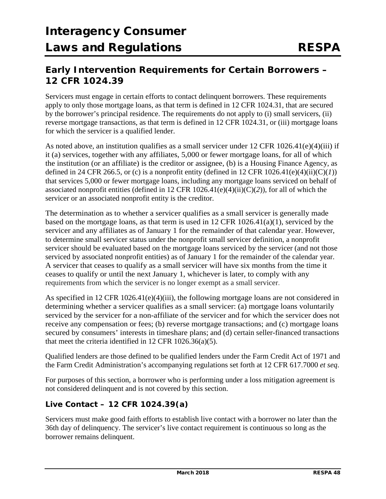### **Early Intervention Requirements for Certain Borrowers – 12 CFR 1024.39**

Servicers must engage in certain efforts to contact delinquent borrowers. These requirements apply to only those mortgage loans, as that term is defined in 12 CFR 1024.31, that are secured by the borrower's principal residence. The requirements do not apply to (i) small servicers, (ii) reverse mortgage transactions, as that term is defined in 12 CFR 1024.31, or (iii) mortgage loans for which the servicer is a qualified lender.

As noted above, an institution qualifies as a small servicer under 12 CFR 1026.41(e)(4)(iii) if it (a) services, together with any affiliates, 5,000 or fewer mortgage loans, for all of which the institution (or an affiliate) is the creditor or assignee, (b) is a Housing Finance Agency, as defined in 24 CFR 266.5, or (c) is a nonprofit entity (defined in 12 CFR  $1026.41(e)(4)(ii)(C)(I)$ ) that services 5,000 or fewer mortgage loans, including any mortgage loans serviced on behalf of associated nonprofit entities (defined in 12 CFR 1026.41(e)(4)(ii)(C)(*2*)), for all of which the servicer or an associated nonprofit entity is the creditor.

The determination as to whether a servicer qualifies as a small servicer is generally made based on the mortgage loans, as that term is used in 12 CFR 1026.41(a)(1), serviced by the servicer and any affiliates as of January 1 for the remainder of that calendar year. However, to determine small servicer status under the nonprofit small servicer definition, a nonprofit servicer should be evaluated based on the mortgage loans serviced by the servicer (and not those serviced by associated nonprofit entities) as of January 1 for the remainder of the calendar year. A servicer that ceases to qualify as a small servicer will have six months from the time it ceases to qualify or until the next January 1, whichever is later, to comply with any requirements from which the servicer is no longer exempt as a small servicer.

As specified in 12 CFR 1026.41(e)(4)(iii), the following mortgage loans are not considered in determining whether a servicer qualifies as a small servicer: (a) mortgage loans voluntarily serviced by the servicer for a non-affiliate of the servicer and for which the servicer does not receive any compensation or fees; (b) reverse mortgage transactions; and (c) mortgage loans secured by consumers' interests in timeshare plans; and (d) certain seller-financed transactions that meet the criteria identified in 12 CFR 1026.36(a)(5).

Qualified lenders are those defined to be qualified lenders under the Farm Credit Act of 1971 and the Farm Credit Administration's accompanying regulations set forth at 12 CFR 617.7000 *et seq*.

For purposes of this section, a borrower who is performing under a loss mitigation agreement is not considered delinquent and is not covered by this section.

### **Live Contact – 12 CFR 1024.39(a)**

Servicers must make good faith efforts to establish live contact with a borrower no later than the 36th day of delinquency. The servicer's live contact requirement is continuous so long as the borrower remains delinquent.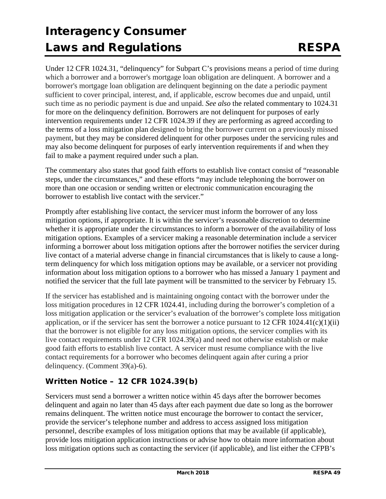Under 12 CFR 1024.31, "delinquency" for Subpart C's provisions means a period of time during which a borrower and a borrower's mortgage loan obligation are delinquent. A borrower and a borrower's mortgage loan obligation are delinquent beginning on the date a periodic payment sufficient to cover principal, interest, and, if applicable, escrow becomes due and unpaid, until such time as no periodic payment is due and unpaid. *See also* the related commentary to 1024.31 for more on the delinquency definition. Borrowers are not delinquent for purposes of early intervention requirements under 12 CFR 1024.39 if they are performing as agreed according to the terms of a loss mitigation plan designed to bring the borrower current on a previously missed payment, but they may be considered delinquent for other purposes under the servicing rules and may also become delinquent for purposes of early intervention requirements if and when they fail to make a payment required under such a plan.

The commentary also states that good faith efforts to establish live contact consist of "reasonable steps, under the circumstances," and these efforts "may include telephoning the borrower on more than one occasion or sending written or electronic communication encouraging the borrower to establish live contact with the servicer."

Promptly after establishing live contact, the servicer must inform the borrower of any loss mitigation options, if appropriate. It is within the servicer's reasonable discretion to determine whether it is appropriate under the circumstances to inform a borrower of the availability of loss mitigation options. Examples of a servicer making a reasonable determination include a servicer informing a borrower about loss mitigation options after the borrower notifies the servicer during live contact of a material adverse change in financial circumstances that is likely to cause a longterm delinquency for which loss mitigation options may be available, or a servicer not providing information about loss mitigation options to a borrower who has missed a January 1 payment and notified the servicer that the full late payment will be transmitted to the servicer by February 15.

If the servicer has established and is maintaining ongoing contact with the borrower under the loss mitigation procedures in 12 CFR 1024.41, including during the borrower's completion of a loss mitigation application or the servicer's evaluation of the borrower's complete loss mitigation application, or if the servicer has sent the borrower a notice pursuant to  $12 \text{ CFR } 1024.41(c)(1)(ii)$ that the borrower is not eligible for any loss mitigation options, the servicer complies with its live contact requirements under 12 CFR 1024.39(a) and need not otherwise establish or make good faith efforts to establish live contact. A servicer must resume compliance with the live contact requirements for a borrower who becomes delinquent again after curing a prior delinquency. (Comment 39(a)-6).

### **Written Notice – 12 CFR 1024.39(b)**

Servicers must send a borrower a written notice within 45 days after the borrower becomes delinquent and again no later than 45 days after each payment due date so long as the borrower remains delinquent. The written notice must encourage the borrower to contact the servicer, provide the servicer's telephone number and address to access assigned loss mitigation personnel, describe examples of loss mitigation options that may be available (if applicable), provide loss mitigation application instructions or advise how to obtain more information about loss mitigation options such as contacting the servicer (if applicable), and list either the CFPB's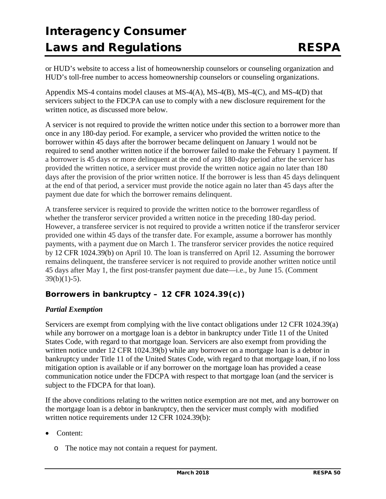or HUD's website to access a list of homeownership counselors or counseling organization and HUD's toll-free number to access homeownership counselors or counseling organizations.

Appendix MS-4 contains model clauses at MS-4(A), MS-4(B), MS-4(C), and MS-4(D) that servicers subject to the FDCPA can use to comply with a new disclosure requirement for the written notice, as discussed more below.

A servicer is not required to provide the written notice under this section to a borrower more than once in any 180-day period. For example, a servicer who provided the written notice to the borrower within 45 days after the borrower became delinquent on January 1 would not be required to send another written notice if the borrower failed to make the February 1 payment. If a borrower is 45 days or more delinquent at the end of any 180-day period after the servicer has provided the written notice, a servicer must provide the written notice again no later than 180 days after the provision of the prior written notice. If the borrower is less than 45 days delinquent at the end of that period, a servicer must provide the notice again no later than 45 days after the payment due date for which the borrower remains delinquent.

A transferee servicer is required to provide the written notice to the borrower regardless of whether the transferor servicer provided a written notice in the preceding 180-day period. However, a transferee servicer is not required to provide a written notice if the transferor servicer provided one within 45 days of the transfer date. For example, assume a borrower has monthly payments, with a payment due on March 1. The transferor servicer provides the notice required by 12 CFR 1024.39(b) on April 10. The loan is transferred on April 12. Assuming the borrower remains delinquent, the transferee servicer is not required to provide another written notice until 45 days after May 1, the first post-transfer payment due date—i.e., by June 15. (Comment  $39(b)(1)-5)$ .

### **Borrowers in bankruptcy – 12 CFR 1024.39(c))**

#### *Partial Exemption*

Servicers are exempt from complying with the live contact obligations under 12 CFR 1024.39(a) while any borrower on a mortgage loan is a debtor in bankruptcy under Title 11 of the United States Code, with regard to that mortgage loan. Servicers are also exempt from providing the written notice under 12 CFR 1024.39(b) while any borrower on a mortgage loan is a debtor in bankruptcy under Title 11 of the United States Code, with regard to that mortgage loan, if no loss mitigation option is available or if any borrower on the mortgage loan has provided a cease communication notice under the FDCPA with respect to that mortgage loan (and the servicer is subject to the FDCPA for that loan).

If the above conditions relating to the written notice exemption are not met, and any borrower on the mortgage loan is a debtor in bankruptcy, then the servicer must comply with modified written notice requirements under 12 CFR 1024.39(b):

- Content:
	- o The notice may not contain a request for payment.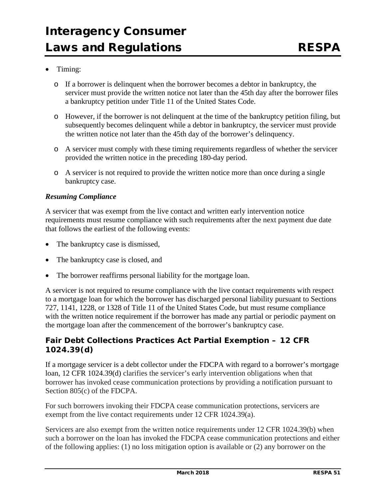#### • Timing:

- o If a borrower is delinquent when the borrower becomes a debtor in bankruptcy, the servicer must provide the written notice not later than the 45th day after the borrower files a bankruptcy petition under Title 11 of the United States Code.
- o However, if the borrower is not delinquent at the time of the bankruptcy petition filing, but subsequently becomes delinquent while a debtor in bankruptcy, the servicer must provide the written notice not later than the 45th day of the borrower's delinquency.
- o A servicer must comply with these timing requirements regardless of whether the servicer provided the written notice in the preceding 180-day period.
- o A servicer is not required to provide the written notice more than once during a single bankruptcy case.

#### *Resuming Compliance*

A servicer that was exempt from the live contact and written early intervention notice requirements must resume compliance with such requirements after the next payment due date that follows the earliest of the following events:

- The bankruptcy case is dismissed,
- The bankruptcy case is closed, and
- The borrower reaffirms personal liability for the mortgage loan.

A servicer is not required to resume compliance with the live contact requirements with respect to a mortgage loan for which the borrower has discharged personal liability pursuant to Sections 727, 1141, 1228, or 1328 of Title 11 of the United States Code, but must resume compliance with the written notice requirement if the borrower has made any partial or periodic payment on the mortgage loan after the commencement of the borrower's bankruptcy case.

#### **Fair Debt Collections Practices Act Partial Exemption – 12 CFR 1024.39(d)**

If a mortgage servicer is a debt collector under the FDCPA with regard to a borrower's mortgage loan, 12 CFR 1024.39(d) clarifies the servicer's early intervention obligations when that borrower has invoked cease communication protections by providing a notification pursuant to Section 805(c) of the FDCPA.

For such borrowers invoking their FDCPA cease communication protections, servicers are exempt from the live contact requirements under 12 CFR 1024.39(a).

Servicers are also exempt from the written notice requirements under 12 CFR 1024.39(b) when such a borrower on the loan has invoked the FDCPA cease communication protections and either of the following applies: (1) no loss mitigation option is available or (2) any borrower on the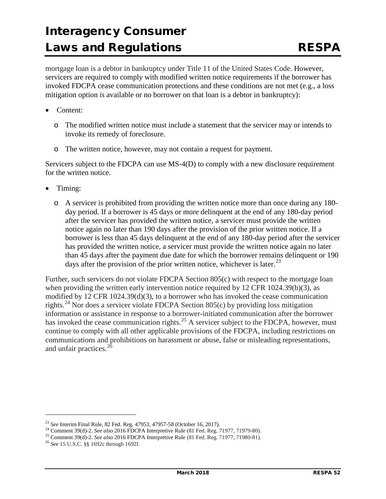mortgage loan is a debtor in bankruptcy under Title 11 of the United States Code. However, servicers are required to comply with modified written notice requirements if the borrower has invoked FDCPA cease communication protections and these conditions are not met (e.g., a loss mitigation option *is* available or no borrower on that loan is a debtor in bankruptcy):

- Content:
	- o The modified written notice must include a statement that the servicer may or intends to invoke its remedy of foreclosure.
	- o The written notice, however, may not contain a request for payment.

Servicers subject to the FDCPA can use MS-4(D) to comply with a new disclosure requirement for the written notice.

- Timing:
	- o A servicer is prohibited from providing the written notice more than once during any 180 day period. If a borrower is 45 days or more delinquent at the end of any 180-day period after the servicer has provided the written notice, a servicer must provide the written notice again no later than 190 days after the provision of the prior written notice. If a borrower is less than 45 days delinquent at the end of any 180-day period after the servicer has provided the written notice, a servicer must provide the written notice again no later than 45 days after the payment due date for which the borrower remains delinquent or 190 days after the provision of the prior written notice, whichever is later.<sup>[23](#page-51-0)</sup>

Further, such servicers do not violate FDCPA Section 805(c) with respect to the mortgage loan when providing the written early intervention notice required by 12 CFR 1024.39(b)(3), as modified by 12 CFR 1024.39(d)(3), to a borrower who has invoked the cease communication rights.<sup>[24](#page-51-1)</sup> Nor does a servicer violate FDCPA Section 805(c) by providing loss mitigation information or assistance in response to a borrower-initiated communication after the borrower has invoked the cease communication rights.<sup>[25](#page-51-2)</sup> A servicer subject to the FDCPA, however, must continue to comply with all other applicable provisions of the FDCPA, including restrictions on communications and prohibitions on harassment or abuse, false or misleading representations, and unfair practices.<sup>[26](#page-51-3)</sup>

 $\overline{a}$ 

<span id="page-51-1"></span><span id="page-51-0"></span><sup>&</sup>lt;sup>23</sup> See Interim Final Rule, 82 Fed. Reg. 47953, 47957-58 (October 16, 2017).<br><sup>24</sup> Comment 39(d)-2. *See also* 2016 FDCPA Interpretive Rule (81 Fed. Reg. 71977, 71979-80).<br><sup>25</sup> Comment 39(d)-2. *See also* 2016 FDCPA Inter

<span id="page-51-2"></span>

<span id="page-51-3"></span>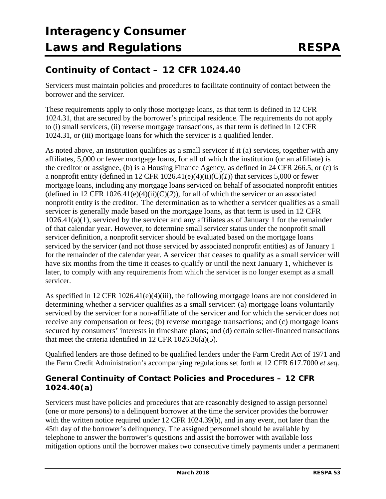### **Continuity of Contact – 12 CFR 1024.40**

Servicers must maintain policies and procedures to facilitate continuity of contact between the borrower and the servicer.

These requirements apply to only those mortgage loans, as that term is defined in 12 CFR 1024.31, that are secured by the borrower's principal residence. The requirements do not apply to (i) small servicers, (ii) reverse mortgage transactions, as that term is defined in 12 CFR 1024.31, or (iii) mortgage loans for which the servicer is a qualified lender.

As noted above, an institution qualifies as a small servicer if it (a) services, together with any affiliates, 5,000 or fewer mortgage loans, for all of which the institution (or an affiliate) is the creditor or assignee, (b) is a Housing Finance Agency, as defined in 24 CFR 266.5, or (c) is a nonprofit entity (defined in 12 CFR  $1026.41(e)(4)(ii)(C)(I)$ ) that services 5,000 or fewer mortgage loans, including any mortgage loans serviced on behalf of associated nonprofit entities (defined in 12 CFR 1026.41(e)(4)(ii)(C)(2)), for all of which the servicer or an associated nonprofit entity is the creditor. The determination as to whether a servicer qualifies as a small servicer is generally made based on the mortgage loans, as that term is used in 12 CFR 1026.41(a)(1), serviced by the servicer and any affiliates as of January 1 for the remainder of that calendar year. However, to determine small servicer status under the nonprofit small servicer definition, a nonprofit servicer should be evaluated based on the mortgage loans serviced by the servicer (and not those serviced by associated nonprofit entities) as of January 1 for the remainder of the calendar year. A servicer that ceases to qualify as a small servicer will have six months from the time it ceases to qualify or until the next January 1, whichever is later, to comply with any requirements from which the servicer is no longer exempt as a small servicer.

As specified in 12 CFR 1026.41(e)(4)(iii), the following mortgage loans are not considered in determining whether a servicer qualifies as a small servicer: (a) mortgage loans voluntarily serviced by the servicer for a non-affiliate of the servicer and for which the servicer does not receive any compensation or fees; (b) reverse mortgage transactions; and (c) mortgage loans secured by consumers' interests in timeshare plans; and (d) certain seller-financed transactions that meet the criteria identified in 12 CFR 1026.36(a)(5).

Qualified lenders are those defined to be qualified lenders under the Farm Credit Act of 1971 and the Farm Credit Administration's accompanying regulations set forth at 12 CFR 617.7000 *et seq*.

### **General Continuity of Contact Policies and Procedures – 12 CFR 1024.40(a)**

Servicers must have policies and procedures that are reasonably designed to assign personnel (one or more persons) to a delinquent borrower at the time the servicer provides the borrower with the written notice required under 12 CFR 1024.39(b), and in any event, not later than the 45th day of the borrower's delinquency. The assigned personnel should be available by telephone to answer the borrower's questions and assist the borrower with available loss mitigation options until the borrower makes two consecutive timely payments under a permanent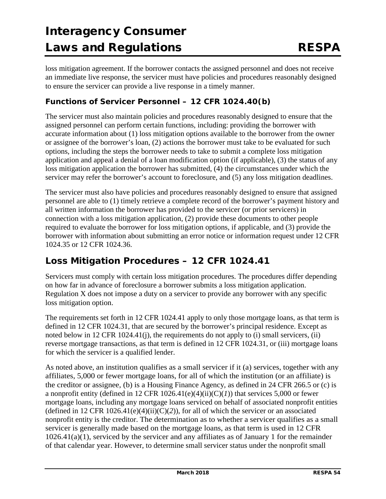loss mitigation agreement. If the borrower contacts the assigned personnel and does not receive an immediate live response, the servicer must have policies and procedures reasonably designed to ensure the servicer can provide a live response in a timely manner.

### **Functions of Servicer Personnel – 12 CFR 1024.40(b)**

The servicer must also maintain policies and procedures reasonably designed to ensure that the assigned personnel can perform certain functions, including: providing the borrower with accurate information about (1) loss mitigation options available to the borrower from the owner or assignee of the borrower's loan, (2) actions the borrower must take to be evaluated for such options, including the steps the borrower needs to take to submit a complete loss mitigation application and appeal a denial of a loan modification option (if applicable), (3) the status of any loss mitigation application the borrower has submitted, (4) the circumstances under which the servicer may refer the borrower's account to foreclosure, and (5) any loss mitigation deadlines.

The servicer must also have policies and procedures reasonably designed to ensure that assigned personnel are able to (1) timely retrieve a complete record of the borrower's payment history and all written information the borrower has provided to the servicer (or prior servicers) in connection with a loss mitigation application, (2) provide these documents to other people required to evaluate the borrower for loss mitigation options, if applicable, and (3) provide the borrower with information about submitting an error notice or information request under 12 CFR 1024.35 or 12 CFR 1024.36.

### **Loss Mitigation Procedures – 12 CFR 1024.41**

Servicers must comply with certain loss mitigation procedures. The procedures differ depending on how far in advance of foreclosure a borrower submits a loss mitigation application. Regulation X does not impose a duty on a servicer to provide any borrower with any specific loss mitigation option.

The requirements set forth in 12 CFR 1024.41 apply to only those mortgage loans, as that term is defined in 12 CFR 1024.31, that are secured by the borrower's principal residence. Except as noted below in 12 CFR 1024.41(j), the requirements do not apply to (i) small servicers, (ii) reverse mortgage transactions, as that term is defined in 12 CFR 1024.31, or (iii) mortgage loans for which the servicer is a qualified lender.

As noted above, an institution qualifies as a small servicer if it (a) services, together with any affiliates, 5,000 or fewer mortgage loans, for all of which the institution (or an affiliate) is the creditor or assignee, (b) is a Housing Finance Agency, as defined in 24 CFR 266.5 or (c) is a nonprofit entity (defined in 12 CFR  $1026.41(e)(4)(ii)(C)(I)$ ) that services 5,000 or fewer mortgage loans, including any mortgage loans serviced on behalf of associated nonprofit entities (defined in 12 CFR 1026.41(e)(4)(ii)(C)(2)), for all of which the servicer or an associated nonprofit entity is the creditor. The determination as to whether a servicer qualifies as a small servicer is generally made based on the mortgage loans, as that term is used in 12 CFR 1026.41(a)(1), serviced by the servicer and any affiliates as of January 1 for the remainder of that calendar year. However, to determine small servicer status under the nonprofit small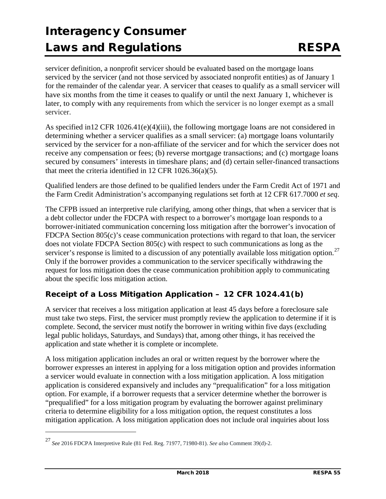servicer definition, a nonprofit servicer should be evaluated based on the mortgage loans serviced by the servicer (and not those serviced by associated nonprofit entities) as of January 1 for the remainder of the calendar year. A servicer that ceases to qualify as a small servicer will have six months from the time it ceases to qualify or until the next January 1, whichever is later, to comply with any requirements from which the servicer is no longer exempt as a small servicer.

As specified in 12 CFR 1026.41(e)(4)(iii), the following mortgage loans are not considered in determining whether a servicer qualifies as a small servicer: (a) mortgage loans voluntarily serviced by the servicer for a non-affiliate of the servicer and for which the servicer does not receive any compensation or fees; (b) reverse mortgage transactions; and (c) mortgage loans secured by consumers' interests in timeshare plans; and (d) certain seller-financed transactions that meet the criteria identified in 12 CFR 1026.36(a)(5).

Qualified lenders are those defined to be qualified lenders under the Farm Credit Act of 1971 and the Farm Credit Administration's accompanying regulations set forth at 12 CFR 617.7000 *et seq*.

The CFPB issued an interpretive rule clarifying, among other things, that when a servicer that is a debt collector under the FDCPA with respect to a borrower's mortgage loan responds to a borrower-initiated communication concerning loss mitigation after the borrower's invocation of FDCPA Section 805(c)'s cease communication protections with regard to that loan, the servicer does not violate FDCPA Section 805(c) with respect to such communications as long as the servicer's response is limited to a discussion of any potentially available loss mitigation option.<sup>[27](#page-54-0)</sup> Only if the borrower provides a communication to the servicer specifically withdrawing the request for loss mitigation does the cease communication prohibition apply to communicating about the specific loss mitigation action.

### **Receipt of a Loss Mitigation Application – 12 CFR 1024.41(b)**

A servicer that receives a loss mitigation application at least 45 days before a foreclosure sale must take two steps. First, the servicer must promptly review the application to determine if it is complete. Second, the servicer must notify the borrower in writing within five days (excluding legal public holidays, Saturdays, and Sundays) that, among other things, it has received the application and state whether it is complete or incomplete.

A loss mitigation application includes an oral or written request by the borrower where the borrower expresses an interest in applying for a loss mitigation option and provides information a servicer would evaluate in connection with a loss mitigation application. A loss mitigation application is considered expansively and includes any "prequalification" for a loss mitigation option. For example, if a borrower requests that a servicer determine whether the borrower is "prequalified" for a loss mitigation program by evaluating the borrower against preliminary criteria to determine eligibility for a loss mitigation option, the request constitutes a loss mitigation application. A loss mitigation application does not include oral inquiries about loss

j

<span id="page-54-0"></span><sup>27</sup> *See* 2016 FDCPA Interpretive Rule (81 Fed. Reg. 71977, 71980-81). *See also* Comment 39(d)-2.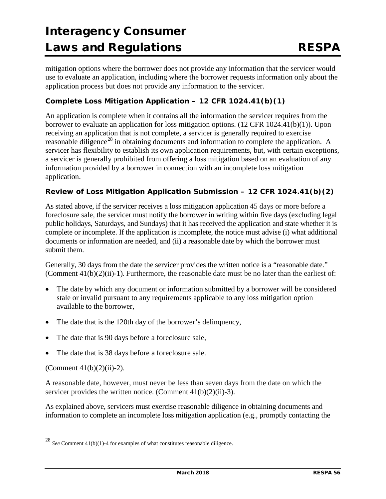mitigation options where the borrower does not provide any information that the servicer would use to evaluate an application, including where the borrower requests information only about the application process but does not provide any information to the servicer.

#### *Complete Loss Mitigation Application – 12 CFR 1024.41(b)(1)*

An application is complete when it contains all the information the servicer requires from the borrower to evaluate an application for loss mitigation options. (12 CFR 1024.41(b)(1)). Upon receiving an application that is not complete, a servicer is generally required to exercise reasonable diligence<sup>[28](#page-55-0)</sup> in obtaining documents and information to complete the application. A servicer has flexibility to establish its own application requirements, but, with certain exceptions, a servicer is generally prohibited from offering a loss mitigation based on an evaluation of any information provided by a borrower in connection with an incomplete loss mitigation application.

#### *Review of Loss Mitigation Application Submission – 12 CFR 1024.41(b)(2)*

As stated above, if the servicer receives a loss mitigation application 45 days or more before a foreclosure sale, the servicer must notify the borrower in writing within five days (excluding legal public holidays, Saturdays, and Sundays) that it has received the application and state whether it is complete or incomplete. If the application is incomplete, the notice must advise (i) what additional documents or information are needed, and (ii) a reasonable date by which the borrower must submit them.

Generally, 30 days from the date the servicer provides the written notice is a "reasonable date." (Comment  $41(b)(2)(ii)$ -1). Furthermore, the reasonable date must be no later than the earliest of:

- The date by which any document or information submitted by a borrower will be considered stale or invalid pursuant to any requirements applicable to any loss mitigation option available to the borrower,
- The date that is the 120th day of the borrower's delinquency,
- The date that is 90 days before a foreclosure sale,
- The date that is 38 days before a foreclosure sale.

(Comment  $41(b)(2)(ii) - 2$ ).

j

A reasonable date, however, must never be less than seven days from the date on which the servicer provides the written notice. (Comment 41(b)(2)(ii)-3).

As explained above, servicers must exercise reasonable diligence in obtaining documents and information to complete an incomplete loss mitigation application (e.g., promptly contacting the

<span id="page-55-0"></span><sup>28</sup> *See* Comment 41(b)(1)-4 for examples of what constitutes reasonable diligence.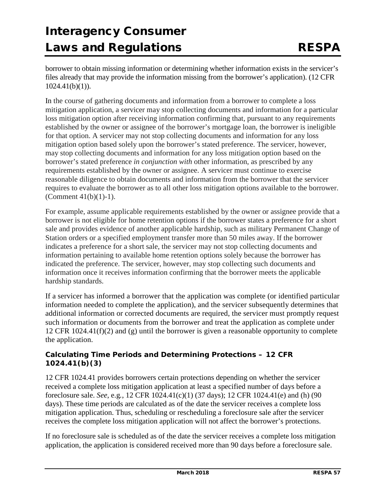borrower to obtain missing information or determining whether information exists in the servicer's files already that may provide the information missing from the borrower's application). (12 CFR  $1024.41(b)(1)$ ).

In the course of gathering documents and information from a borrower to complete a loss mitigation application, a servicer may stop collecting documents and information for a particular loss mitigation option after receiving information confirming that, pursuant to any requirements established by the owner or assignee of the borrower's mortgage loan, the borrower is ineligible for that option. A servicer may not stop collecting documents and information for any loss mitigation option based solely upon the borrower's stated preference. The servicer, however, may stop collecting documents and information for any loss mitigation option based on the borrower's stated preference *in conjunction with* other information, as prescribed by any requirements established by the owner or assignee. A servicer must continue to exercise reasonable diligence to obtain documents and information from the borrower that the servicer requires to evaluate the borrower as to all other loss mitigation options available to the borrower. (Comment 41(b)(1)-1).

For example, assume applicable requirements established by the owner or assignee provide that a borrower is not eligible for home retention options if the borrower states a preference for a short sale and provides evidence of another applicable hardship, such as military Permanent Change of Station orders or a specified employment transfer more than 50 miles away. If the borrower indicates a preference for a short sale, the servicer may not stop collecting documents and information pertaining to available home retention options solely because the borrower has indicated the preference. The servicer, however, may stop collecting such documents and information once it receives information confirming that the borrower meets the applicable hardship standards.

If a servicer has informed a borrower that the application was complete (or identified particular information needed to complete the application), and the servicer subsequently determines that additional information or corrected documents are required, the servicer must promptly request such information or documents from the borrower and treat the application as complete under 12 CFR 1024.41(f)(2) and (g) until the borrower is given a reasonable opportunity to complete the application.

#### *Calculating Time Periods and Determining Protections – 12 CFR 1024.41(b)(3)*

12 CFR 1024.41 provides borrowers certain protections depending on whether the servicer received a complete loss mitigation application at least a specified number of days before a foreclosure sale. *See*, e.g*.*, 12 CFR 1024.41(c)(1) (37 days); 12 CFR 1024.41(e) and (h) (90 days). These time periods are calculated as of the date the servicer receives a complete loss mitigation application. Thus, scheduling or rescheduling a foreclosure sale after the servicer receives the complete loss mitigation application will not affect the borrower's protections.

If no foreclosure sale is scheduled as of the date the servicer receives a complete loss mitigation application, the application is considered received more than 90 days before a foreclosure sale.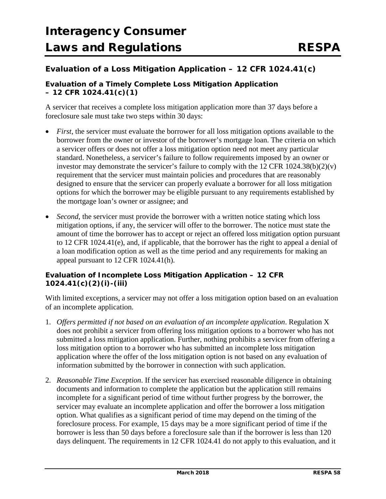### **Evaluation of a Loss Mitigation Application – 12 CFR 1024.41(c)**

#### *Evaluation of a Timely Complete Loss Mitigation Application – 12 CFR 1024.41(c)(1)*

A servicer that receives a complete loss mitigation application more than 37 days before a foreclosure sale must take two steps within 30 days:

- *First*, the servicer must evaluate the borrower for all loss mitigation options available to the borrower from the owner or investor of the borrower's mortgage loan. The criteria on which a servicer offers or does not offer a loss mitigation option need not meet any particular standard. Nonetheless, a servicer's failure to follow requirements imposed by an owner or investor may demonstrate the servicer's failure to comply with the 12 CFR  $1024.38(b)(2)(v)$ requirement that the servicer must maintain policies and procedures that are reasonably designed to ensure that the servicer can properly evaluate a borrower for all loss mitigation options for which the borrower may be eligible pursuant to any requirements established by the mortgage loan's owner or assignee; and
- *Second*, the servicer must provide the borrower with a written notice stating which loss mitigation options, if any, the servicer will offer to the borrower. The notice must state the amount of time the borrower has to accept or reject an offered loss mitigation option pursuant to 12 CFR 1024.41(e), and, if applicable, that the borrower has the right to appeal a denial of a loan modification option as well as the time period and any requirements for making an appeal pursuant to 12 CFR 1024.41(h).

#### *Evaluation of Incomplete Loss Mitigation Application – 12 CFR 1024.41(c)(2)(i)-(iii)*

With limited exceptions, a servicer may not offer a loss mitigation option based on an evaluation of an incomplete application.

- 1. *Offers permitted if not based on an evaluation of an incomplete application*. Regulation X does not prohibit a servicer from offering loss mitigation options to a borrower who has not submitted a loss mitigation application. Further, nothing prohibits a servicer from offering a loss mitigation option to a borrower who has submitted an incomplete loss mitigation application where the offer of the loss mitigation option is not based on any evaluation of information submitted by the borrower in connection with such application.
- 2. *Reasonable Time Exception*. If the servicer has exercised reasonable diligence in obtaining documents and information to complete the application but the application still remains incomplete for a significant period of time without further progress by the borrower, the servicer may evaluate an incomplete application and offer the borrower a loss mitigation option. What qualifies as a significant period of time may depend on the timing of the foreclosure process. For example, 15 days may be a more significant period of time if the borrower is less than 50 days before a foreclosure sale than if the borrower is less than 120 days delinquent. The requirements in 12 CFR 1024.41 do not apply to this evaluation, and it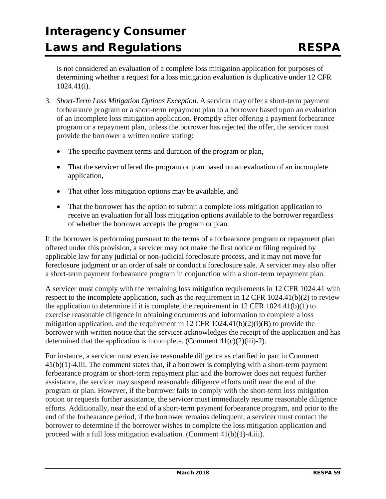is not considered an evaluation of a complete loss mitigation application for purposes of determining whether a request for a loss mitigation evaluation is duplicative under 12 CFR 1024.41(i).

- 3. *Short-Term Loss Mitigation Options Exception*. A servicer may offer a short-term payment forbearance program or a short-term repayment plan to a borrower based upon an evaluation of an incomplete loss mitigation application. Promptly after offering a payment forbearance program or a repayment plan, unless the borrower has rejected the offer, the servicer must provide the borrower a written notice stating:
	- The specific payment terms and duration of the program or plan,
	- That the servicer offered the program or plan based on an evaluation of an incomplete application,
	- That other loss mitigation options may be available, and
	- That the borrower has the option to submit a complete loss mitigation application to receive an evaluation for all loss mitigation options available to the borrower regardless of whether the borrower accepts the program or plan.

If the borrower is performing pursuant to the terms of a forbearance program or repayment plan offered under this provision, a servicer may not make the first notice or filing required by applicable law for any judicial or non-judicial foreclosure process, and it may not move for foreclosure judgment or an order of sale or conduct a foreclosure sale. A servicer may also offer a short-term payment forbearance program in conjunction with a short-term repayment plan.

A servicer must comply with the remaining loss mitigation requirements in 12 CFR 1024.41 with respect to the incomplete application, such as the requirement in 12 CFR 1024.41(b)(2) to review the application to determine if it is complete, the requirement in  $12$  CFR  $1024.41(b)(1)$  to exercise reasonable diligence in obtaining documents and information to complete a loss mitigation application, and the requirement in 12 CFR  $1024.41(b)(2)(i)(B)$  to provide the borrower with written notice that the servicer acknowledges the receipt of the application and has determined that the application is incomplete. (Comment  $41(c)(2)(iii)$ -2).

For instance, a servicer must exercise reasonable diligence as clarified in part in Comment 41(b)(1)-4.iii. The comment states that, if a borrower is complying with a short-term payment forbearance program or short-term repayment plan and the borrower does not request further assistance, the servicer may suspend reasonable diligence efforts until near the end of the program or plan. However, if the borrower fails to comply with the short-term loss mitigation option or requests further assistance, the servicer must immediately resume reasonable diligence efforts. Additionally, near the end of a short-term payment forbearance program, and prior to the end of the forbearance period, if the borrower remains delinquent, a servicer must contact the borrower to determine if the borrower wishes to complete the loss mitigation application and proceed with a full loss mitigation evaluation. (Comment 41(b)(1)-4.iii).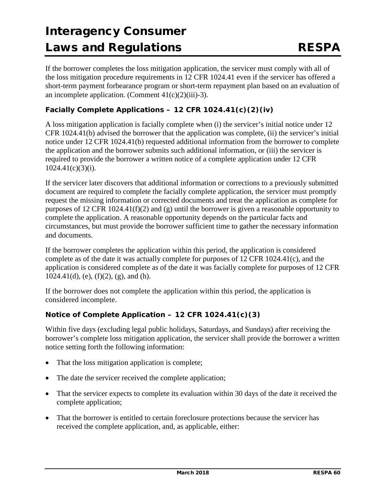If the borrower completes the loss mitigation application, the servicer must comply with all of the loss mitigation procedure requirements in 12 CFR 1024.41 even if the servicer has offered a short-term payment forbearance program or short-term repayment plan based on an evaluation of an incomplete application. (Comment  $41(c)(2)(iii)$ -3).

### *Facially Complete Applications – 12 CFR 1024.41(c)(2)(iv)*

A loss mitigation application is facially complete when (i) the servicer's initial notice under 12 CFR 1024.41(b) advised the borrower that the application was complete, (ii) the servicer's initial notice under 12 CFR 1024.41(b) requested additional information from the borrower to complete the application and the borrower submits such additional information, or (iii) the servicer is required to provide the borrower a written notice of a complete application under 12 CFR 1024.41(c)(3)(i).

If the servicer later discovers that additional information or corrections to a previously submitted document are required to complete the facially complete application, the servicer must promptly request the missing information or corrected documents and treat the application as complete for purposes of 12 CFR 1024.41(f)(2) and (g) until the borrower is given a reasonable opportunity to complete the application. A reasonable opportunity depends on the particular facts and circumstances, but must provide the borrower sufficient time to gather the necessary information and documents.

If the borrower completes the application within this period, the application is considered complete as of the date it was actually complete for purposes of 12 CFR 1024.41(c), and the application is considered complete as of the date it was facially complete for purposes of 12 CFR  $1024.41(d)$ , (e),  $(f)(2)$ , (g), and (h).

If the borrower does not complete the application within this period, the application is considered incomplete.

### *Notice of Complete Application – 12 CFR 1024.41(c)(3)*

Within five days (excluding legal public holidays, Saturdays, and Sundays) after receiving the borrower's complete loss mitigation application, the servicer shall provide the borrower a written notice setting forth the following information:

- That the loss mitigation application is complete;
- The date the servicer received the complete application;
- That the servicer expects to complete its evaluation within 30 days of the date it received the complete application;
- That the borrower is entitled to certain foreclosure protections because the servicer has received the complete application, and, as applicable, either: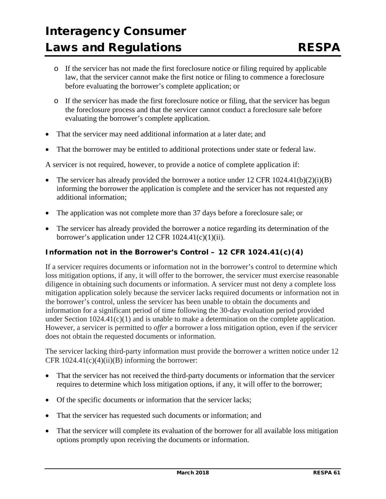- o If the servicer has not made the first foreclosure notice or filing required by applicable law, that the servicer cannot make the first notice or filing to commence a foreclosure before evaluating the borrower's complete application; or
- o If the servicer has made the first foreclosure notice or filing, that the servicer has begun the foreclosure process and that the servicer cannot conduct a foreclosure sale before evaluating the borrower's complete application.
- That the servicer may need additional information at a later date; and
- That the borrower may be entitled to additional protections under state or federal law.

A servicer is not required, however, to provide a notice of complete application if:

- The servicer has already provided the borrower a notice under  $12 \text{ CFR } 1024.41(b)(2)(i)(B)$ informing the borrower the application is complete and the servicer has not requested any additional information;
- The application was not complete more than 37 days before a foreclosure sale; or
- The servicer has already provided the borrower a notice regarding its determination of the borrower's application under 12 CFR 1024.41(c)(1)(ii).

#### *Information not in* **the** *Borrower's Control – 12 CFR 1024.41(c)(4)*

If a servicer requires documents or information not in the borrower's control to determine which loss mitigation options, if any, it will offer to the borrower, the servicer must exercise reasonable diligence in obtaining such documents or information. A servicer must not deny a complete loss mitigation application solely because the servicer lacks required documents or information not in the borrower's control, unless the servicer has been unable to obtain the documents and information for a significant period of time following the 30-day evaluation period provided under Section 1024.41(c)(1) and is unable to make a determination on the complete application. However, a servicer is permitted to *offer* a borrower a loss mitigation option, even if the servicer does not obtain the requested documents or information.

The servicer lacking third-party information must provide the borrower a written notice under 12 CFR  $1024.41(c)(4)(ii)(B)$  informing the borrower:

- That the servicer has not received the third-party documents or information that the servicer requires to determine which loss mitigation options, if any, it will offer to the borrower;
- Of the specific documents or information that the servicer lacks;
- That the servicer has requested such documents or information; and
- That the servicer will complete its evaluation of the borrower for all available loss mitigation options promptly upon receiving the documents or information.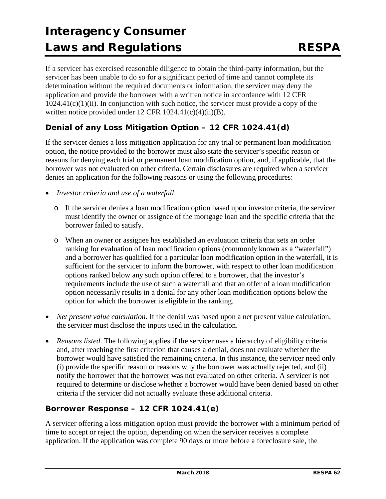If a servicer has exercised reasonable diligence to obtain the third-party information, but the servicer has been unable to do so for a significant period of time and cannot complete its determination without the required documents or information, the servicer may deny the application and provide the borrower with a written notice in accordance with 12 CFR  $1024.41(c)(1)(ii)$ . In conjunction with such notice, the servicer must provide a copy of the written notice provided under 12 CFR 1024.41(c)(4)(ii)(B).

### **Denial of any Loss Mitigation Option – 12 CFR 1024.41(d)**

If the servicer denies a loss mitigation application for any trial or permanent loan modification option, the notice provided to the borrower must also state the servicer's specific reason or reasons for denying each trial or permanent loan modification option, and, if applicable, that the borrower was not evaluated on other criteria. Certain disclosures are required when a servicer denies an application for the following reasons or using the following procedures:

- *Investor criteria and use of a waterfall*.
	- o If the servicer denies a loan modification option based upon investor criteria, the servicer must identify the owner or assignee of the mortgage loan and the specific criteria that the borrower failed to satisfy.
	- o When an owner or assignee has established an evaluation criteria that sets an order ranking for evaluation of loan modification options (commonly known as a "waterfall") and a borrower has qualified for a particular loan modification option in the waterfall, it is sufficient for the servicer to inform the borrower, with respect to other loan modification options ranked below any such option offered to a borrower, that the investor's requirements include the use of such a waterfall and that an offer of a loan modification option necessarily results in a denial for any other loan modification options below the option for which the borrower is eligible in the ranking.
- *Net present value calculation*. If the denial was based upon a net present value calculation, the servicer must disclose the inputs used in the calculation.
- *Reasons listed*. The following applies if the servicer uses a hierarchy of eligibility criteria and, after reaching the first criterion that causes a denial, does not evaluate whether the borrower would have satisfied the remaining criteria. In this instance, the servicer need only (i) provide the specific reason or reasons why the borrower was actually rejected, and (ii) notify the borrower that the borrower was not evaluated on other criteria. A servicer is not required to determine or disclose whether a borrower would have been denied based on other criteria if the servicer did not actually evaluate these additional criteria.

### **Borrower Response – 12 CFR 1024.41(e)**

A servicer offering a loss mitigation option must provide the borrower with a minimum period of time to accept or reject the option, depending on when the servicer receives a complete application. If the application was complete 90 days or more before a foreclosure sale, the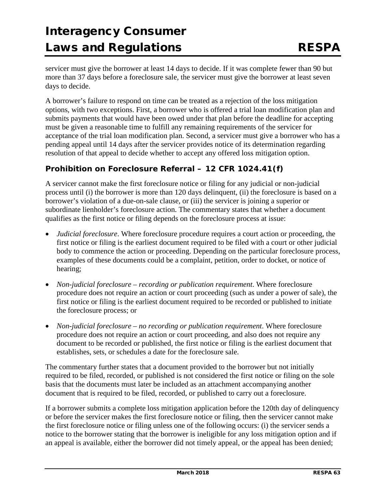servicer must give the borrower at least 14 days to decide. If it was complete fewer than 90 but more than 37 days before a foreclosure sale, the servicer must give the borrower at least seven days to decide.

A borrower's failure to respond on time can be treated as a rejection of the loss mitigation options, with two exceptions. First, a borrower who is offered a trial loan modification plan and submits payments that would have been owed under that plan before the deadline for accepting must be given a reasonable time to fulfill any remaining requirements of the servicer for acceptance of the trial loan modification plan. Second, a servicer must give a borrower who has a pending appeal until 14 days after the servicer provides notice of its determination regarding resolution of that appeal to decide whether to accept any offered loss mitigation option.

#### **Prohibition on Foreclosure Referral – 12 CFR 1024.41(f)**

A servicer cannot make the first foreclosure notice or filing for any judicial or non-judicial process until (i) the borrower is more than 120 days delinquent, (ii) the foreclosure is based on a borrower's violation of a due-on-sale clause, or (iii) the servicer is joining a superior or subordinate lienholder's foreclosure action. The commentary states that whether a document qualifies as the first notice or filing depends on the foreclosure process at issue:

- *Judicial foreclosure*. Where foreclosure procedure requires a court action or proceeding, the first notice or filing is the earliest document required to be filed with a court or other judicial body to commence the action or proceeding. Depending on the particular foreclosure process, examples of these documents could be a complaint, petition, order to docket, or notice of hearing;
- *Non-judicial foreclosure – recording or publication requirement*. Where foreclosure procedure does not require an action or court proceeding (such as under a power of sale), the first notice or filing is the earliest document required to be recorded or published to initiate the foreclosure process; or
- *Non-judicial foreclosure – no recording or publication requirement*. Where foreclosure procedure does not require an action or court proceeding, and also does not require any document to be recorded or published, the first notice or filing is the earliest document that establishes, sets, or schedules a date for the foreclosure sale.

The commentary further states that a document provided to the borrower but not initially required to be filed, recorded, or published is not considered the first notice or filing on the sole basis that the documents must later be included as an attachment accompanying another document that is required to be filed, recorded, or published to carry out a foreclosure.

If a borrower submits a complete loss mitigation application before the 120th day of delinquency or before the servicer makes the first foreclosure notice or filing, then the servicer cannot make the first foreclosure notice or filing unless one of the following occurs: (i) the servicer sends a notice to the borrower stating that the borrower is ineligible for any loss mitigation option and if an appeal is available, either the borrower did not timely appeal, or the appeal has been denied;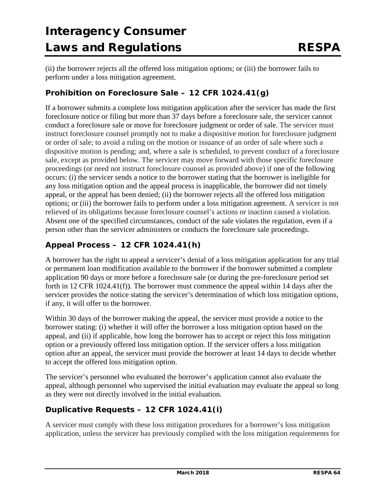(ii) the borrower rejects all the offered loss mitigation options; or (iii) the borrower fails to perform under a loss mitigation agreement.

### **Prohibition on Foreclosure Sale – 12 CFR 1024.41(g)**

If a borrower submits a complete loss mitigation application after the servicer has made the first foreclosure notice or filing but more than 37 days before a foreclosure sale, the servicer cannot conduct a foreclosure sale or move for foreclosure judgment or order of sale. The servicer must instruct foreclosure counsel promptly not to make a dispositive motion for foreclosure judgment or order of sale; to avoid a ruling on the motion or issuance of an order of sale where such a dispositive motion is pending; and, where a sale is scheduled, to prevent conduct of a foreclosure sale, except as provided below. The servicer may move forward with those specific foreclosure proceedings (or need not instruct foreclosure counsel as provided above) if one of the following occurs: (i) the servicer sends a notice to the borrower stating that the borrower is ineligible for any loss mitigation option and the appeal process is inapplicable, the borrower did not timely appeal, or the appeal has been denied; (ii) the borrower rejects all the offered loss mitigation options; or (iii) the borrower fails to perform under a loss mitigation agreement. A servicer is not relieved of its obligations because foreclosure counsel's actions or inaction caused a violation. Absent one of the specified circumstances, conduct of the sale violates the regulation, even if a person other than the servicer administers or conducts the foreclosure sale proceedings.

### **Appeal Process – 12 CFR 1024.41(h)**

A borrower has the right to appeal a servicer's denial of a loss mitigation application for any trial or permanent loan modification available to the borrower if the borrower submitted a complete application 90 days or more before a foreclosure sale (or during the pre-foreclosure period set forth in 12 CFR 1024.41(f)). The borrower must commence the appeal within 14 days after the servicer provides the notice stating the servicer's determination of which loss mitigation options, if any, it will offer to the borrower.

Within 30 days of the borrower making the appeal, the servicer must provide a notice to the borrower stating: (i) whether it will offer the borrower a loss mitigation option based on the appeal, and (ii) if applicable, how long the borrower has to accept or reject this loss mitigation option or a previously offered loss mitigation option. If the servicer offers a loss mitigation option after an appeal, the servicer must provide the borrower at least 14 days to decide whether to accept the offered loss mitigation option.

The servicer's personnel who evaluated the borrower's application cannot also evaluate the appeal, although personnel who supervised the initial evaluation may evaluate the appeal so long as they were not directly involved in the initial evaluation.

### **Duplicative Requests – 12 CFR 1024.41(i)**

A servicer must comply with these loss mitigation procedures for a borrower's loss mitigation application, unless the servicer has previously complied with the loss mitigation requirements for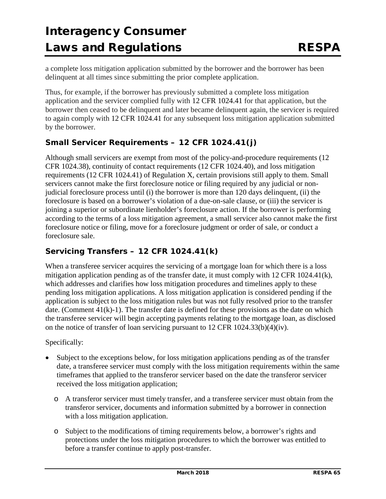a complete loss mitigation application submitted by the borrower and the borrower has been delinquent at all times since submitting the prior complete application.

Thus, for example, if the borrower has previously submitted a complete loss mitigation application and the servicer complied fully with 12 CFR 1024.41 for that application, but the borrower then ceased to be delinquent and later became delinquent again, the servicer is required to again comply with 12 CFR 1024.41 for any subsequent loss mitigation application submitted by the borrower.

### **Small Servicer Requirements – 12 CFR 1024.41(j)**

Although small servicers are exempt from most of the policy-and-procedure requirements (12 CFR 1024.38), continuity of contact requirements (12 CFR 1024.40), and loss mitigation requirements (12 CFR 1024.41) of Regulation X, certain provisions still apply to them. Small servicers cannot make the first foreclosure notice or filing required by any judicial or nonjudicial foreclosure process until (i) the borrower is more than 120 days delinquent, (ii) the foreclosure is based on a borrower's violation of a due-on-sale clause, or (iii) the servicer is joining a superior or subordinate lienholder's foreclosure action. If the borrower is performing according to the terms of a loss mitigation agreement, a small servicer also cannot make the first foreclosure notice or filing, move for a foreclosure judgment or order of sale, or conduct a foreclosure sale.

### **Servicing Transfers – 12 CFR 1024.41(k)**

When a transferee servicer acquires the servicing of a mortgage loan for which there is a loss mitigation application pending as of the transfer date, it must comply with  $12$  CFR 1024.41(k), which addresses and clarifies how loss mitigation procedures and timelines apply to these pending loss mitigation applications. A loss mitigation application is considered pending if the application is subject to the loss mitigation rules but was not fully resolved prior to the transfer date. (Comment  $41(k)-1$ ). The transfer date is defined for these provisions as the date on which the transferee servicer will begin accepting payments relating to the mortgage loan, as disclosed on the notice of transfer of loan servicing pursuant to 12 CFR 1024.33(b)(4)(iv).

#### Specifically:

- Subject to the exceptions below, for loss mitigation applications pending as of the transfer date, a transferee servicer must comply with the loss mitigation requirements within the same timeframes that applied to the transferor servicer based on the date the transferor servicer received the loss mitigation application;
	- o A transferor servicer must timely transfer, and a transferee servicer must obtain from the transferor servicer, documents and information submitted by a borrower in connection with a loss mitigation application.
	- o Subject to the modifications of timing requirements below, a borrower's rights and protections under the loss mitigation procedures to which the borrower was entitled to before a transfer continue to apply post-transfer.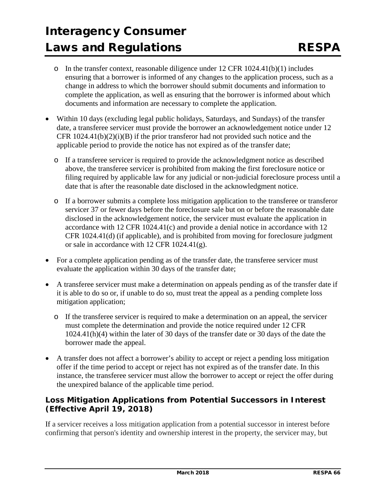- o In the transfer context, reasonable diligence under 12 CFR 1024.41(b)(1) includes ensuring that a borrower is informed of any changes to the application process, such as a change in address to which the borrower should submit documents and information to complete the application, as well as ensuring that the borrower is informed about which documents and information are necessary to complete the application.
- Within 10 days (excluding legal public holidays, Saturdays, and Sundays) of the transfer date, a transferee servicer must provide the borrower an acknowledgement notice under 12 CFR  $1024.41(b)(2)(i)(B)$  if the prior transferor had not provided such notice and the applicable period to provide the notice has not expired as of the transfer date;
	- o If a transferee servicer is required to provide the acknowledgment notice as described above, the transferee servicer is prohibited from making the first foreclosure notice or filing required by applicable law for any judicial or non-judicial foreclosure process until a date that is after the reasonable date disclosed in the acknowledgment notice.
	- o If a borrower submits a complete loss mitigation application to the transferee or transferor servicer 37 or fewer days before the foreclosure sale but on or before the reasonable date disclosed in the acknowledgement notice, the servicer must evaluate the application in accordance with 12 CFR 1024.41(c) and provide a denial notice in accordance with 12 CFR 1024.41(d) (if applicable), and is prohibited from moving for foreclosure judgment or sale in accordance with 12 CFR 1024.41(g).
- For a complete application pending as of the transfer date, the transferee servicer must evaluate the application within 30 days of the transfer date;
- A transferee servicer must make a determination on appeals pending as of the transfer date if it is able to do so or, if unable to do so, must treat the appeal as a pending complete loss mitigation application;
	- o If the transferee servicer is required to make a determination on an appeal, the servicer must complete the determination and provide the notice required under 12 CFR 1024.41(h)(4) within the later of 30 days of the transfer date or 30 days of the date the borrower made the appeal.
- A transfer does not affect a borrower's ability to accept or reject a pending loss mitigation offer if the time period to accept or reject has not expired as of the transfer date. In this instance, the transferee servicer must allow the borrower to accept or reject the offer during the unexpired balance of the applicable time period.

### **Loss Mitigation Applications from Potential Successors in Interest (Effective April 19, 2018)**

If a servicer receives a loss mitigation application from a potential successor in interest before confirming that person's identity and ownership interest in the property, the servicer may, but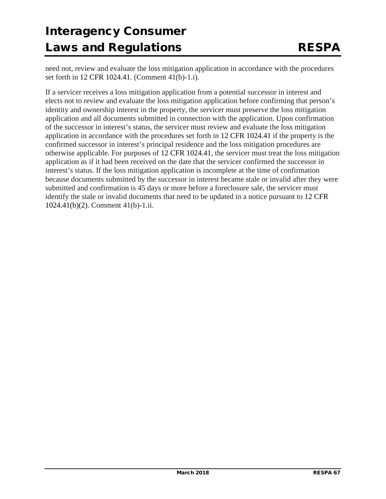need not, review and evaluate the loss mitigation application in accordance with the procedures set forth in 12 CFR 1024.41. (Comment 41(b)-1.i).

If a servicer receives a loss mitigation application from a potential successor in interest and elects not to review and evaluate the loss mitigation application before confirming that person's identity and ownership interest in the property, the servicer must preserve the loss mitigation application and all documents submitted in connection with the application. Upon confirmation of the successor in interest's status, the servicer must review and evaluate the loss mitigation application in accordance with the procedures set forth in 12 CFR 1024.41 if the property is the confirmed successor in interest's principal residence and the loss mitigation procedures are otherwise applicable. For purposes of 12 CFR 1024.41, the servicer must treat the loss mitigation application as if it had been received on the date that the servicer confirmed the successor in interest's status. If the loss mitigation application is incomplete at the time of confirmation because documents submitted by the successor in interest became stale or invalid after they were submitted and confirmation is 45 days or more before a foreclosure sale, the servicer must identify the stale or invalid documents that need to be updated in a notice pursuant to 12 CFR 1024.41(b)(2). Comment 41(b)-1.ii.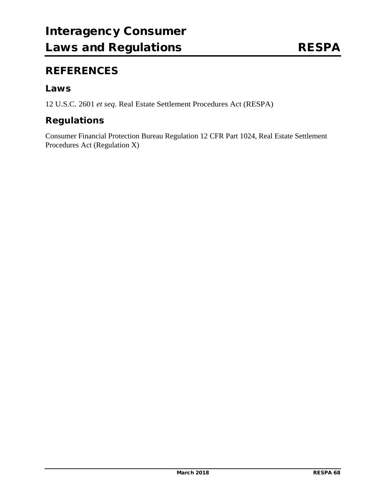### **REFERENCES**

### **Laws**

12 U.S.C. 2601 *et seq*. Real Estate Settlement Procedures Act (RESPA)

### **Regulations**

Consumer Financial Protection Bureau Regulation 12 CFR Part 1024, Real Estate Settlement Procedures Act (Regulation X)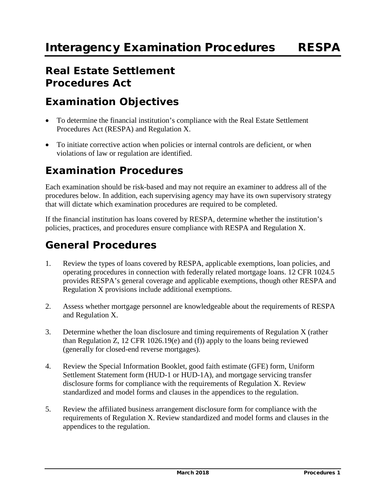### **Real Estate Settlement Procedures Act**

### **Examination Objectives**

- To determine the financial institution's compliance with the Real Estate Settlement Procedures Act (RESPA) and Regulation X.
- To initiate corrective action when policies or internal controls are deficient, or when violations of law or regulation are identified.

### **Examination Procedures**

Each examination should be risk-based and may not require an examiner to address all of the procedures below. In addition, each supervising agency may have its own supervisory strategy that will dictate which examination procedures are required to be completed.

If the financial institution has loans covered by RESPA, determine whether the institution's policies, practices, and procedures ensure compliance with RESPA and Regulation X.

### **General Procedures**

- 1. Review the types of loans covered by RESPA, applicable exemptions, loan policies, and operating procedures in connection with federally related mortgage loans. 12 CFR 1024.5 provides RESPA's general coverage and applicable exemptions, though other RESPA and Regulation X provisions include additional exemptions.
- 2. Assess whether mortgage personnel are knowledgeable about the requirements of RESPA and Regulation X.
- 3. Determine whether the loan disclosure and timing requirements of Regulation X (rather than Regulation Z, 12 CFR 1026.19(e) and (f)) apply to the loans being reviewed (generally for closed-end reverse mortgages).
- 4. Review the Special Information Booklet, good faith estimate (GFE) form, Uniform Settlement Statement form (HUD-1 or HUD-1A), and mortgage servicing transfer disclosure forms for compliance with the requirements of Regulation X. Review standardized and model forms and clauses in the appendices to the regulation.
- 5. Review the affiliated business arrangement disclosure form for compliance with the requirements of Regulation X. Review standardized and model forms and clauses in the appendices to the regulation.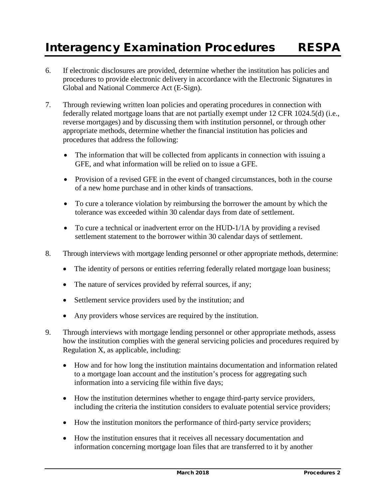### Interagency Examination Procedures RESPA

- 6. If electronic disclosures are provided, determine whether the institution has policies and procedures to provide electronic delivery in accordance with the Electronic Signatures in Global and National Commerce Act (E-Sign).
- 7. Through reviewing written loan policies and operating procedures in connection with federally related mortgage loans that are not partially exempt under 12 CFR 1024.5(d) (i.e., reverse mortgages) and by discussing them with institution personnel, or through other appropriate methods, determine whether the financial institution has policies and procedures that address the following:
	- The information that will be collected from applicants in connection with issuing a GFE, and what information will be relied on to issue a GFE.
	- Provision of a revised GFE in the event of changed circumstances, both in the course of a new home purchase and in other kinds of transactions.
	- To cure a tolerance violation by reimbursing the borrower the amount by which the tolerance was exceeded within 30 calendar days from date of settlement.
	- To cure a technical or inadvertent error on the HUD-1/1A by providing a revised settlement statement to the borrower within 30 calendar days of settlement.
- 8. Through interviews with mortgage lending personnel or other appropriate methods, determine:
	- The identity of persons or entities referring federally related mortgage loan business;
	- The nature of services provided by referral sources, if any;
	- Settlement service providers used by the institution; and
	- Any providers whose services are required by the institution.
- 9. Through interviews with mortgage lending personnel or other appropriate methods, assess how the institution complies with the general servicing policies and procedures required by Regulation X, as applicable, including:
	- How and for how long the institution maintains documentation and information related to a mortgage loan account and the institution's process for aggregating such information into a servicing file within five days;
	- How the institution determines whether to engage third-party service providers, including the criteria the institution considers to evaluate potential service providers;
	- How the institution monitors the performance of third-party service providers;
	- How the institution ensures that it receives all necessary documentation and information concerning mortgage loan files that are transferred to it by another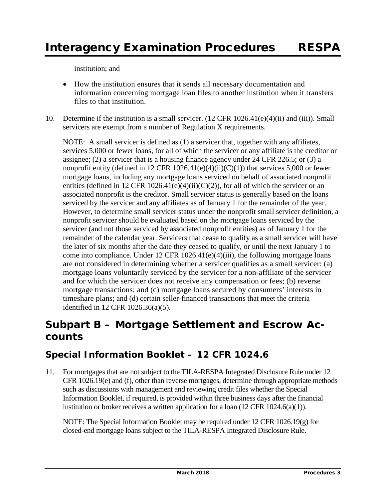institution; and

- How the institution ensures that it sends all necessary documentation and information concerning mortgage loan files to another institution when it transfers files to that institution.
- 10. Determine if the institution is a small servicer. (12 CFR 1026.41(e)(4)(ii) and (iii)). Small servicers are exempt from a number of Regulation X requirements.

NOTE: A small servicer is defined as (1) a servicer that, together with any affiliates, services 5,000 or fewer loans, for all of which the servicer or any affiliate is the creditor or assignee; (2) a servicer that is a housing finance agency under 24 CFR 226.5; or (3) a nonprofit entity (defined in 12 CFR  $1026.41(e)(4)(ii)(C)(1)$ ) that services 5,000 or fewer mortgage loans, including any mortgage loans serviced on behalf of associated nonprofit entities (defined in 12 CFR 1026.41(e)(4)(ii)(C)(2)), for all of which the servicer or an associated nonprofit is the creditor. Small servicer status is generally based on the loans serviced by the servicer and any affiliates as of January 1 for the remainder of the year. However, to determine small servicer status under the nonprofit small servicer definition, a nonprofit servicer should be evaluated based on the mortgage loans serviced by the servicer (and not those serviced by associated nonprofit entities) as of January 1 for the remainder of the calendar year. Servicers that cease to qualify as a small servicer will have the later of six months after the date they ceased to qualify, or until the next January 1 to come into compliance. Under 12 CFR 1026.41(e)(4)(iii), the following mortgage loans are not considered in determining whether a servicer qualifies as a small servicer: (a) mortgage loans voluntarily serviced by the servicer for a non-affiliate of the servicer and for which the servicer does not receive any compensation or fees; (b) reverse mortgage transactions; and (c) mortgage loans secured by consumers' interests in timeshare plans; and (d) certain seller-financed transactions that meet the criteria identified in 12 CFR 1026.36(a)(5).

### **Subpart B – Mortgage Settlement and Escrow Accounts**

### **Special Information Booklet – 12 CFR 1024.6**

11. For mortgages that are not subject to the TILA-RESPA Integrated Disclosure Rule under 12 CFR  $1026.19(e)$  and (f), other than reverse mortgages, determine through appropriate methods such as discussions with management and reviewing credit files whether the Special Information Booklet, if required, is provided within three business days after the financial institution or broker receives a written application for a loan  $(12 \text{ CFR } 1024.6(a)(1))$ .

NOTE: The Special Information Booklet may be required under 12 CFR 1026.19(g) for closed-end mortgage loans subject to the TILA-RESPA Integrated Disclosure Rule.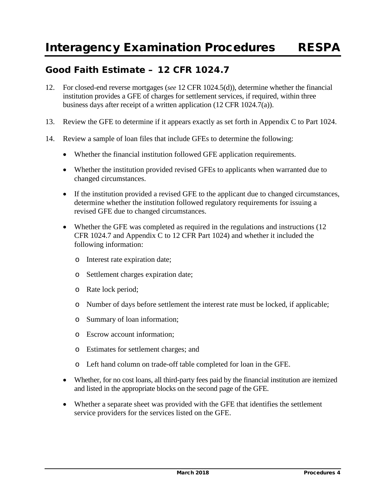### **Good Faith Estimate – 12 CFR 1024.7**

- 12. For closed-end reverse mortgages (*see* 12 CFR 1024.5(d)), determine whether the financial institution provides a GFE of charges for settlement services, if required, within three business days after receipt of a written application (12 CFR 1024.7(a)).
- 13. Review the GFE to determine if it appears exactly as set forth in Appendix C to Part 1024.
- 14. Review a sample of loan files that include GFEs to determine the following:
	- Whether the financial institution followed GFE application requirements.
	- Whether the institution provided revised GFEs to applicants when warranted due to changed circumstances.
	- If the institution provided a revised GFE to the applicant due to changed circumstances, determine whether the institution followed regulatory requirements for issuing a revised GFE due to changed circumstances.
	- Whether the GFE was completed as required in the regulations and instructions (12) CFR 1024.7 and Appendix C to 12 CFR Part 1024) and whether it included the following information:
		- o Interest rate expiration date;
		- o Settlement charges expiration date;
		- o Rate lock period;
		- o Number of days before settlement the interest rate must be locked, if applicable;
		- o Summary of loan information;
		- o Escrow account information;
		- o Estimates for settlement charges; and
		- o Left hand column on trade-off table completed for loan in the GFE.
	- Whether, for no cost loans, all third-party fees paid by the financial institution are itemized and listed in the appropriate blocks on the second page of the GFE.
	- Whether a separate sheet was provided with the GFE that identifies the settlement service providers for the services listed on the GFE.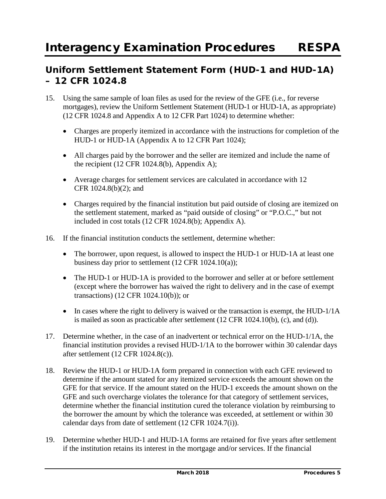## **Uniform Settlement Statement Form (HUD-1 and HUD-1A) – 12 CFR 1024.8**

- 15. Using the same sample of loan files as used for the review of the GFE (i.e., for reverse mortgages), review the Uniform Settlement Statement (HUD-1 or HUD-1A, as appropriate) (12 CFR 1024.8 and Appendix A to 12 CFR Part 1024) to determine whether:
	- Charges are properly itemized in accordance with the instructions for completion of the HUD-1 or HUD-1A (Appendix A to 12 CFR Part 1024);
	- All charges paid by the borrower and the seller are itemized and include the name of the recipient  $(12 \text{ CFR } 1024.8(b)$ , Appendix A);
	- Average charges for settlement services are calculated in accordance with 12 CFR 1024.8(b)(2); and
	- Charges required by the financial institution but paid outside of closing are itemized on the settlement statement, marked as "paid outside of closing" or "P.O.C.," but not included in cost totals (12 CFR 1024.8(b); Appendix A).
- 16. If the financial institution conducts the settlement, determine whether:
	- The borrower, upon request, is allowed to inspect the HUD-1 or HUD-1A at least one business day prior to settlement (12 CFR 1024.10(a));
	- The HUD-1 or HUD-1A is provided to the borrower and seller at or before settlement (except where the borrower has waived the right to delivery and in the case of exempt transactions) (12 CFR 1024.10(b)); or
	- In cases where the right to delivery is waived or the transaction is exempt, the HUD-1/1A is mailed as soon as practicable after settlement (12 CFR 1024.10(b), (c), and (d)).
- 17. Determine whether, in the case of an inadvertent or technical error on the HUD-1/1A, the financial institution provides a revised HUD-1/1A to the borrower within 30 calendar days after settlement (12 CFR 1024.8(c)).
- 18. Review the HUD-1 or HUD-1A form prepared in connection with each GFE reviewed to determine if the amount stated for any itemized service exceeds the amount shown on the GFE for that service. If the amount stated on the HUD-1 exceeds the amount shown on the GFE and such overcharge violates the tolerance for that category of settlement services, determine whether the financial institution cured the tolerance violation by reimbursing to the borrower the amount by which the tolerance was exceeded, at settlement or within 30 calendar days from date of settlement (12 CFR 1024.7(i)).
- 19. Determine whether HUD-1 and HUD-1A forms are retained for five years after settlement if the institution retains its interest in the mortgage and/or services. If the financial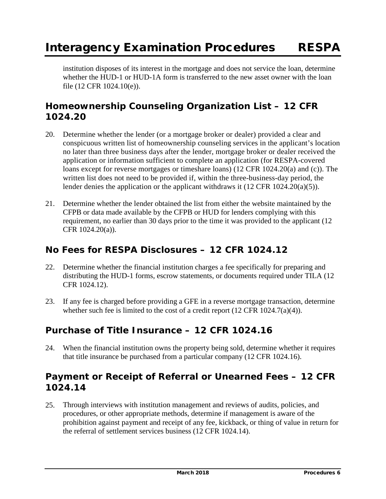institution disposes of its interest in the mortgage and does not service the loan, determine whether the HUD-1 or HUD-1A form is transferred to the new asset owner with the loan file (12 CFR 1024.10(e)).

# **Homeownership Counseling Organization List – 12 CFR 1024.20**

- 20. Determine whether the lender (or a mortgage broker or dealer) provided a clear and conspicuous written list of homeownership counseling services in the applicant's location no later than three business days after the lender, mortgage broker or dealer received the application or information sufficient to complete an application (for RESPA-covered loans except for reverse mortgages or timeshare loans) (12 CFR 1024.20(a) and (c)). The written list does not need to be provided if, within the three-business-day period, the lender denies the application or the applicant withdraws it (12 CFR 1024.20(a)(5)).
- 21. Determine whether the lender obtained the list from either the website maintained by the CFPB or data made available by the CFPB or HUD for lenders complying with this requirement, no earlier than 30 days prior to the time it was provided to the applicant (12 CFR 1024.20(a)).

# **No Fees for RESPA Disclosures – 12 CFR 1024.12**

- 22. Determine whether the financial institution charges a fee specifically for preparing and distributing the HUD-1 forms, escrow statements, or documents required under TILA (12 CFR 1024.12).
- 23. If any fee is charged before providing a GFE in a reverse mortgage transaction, determine whether such fee is limited to the cost of a credit report (12 CFR 1024.7(a)(4)).

# **Purchase of Title Insurance – 12 CFR 1024.16**

24. When the financial institution owns the property being sold, determine whether it requires that title insurance be purchased from a particular company (12 CFR 1024.16).

# **Payment or Receipt of Referral or Unearned Fees – 12 CFR 1024.14**

25. Through interviews with institution management and reviews of audits, policies, and procedures, or other appropriate methods, determine if management is aware of the prohibition against payment and receipt of any fee, kickback, or thing of value in return for the referral of settlement services business (12 CFR 1024.14).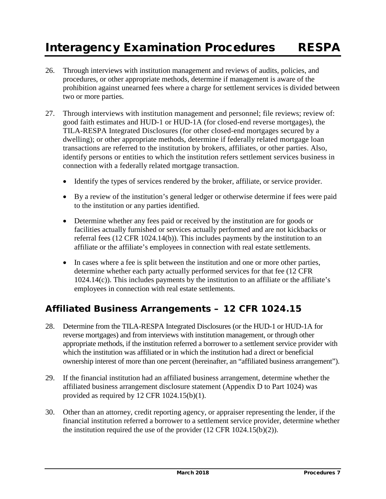- 26. Through interviews with institution management and reviews of audits, policies, and procedures, or other appropriate methods, determine if management is aware of the prohibition against unearned fees where a charge for settlement services is divided between two or more parties.
- 27. Through interviews with institution management and personnel; file reviews; review of: good faith estimates and HUD-1 or HUD-1A (for closed-end reverse mortgages), the TILA-RESPA Integrated Disclosures (for other closed-end mortgages secured by a dwelling); or other appropriate methods, determine if federally related mortgage loan transactions are referred to the institution by brokers, affiliates, or other parties. Also, identify persons or entities to which the institution refers settlement services business in connection with a federally related mortgage transaction.
	- Identify the types of services rendered by the broker, affiliate, or service provider.
	- By a review of the institution's general ledger or otherwise determine if fees were paid to the institution or any parties identified.
	- Determine whether any fees paid or received by the institution are for goods or facilities actually furnished or services actually performed and are not kickbacks or referral fees (12 CFR 1024.14(b)). This includes payments by the institution to an affiliate or the affiliate's employees in connection with real estate settlements.
	- In cases where a fee is split between the institution and one or more other parties, determine whether each party actually performed services for that fee (12 CFR 1024.14(c)). This includes payments by the institution to an affiliate or the affiliate's employees in connection with real estate settlements.

# **Affiliated Business Arrangements – 12 CFR 1024.15**

- 28. Determine from the TILA-RESPA Integrated Disclosures (or the HUD-1 or HUD-1A for reverse mortgages) and from interviews with institution management, or through other appropriate methods, if the institution referred a borrower to a settlement service provider with which the institution was affiliated or in which the institution had a direct or beneficial ownership interest of more than one percent (hereinafter, an "affiliated business arrangement").
- 29. If the financial institution had an affiliated business arrangement, determine whether the affiliated business arrangement disclosure statement (Appendix D to Part 1024) was provided as required by 12 CFR 1024.15(b)(1).
- 30. Other than an attorney, credit reporting agency, or appraiser representing the lender, if the financial institution referred a borrower to a settlement service provider, determine whether the institution required the use of the provider (12 CFR 1024.15(b)(2)).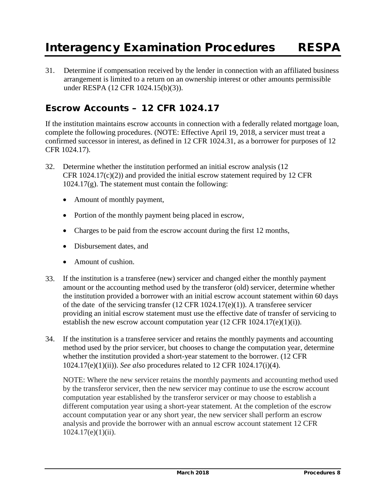31. Determine if compensation received by the lender in connection with an affiliated business arrangement is limited to a return on an ownership interest or other amounts permissible under RESPA (12 CFR 1024.15(b)(3)).

## **Escrow Accounts – 12 CFR 1024.17**

If the institution maintains escrow accounts in connection with a federally related mortgage loan, complete the following procedures. (NOTE: Effective April 19, 2018, a servicer must treat a confirmed successor in interest, as defined in 12 CFR 1024.31, as a borrower for purposes of 12 CFR 1024.17).

- 32. Determine whether the institution performed an initial escrow analysis (12 CFR  $1024.17(c)(2)$  and provided the initial escrow statement required by 12 CFR  $1024.17(g)$ . The statement must contain the following:
	- Amount of monthly payment,
	- Portion of the monthly payment being placed in escrow,
	- Charges to be paid from the escrow account during the first 12 months,
	- Disbursement dates, and
	- Amount of cushion.
- 33. If the institution is a transferee (new) servicer and changed either the monthly payment amount or the accounting method used by the transferor (old) servicer, determine whether the institution provided a borrower with an initial escrow account statement within 60 days of the date of the servicing transfer (12 CFR 1024.17(e)(1)). A transferee servicer providing an initial escrow statement must use the effective date of transfer of servicing to establish the new escrow account computation year  $(12 \text{ CFR } 1024.17(e)(1)(i)).$
- 34. If the institution is a transferee servicer and retains the monthly payments and accounting method used by the prior servicer, but chooses to change the computation year, determine whether the institution provided a short-year statement to the borrower. (12 CFR 1024.17(e)(1)(ii)). *See also* procedures related to 12 CFR 1024.17(i)(4).

NOTE: Where the new servicer retains the monthly payments and accounting method used by the transferor servicer, then the new servicer may continue to use the escrow account computation year established by the transferor servicer or may choose to establish a different computation year using a short-year statement. At the completion of the escrow account computation year or any short year, the new servicer shall perform an escrow analysis and provide the borrower with an annual escrow account statement 12 CFR  $1024.17(e)(1)(ii)$ .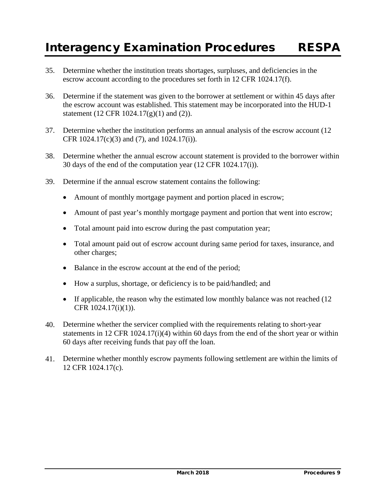- 35. Determine whether the institution treats shortages, surpluses, and deficiencies in the escrow account according to the procedures set forth in 12 CFR 1024.17(f).
- 36. Determine if the statement was given to the borrower at settlement or within 45 days after the escrow account was established. This statement may be incorporated into the HUD-1 statement (12 CFR 1024.17(g)(1) and (2)).
- 37. Determine whether the institution performs an annual analysis of the escrow account (12 CFR 1024.17(c)(3) and (7), and 1024.17(i)).
- 38. Determine whether the annual escrow account statement is provided to the borrower within 30 days of the end of the computation year (12 CFR 1024.17(i)).
- 39. Determine if the annual escrow statement contains the following:
	- Amount of monthly mortgage payment and portion placed in escrow;
	- Amount of past year's monthly mortgage payment and portion that went into escrow;
	- Total amount paid into escrow during the past computation year;
	- Total amount paid out of escrow account during same period for taxes, insurance, and other charges;
	- Balance in the escrow account at the end of the period;
	- How a surplus, shortage, or deficiency is to be paid/handled; and
	- If applicable, the reason why the estimated low monthly balance was not reached (12) CFR 1024.17(i)(1)).
- 40. Determine whether the servicer complied with the requirements relating to short-year statements in 12 CFR 1024.17(i)(4) within 60 days from the end of the short year or within 60 days after receiving funds that pay off the loan.
- 41. Determine whether monthly escrow payments following settlement are within the limits of 12 CFR 1024.17(c).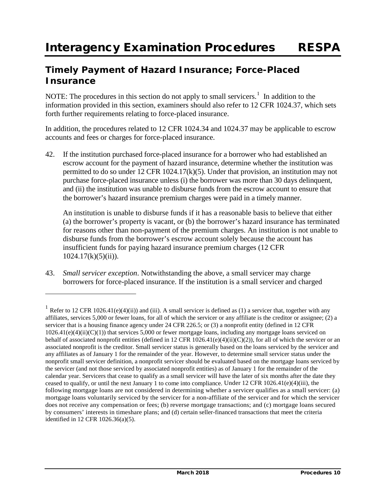# **Timely Payment of Hazard Insurance; Force-Placed Insurance**

NOTE: The procedures in this section do not apply to small servicers.<sup>[1](#page-77-0)</sup> In addition to the information provided in this section, examiners should also refer to 12 CFR 1024.37, which sets forth further requirements relating to force-placed insurance.

In addition, the procedures related to 12 CFR 1024.34 and 1024.37 may be applicable to escrow accounts and fees or charges for force-placed insurance.

42. If the institution purchased force-placed insurance for a borrower who had established an escrow account for the payment of hazard insurance, determine whether the institution was permitted to do so under 12 CFR 1024.17(k)(5). Under that provision, an institution may not purchase force-placed insurance unless (i) the borrower was more than 30 days delinquent, and (ii) the institution was unable to disburse funds from the escrow account to ensure that the borrower's hazard insurance premium charges were paid in a timely manner.

An institution is unable to disburse funds if it has a reasonable basis to believe that either (a) the borrower's property is vacant, or (b) the borrower's hazard insurance has terminated for reasons other than non-payment of the premium charges. An institution is not unable to disburse funds from the borrower's escrow account solely because the account has insufficient funds for paying hazard insurance premium charges (12 CFR  $1024.17(k)(5)(ii)$ ).

43. *Small servicer exception*. Notwithstanding the above, a small servicer may charge borrowers for force-placed insurance. If the institution is a small servicer and charged

 $\overline{a}$ 

<span id="page-77-0"></span><sup>&</sup>lt;sup>1</sup> Refer to 12 CFR 1026.41(e)(4)(ii)) and (iii). A small servicer is defined as (1) a servicer that, together with any affiliates, services 5,000 or fewer loans, for all of which the servicer or any affiliate is the creditor or assignee; (2) a servicer that is a housing finance agency under 24 CFR 226.5; or (3) a nonprofit entity (defined in 12 CFR  $1026.41(e)(4)(ii)(C)(1)$ ) that services 5,000 or fewer mortgage loans, including any mortgage loans serviced on behalf of associated nonprofit entities (defined in 12 CFR 1026.41(e)(4)(ii)(C)(2)), for all of which the servicer or an associated nonprofit is the creditor. Small servicer status is generally based on the loans serviced by the servicer and any affiliates as of January 1 for the remainder of the year. However, to determine small servicer status under the nonprofit small servicer definition, a nonprofit servicer should be evaluated based on the mortgage loans serviced by the servicer (and not those serviced by associated nonprofit entities) as of January 1 for the remainder of the calendar year. Servicers that cease to qualify as a small servicer will have the later of six months after the date they ceased to qualify, or until the next January 1 to come into compliance. Under 12 CFR 1026.41(e)(4)(iii), the following mortgage loans are not considered in determining whether a servicer qualifies as a small servicer: (a) mortgage loans voluntarily serviced by the servicer for a non-affiliate of the servicer and for which the servicer does not receive any compensation or fees; (b) reverse mortgage transactions; and (c) mortgage loans secured by consumers' interests in timeshare plans; and (d) certain seller-financed transactions that meet the criteria identified in 12 CFR 1026.36(a)(5).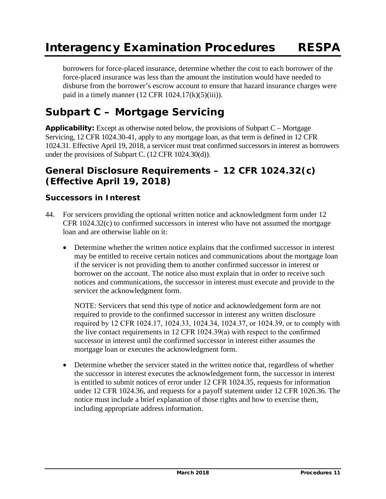borrowers for force-placed insurance, determine whether the cost to each borrower of the force-placed insurance was less than the amount the institution would have needed to disburse from the borrower's escrow account to ensure that hazard insurance charges were paid in a timely manner  $(12 \text{ CFR } 1024.17(k)(5)(iii))$ .

# **Subpart C – Mortgage Servicing**

**Applicability:** Except as otherwise noted below, the provisions of Subpart C – Mortgage Servicing, 12 CFR 1024.30-41, apply to any mortgage loan, as that term is defined in 12 CFR 1024.31. Effective April 19, 2018, a servicer must treat confirmed successors in interest as borrowers under the provisions of Subpart C. (12 CFR 1024.30(d)).

## **General Disclosure Requirements – 12 CFR 1024.32(c) (***Effective April 19, 2018***)**

### **Successors in Interest**

- 44. For servicers providing the optional written notice and acknowledgment form under 12 CFR 1024.32(c) to confirmed successors in interest who have not assumed the mortgage loan and are otherwise liable on it:
	- Determine whether the written notice explains that the confirmed successor in interest may be entitled to receive certain notices and communications about the mortgage loan if the servicer is not providing them to another confirmed successor in interest or borrower on the account. The notice also must explain that in order to receive such notices and communications, the successor in interest must execute and provide to the servicer the acknowledgment form.

NOTE: Servicers that send this type of notice and acknowledgement form are not required to provide to the confirmed successor in interest any written disclosure required by 12 CFR 1024.17, 1024.33, 1024.34, 1024.37, or 1024.39, or to comply with the live contact requirements in 12 CFR 1024.39(a) with respect to the confirmed successor in interest until the confirmed successor in interest either assumes the mortgage loan or executes the acknowledgment form.

• Determine whether the servicer stated in the written notice that, regardless of whether the successor in interest executes the acknowledgement form, the successor in interest is entitled to submit notices of error under 12 CFR 1024.35, requests for information under 12 CFR 1024.36, and requests for a payoff statement under 12 CFR 1026.36. The notice must include a brief explanation of those rights and how to exercise them, including appropriate address information.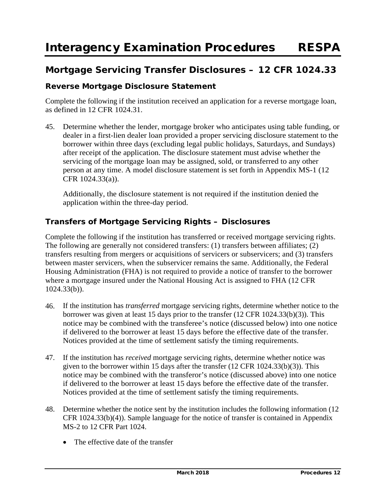# **Mortgage Servicing Transfer Disclosures – 12 CFR 1024.33**

## **Reverse Mortgage Disclosure Statement**

Complete the following if the institution received an application for a reverse mortgage loan, as defined in 12 CFR 1024.31.

45. Determine whether the lender, mortgage broker who anticipates using table funding, or dealer in a first-lien dealer loan provided a proper servicing disclosure statement to the borrower within three days (excluding legal public holidays, Saturdays, and Sundays) after receipt of the application. The disclosure statement must advise whether the servicing of the mortgage loan may be assigned, sold, or transferred to any other person at any time. A model disclosure statement is set forth in Appendix MS-1 (12 CFR 1024.33(a)).

Additionally, the disclosure statement is not required if the institution denied the application within the three-day period.

## **Transfers of Mortgage Servicing Rights – Disclosures**

Complete the following if the institution has transferred or received mortgage servicing rights. The following are generally not considered transfers: (1) transfers between affiliates; (2) transfers resulting from mergers or acquisitions of servicers or subservicers; and (3) transfers between master servicers, when the subservicer remains the same. Additionally, the Federal Housing Administration (FHA) is not required to provide a notice of transfer to the borrower where a mortgage insured under the National Housing Act is assigned to FHA (12 CFR 1024.33(b)).

- 46. If the institution has *transferred* mortgage servicing rights, determine whether notice to the borrower was given at least 15 days prior to the transfer (12 CFR 1024.33(b)(3)). This notice may be combined with the transferee's notice (discussed below) into one notice if delivered to the borrower at least 15 days before the effective date of the transfer. Notices provided at the time of settlement satisfy the timing requirements.
- 47. If the institution has *received* mortgage servicing rights, determine whether notice was given to the borrower within 15 days after the transfer (12 CFR 1024.33(b)(3)). This notice may be combined with the transferor's notice (discussed above) into one notice if delivered to the borrower at least 15 days before the effective date of the transfer. Notices provided at the time of settlement satisfy the timing requirements.
- 48. Determine whether the notice sent by the institution includes the following information (12 CFR 1024.33(b)(4)). Sample language for the notice of transfer is contained in Appendix MS-2 to 12 CFR Part 1024.
	- The effective date of the transfer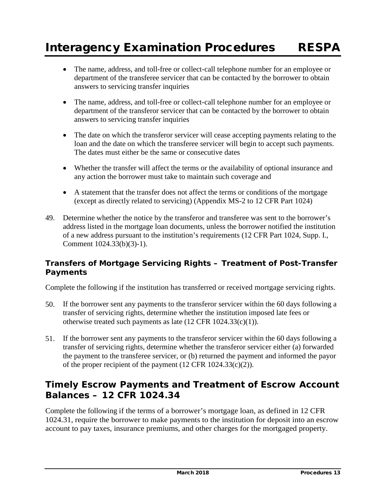- The name, address, and toll-free or collect-call telephone number for an employee or department of the transferee servicer that can be contacted by the borrower to obtain answers to servicing transfer inquiries
- The name, address, and toll-free or collect-call telephone number for an employee or department of the transferor servicer that can be contacted by the borrower to obtain answers to servicing transfer inquiries
- The date on which the transferor servicer will cease accepting payments relating to the loan and the date on which the transferee servicer will begin to accept such payments. The dates must either be the same or consecutive dates
- Whether the transfer will affect the terms or the availability of optional insurance and any action the borrower must take to maintain such coverage and
- A statement that the transfer does not affect the terms or conditions of the mortgage (except as directly related to servicing) (Appendix MS-2 to 12 CFR Part 1024)
- 49. Determine whether the notice by the transferor and transferee was sent to the borrower's address listed in the mortgage loan documents, unless the borrower notified the institution of a new address pursuant to the institution's requirements (12 CFR Part 1024, Supp. I., Comment 1024.33(b)(3)-1).

## **Transfers of Mortgage Servicing Rights – Treatment of Post-Transfer Payments**

Complete the following if the institution has transferred or received mortgage servicing rights.

- 50. If the borrower sent any payments to the transferor servicer within the 60 days following a transfer of servicing rights, determine whether the institution imposed late fees or otherwise treated such payments as late (12 CFR 1024.33(c)(1)).
- 51. If the borrower sent any payments to the transferor servicer within the 60 days following a transfer of servicing rights, determine whether the transferor servicer either (a) forwarded the payment to the transferee servicer, or (b) returned the payment and informed the payor of the proper recipient of the payment (12 CFR 1024.33(c)(2)).

# **Timely Escrow Payments and Treatment of Escrow Account Balances – 12 CFR 1024.34**

Complete the following if the terms of a borrower's mortgage loan, as defined in 12 CFR 1024.31, require the borrower to make payments to the institution for deposit into an escrow account to pay taxes, insurance premiums, and other charges for the mortgaged property.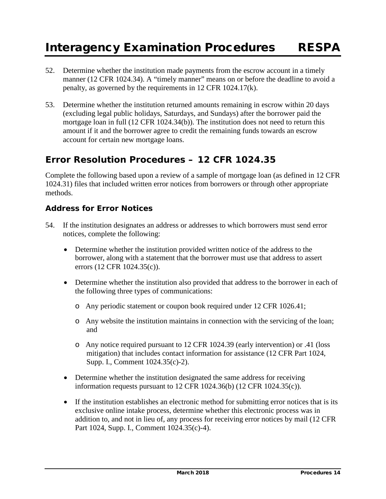- 52. Determine whether the institution made payments from the escrow account in a timely manner (12 CFR 1024.34). A "timely manner" means on or before the deadline to avoid a penalty, as governed by the requirements in 12 CFR 1024.17(k).
- 53. Determine whether the institution returned amounts remaining in escrow within 20 days (excluding legal public holidays, Saturdays, and Sundays) after the borrower paid the mortgage loan in full (12 CFR 1024.34(b)). The institution does not need to return this amount if it and the borrower agree to credit the remaining funds towards an escrow account for certain new mortgage loans.

# **Error Resolution Procedures – 12 CFR 1024.35**

Complete the following based upon a review of a sample of mortgage loan (as defined in 12 CFR 1024.31) files that included written error notices from borrowers or through other appropriate methods.

## **Address for Error Notices**

- 54. If the institution designates an address or addresses to which borrowers must send error notices, complete the following:
	- Determine whether the institution provided written notice of the address to the borrower, along with a statement that the borrower must use that address to assert errors (12 CFR 1024.35(c)).
	- Determine whether the institution also provided that address to the borrower in each of the following three types of communications:
		- o Any periodic statement or coupon book required under 12 CFR 1026.41;
		- o Any website the institution maintains in connection with the servicing of the loan; and
		- o Any notice required pursuant to 12 CFR 1024.39 (early intervention) or .41 (loss mitigation) that includes contact information for assistance (12 CFR Part 1024, Supp. I., Comment 1024.35(c)-2).
	- Determine whether the institution designated the same address for receiving information requests pursuant to 12 CFR 1024.36(b) (12 CFR 1024.35(c)).
	- If the institution establishes an electronic method for submitting error notices that is its exclusive online intake process, determine whether this electronic process was in addition to, and not in lieu of, any process for receiving error notices by mail (12 CFR Part 1024, Supp. I., Comment 1024.35(c)-4).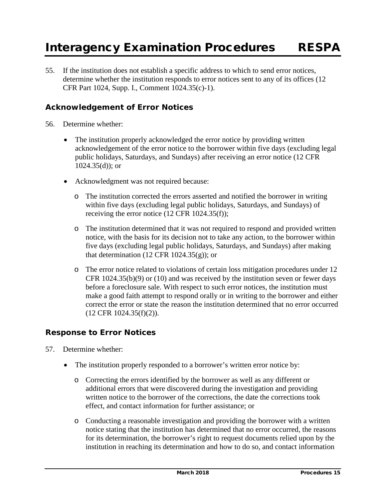55. If the institution does not establish a specific address to which to send error notices, determine whether the institution responds to error notices sent to any of its offices (12 CFR Part 1024, Supp. I., Comment 1024.35(c)-1).

## **Acknowledgement of Error Notices**

- 56. Determine whether:
	- The institution properly acknowledged the error notice by providing written acknowledgement of the error notice to the borrower within five days (excluding legal public holidays, Saturdays, and Sundays) after receiving an error notice (12 CFR  $1024.35(d)$ ; or
	- Acknowledgment was not required because:
		- o The institution corrected the errors asserted and notified the borrower in writing within five days (excluding legal public holidays, Saturdays, and Sundays) of receiving the error notice (12 CFR 1024.35(f));
		- o The institution determined that it was not required to respond and provided written notice, with the basis for its decision not to take any action, to the borrower within five days (excluding legal public holidays, Saturdays, and Sundays) after making that determination (12 CFR 1024.35 $(g)$ ); or
		- o The error notice related to violations of certain loss mitigation procedures under 12 CFR  $1024.35(b)(9)$  or  $(10)$  and was received by the institution seven or fewer days before a foreclosure sale. With respect to such error notices, the institution must make a good faith attempt to respond orally or in writing to the borrower and either correct the error or state the reason the institution determined that no error occurred (12 CFR 1024.35(f)(2)).

## **Response to Error Notices**

- 57. Determine whether:
	- The institution properly responded to a borrower's written error notice by:
		- o Correcting the errors identified by the borrower as well as any different or additional errors that were discovered during the investigation and providing written notice to the borrower of the corrections, the date the corrections took effect, and contact information for further assistance; or
		- o Conducting a reasonable investigation and providing the borrower with a written notice stating that the institution has determined that no error occurred, the reasons for its determination, the borrower's right to request documents relied upon by the institution in reaching its determination and how to do so, and contact information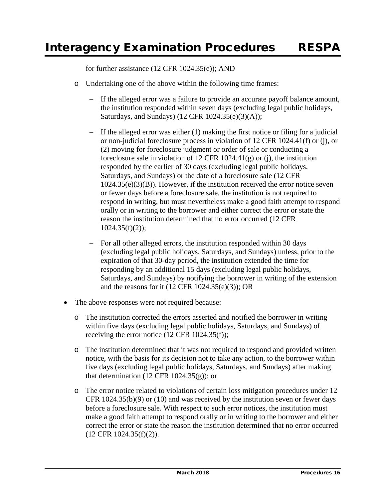for further assistance (12 CFR 1024.35(e)); AND

- o Undertaking one of the above within the following time frames:
	- If the alleged error was a failure to provide an accurate payoff balance amount, the institution responded within seven days (excluding legal public holidays, Saturdays, and Sundays) (12 CFR 1024.35(e)(3)(A));
	- If the alleged error was either  $(1)$  making the first notice or filing for a judicial or non-judicial foreclosure process in violation of 12 CFR 1024.41(f) or (j), or (2) moving for foreclosure judgment or order of sale or conducting a foreclosure sale in violation of 12 CFR 1024.41(g) or (j), the institution responded by the earlier of 30 days (excluding legal public holidays, Saturdays, and Sundays) or the date of a foreclosure sale (12 CFR  $1024.35(e)(3)(B)$ . However, if the institution received the error notice seven or fewer days before a foreclosure sale, the institution is not required to respond in writing, but must nevertheless make a good faith attempt to respond orally or in writing to the borrower and either correct the error or state the reason the institution determined that no error occurred (12 CFR  $1024.35(f)(2)$ ;
	- − For all other alleged errors, the institution responded within 30 days (excluding legal public holidays, Saturdays, and Sundays) unless, prior to the expiration of that 30-day period, the institution extended the time for responding by an additional 15 days (excluding legal public holidays, Saturdays, and Sundays) by notifying the borrower in writing of the extension and the reasons for it  $(12 \text{ CFR } 1024.35(e)(3))$ ; OR
- The above responses were not required because:
	- o The institution corrected the errors asserted and notified the borrower in writing within five days (excluding legal public holidays, Saturdays, and Sundays) of receiving the error notice (12 CFR 1024.35(f));
	- o The institution determined that it was not required to respond and provided written notice, with the basis for its decision not to take any action, to the borrower within five days (excluding legal public holidays, Saturdays, and Sundays) after making that determination (12 CFR 1024.35 $(g)$ ); or
	- o The error notice related to violations of certain loss mitigation procedures under 12 CFR 1024.35(b)(9) or (10) and was received by the institution seven or fewer days before a foreclosure sale. With respect to such error notices, the institution must make a good faith attempt to respond orally or in writing to the borrower and either correct the error or state the reason the institution determined that no error occurred (12 CFR 1024.35(f)(2)).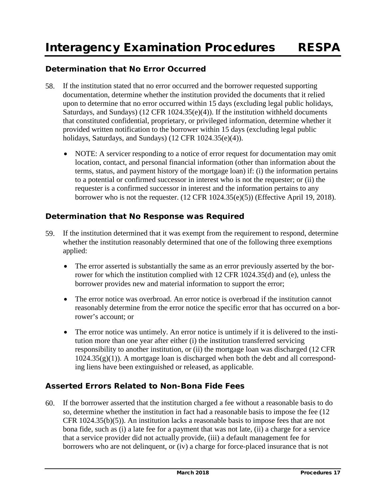## **Determination that No Error Occurred**

- 58. If the institution stated that no error occurred and the borrower requested supporting documentation, determine whether the institution provided the documents that it relied upon to determine that no error occurred within 15 days (excluding legal public holidays, Saturdays, and Sundays) (12 CFR 1024.35(e)(4)). If the institution withheld documents that constituted confidential, proprietary, or privileged information, determine whether it provided written notification to the borrower within 15 days (excluding legal public holidays, Saturdays, and Sundays) (12 CFR 1024.35(e)(4)).
	- NOTE: A servicer responding to a notice of error request for documentation may omit location, contact, and personal financial information (other than information about the terms, status, and payment history of the mortgage loan) if: (i) the information pertains to a potential or confirmed successor in interest who is not the requester; or (ii) the requester is a confirmed successor in interest and the information pertains to any borrower who is not the requester. (12 CFR 1024.35(e)(5)) (Effective April 19, 2018).

## **Determination that No Response was Required**

- 59. If the institution determined that it was exempt from the requirement to respond, determine whether the institution reasonably determined that one of the following three exemptions applied:
	- The error asserted is substantially the same as an error previously asserted by the borrower for which the institution complied with 12 CFR 1024.35(d) and (e), unless the borrower provides new and material information to support the error;
	- The error notice was overbroad. An error notice is overbroad if the institution cannot reasonably determine from the error notice the specific error that has occurred on a borrower's account; or
	- The error notice was untimely. An error notice is untimely if it is delivered to the institution more than one year after either (i) the institution transferred servicing responsibility to another institution, or (ii) the mortgage loan was discharged (12 CFR  $1024.35(g)(1)$ ). A mortgage loan is discharged when both the debt and all corresponding liens have been extinguished or released, as applicable.

## **Asserted Errors Related to Non-Bona Fide Fees**

60. If the borrower asserted that the institution charged a fee without a reasonable basis to do so, determine whether the institution in fact had a reasonable basis to impose the fee (12 CFR 1024.35(b)(5)). An institution lacks a reasonable basis to impose fees that are not bona fide, such as (i) a late fee for a payment that was not late, (ii) a charge for a service that a service provider did not actually provide, (iii) a default management fee for borrowers who are not delinquent, or (iv) a charge for force-placed insurance that is not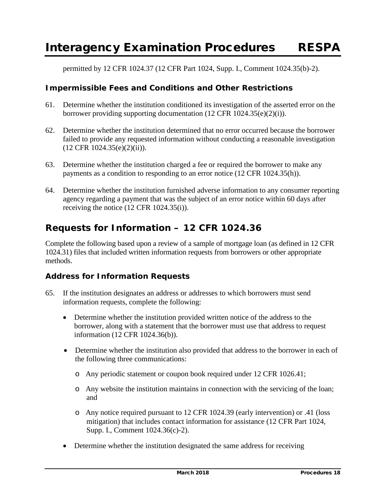permitted by 12 CFR 1024.37 (12 CFR Part 1024, Supp. I., Comment 1024.35(b)-2).

## **Impermissible Fees and Conditions and Other Restrictions**

- 61. Determine whether the institution conditioned its investigation of the asserted error on the borrower providing supporting documentation (12 CFR 1024.35(e)(2)(i)).
- 62. Determine whether the institution determined that no error occurred because the borrower failed to provide any requested information without conducting a reasonable investigation (12 CFR 1024.35(e)(2)(ii)).
- 63. Determine whether the institution charged a fee or required the borrower to make any payments as a condition to responding to an error notice (12 CFR 1024.35(h)).
- 64. Determine whether the institution furnished adverse information to any consumer reporting agency regarding a payment that was the subject of an error notice within 60 days after receiving the notice (12 CFR 1024.35(i)).

## **Requests for Information – 12 CFR 1024.36**

Complete the following based upon a review of a sample of mortgage loan (as defined in 12 CFR 1024.31) files that included written information requests from borrowers or other appropriate methods.

## **Address for Information Requests**

- 65. If the institution designates an address or addresses to which borrowers must send information requests, complete the following:
	- Determine whether the institution provided written notice of the address to the borrower, along with a statement that the borrower must use that address to request information (12 CFR 1024.36(b)).
	- Determine whether the institution also provided that address to the borrower in each of the following three communications:
		- o Any periodic statement or coupon book required under 12 CFR 1026.41;
		- o Any website the institution maintains in connection with the servicing of the loan; and
		- o Any notice required pursuant to 12 CFR 1024.39 (early intervention) or .41 (loss mitigation) that includes contact information for assistance (12 CFR Part 1024, Supp. I., Comment 1024.36(c)-2).
	- Determine whether the institution designated the same address for receiving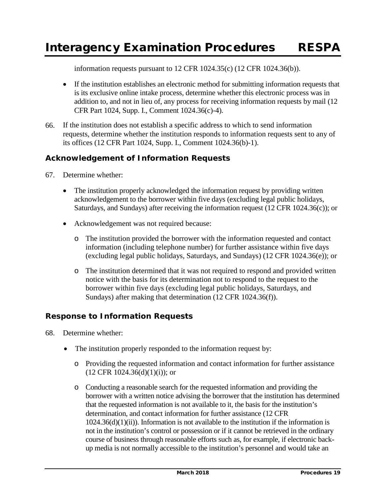information requests pursuant to 12 CFR 1024.35(c) (12 CFR 1024.36(b)).

- If the institution establishes an electronic method for submitting information requests that is its exclusive online intake process, determine whether this electronic process was in addition to, and not in lieu of, any process for receiving information requests by mail (12 CFR Part 1024, Supp. I., Comment 1024.36(c)-4).
- 66. If the institution does not establish a specific address to which to send information requests, determine whether the institution responds to information requests sent to any of its offices (12 CFR Part 1024, Supp. I., Comment 1024.36(b)-1).

## **Acknowledgement of Information Requests**

- 67. Determine whether:
	- The institution properly acknowledged the information request by providing written acknowledgement to the borrower within five days (excluding legal public holidays, Saturdays, and Sundays) after receiving the information request (12 CFR 1024.36(c)); or
	- Acknowledgement was not required because:
		- o The institution provided the borrower with the information requested and contact information (including telephone number) for further assistance within five days (excluding legal public holidays, Saturdays, and Sundays) (12 CFR 1024.36(e)); or
		- o The institution determined that it was not required to respond and provided written notice with the basis for its determination not to respond to the request to the borrower within five days (excluding legal public holidays, Saturdays, and Sundays) after making that determination (12 CFR 1024.36(f)).

## **Response to Information Requests**

- 68. Determine whether:
	- The institution properly responded to the information request by:
		- o Providing the requested information and contact information for further assistance  $(12$  CFR  $1024.36(d)(1)(i))$ ; or
		- o Conducting a reasonable search for the requested information and providing the borrower with a written notice advising the borrower that the institution has determined that the requested information is not available to it, the basis for the institution's determination, and contact information for further assistance (12 CFR  $1024.36(d)(1)(ii)$ ). Information is not available to the institution if the information is not in the institution's control or possession or if it cannot be retrieved in the ordinary course of business through reasonable efforts such as, for example, if electronic backup media is not normally accessible to the institution's personnel and would take an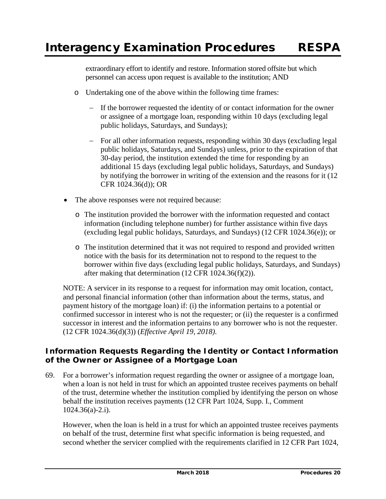extraordinary effort to identify and restore. Information stored offsite but which personnel can access upon request is available to the institution; AND

- o Undertaking one of the above within the following time frames:
	- − If the borrower requested the identity of or contact information for the owner or assignee of a mortgage loan, responding within 10 days (excluding legal public holidays, Saturdays, and Sundays);
	- − For all other information requests, responding within 30 days (excluding legal public holidays, Saturdays, and Sundays) unless, prior to the expiration of that 30-day period, the institution extended the time for responding by an additional 15 days (excluding legal public holidays, Saturdays, and Sundays) by notifying the borrower in writing of the extension and the reasons for it (12 CFR 1024.36(d)); OR
- The above responses were not required because:
	- o The institution provided the borrower with the information requested and contact information (including telephone number) for further assistance within five days (excluding legal public holidays, Saturdays, and Sundays) (12 CFR 1024.36(e)); or
	- o The institution determined that it was not required to respond and provided written notice with the basis for its determination not to respond to the request to the borrower within five days (excluding legal public holidays, Saturdays, and Sundays) after making that determination (12 CFR 1024.36(f)(2)).

NOTE: A servicer in its response to a request for information may omit location, contact, and personal financial information (other than information about the terms, status, and payment history of the mortgage loan) if: (i) the information pertains to a potential or confirmed successor in interest who is not the requester; or (ii) the requester is a confirmed successor in interest and the information pertains to any borrower who is not the requester. (12 CFR 1024.36(d)(3)) (*Effective April 19, 2018)*.

## **Information Requests Regarding the Identity or Contact Information of the Owner or Assignee of a Mortgage Loan**

69. For a borrower's information request regarding the owner or assignee of a mortgage loan, when a loan is not held in trust for which an appointed trustee receives payments on behalf of the trust, determine whether the institution complied by identifying the person on whose behalf the institution receives payments (12 CFR Part 1024, Supp. I., Comment 1024.36(a)-2.i).

However, when the loan is held in a trust for which an appointed trustee receives payments on behalf of the trust, determine first what specific information is being requested, and second whether the servicer complied with the requirements clarified in 12 CFR Part 1024,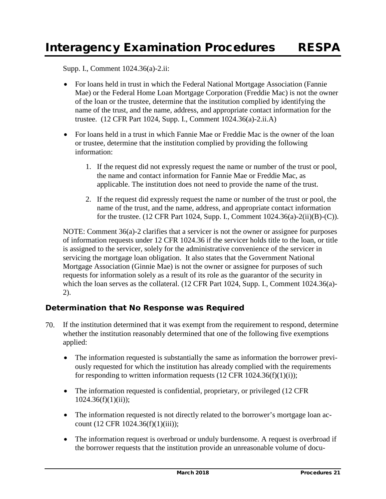Supp. I., Comment 1024.36(a)-2.ii:

- For loans held in trust in which the Federal National Mortgage Association (Fannie) Mae) or the Federal Home Loan Mortgage Corporation (Freddie Mac) is not the owner of the loan or the trustee, determine that the institution complied by identifying the name of the trust, and the name, address, and appropriate contact information for the trustee. (12 CFR Part 1024, Supp. I., Comment 1024.36(a)-2.ii.A)
- For loans held in a trust in which Fannie Mae or Freddie Mac is the owner of the loan or trustee, determine that the institution complied by providing the following information:
	- 1. If the request did not expressly request the name or number of the trust or pool, the name and contact information for Fannie Mae or Freddie Mac, as applicable. The institution does not need to provide the name of the trust.
	- 2. If the request did expressly request the name or number of the trust or pool, the name of the trust, and the name, address, and appropriate contact information for the trustee. (12 CFR Part 1024, Supp. I., Comment 1024.36(a)-2(ii)(B)-(C)).

NOTE: Comment 36(a)-2 clarifies that a servicer is not the owner or assignee for purposes of information requests under 12 CFR 1024.36 if the servicer holds title to the loan, or title is assigned to the servicer, solely for the administrative convenience of the servicer in servicing the mortgage loan obligation. It also states that the Government National Mortgage Association (Ginnie Mae) is not the owner or assignee for purposes of such requests for information solely as a result of its role as the guarantor of the security in which the loan serves as the collateral. (12 CFR Part 1024, Supp. I., Comment 1024.36(a)-2).

## **Determination that No Response was Required**

- 70. If the institution determined that it was exempt from the requirement to respond, determine whether the institution reasonably determined that one of the following five exemptions applied:
	- The information requested is substantially the same as information the borrower previously requested for which the institution has already complied with the requirements for responding to written information requests  $(12 \text{ CFR } 1024.36(f)(1)(i))$ ;
	- The information requested is confidential, proprietary, or privileged (12 CFR)  $1024.36(f)(1)(ii);$
	- The information requested is not directly related to the borrower's mortgage loan account (12 CFR 1024.36(f)(1)(iii));
	- The information request is overbroad or unduly burdensome. A request is overbroad if the borrower requests that the institution provide an unreasonable volume of docu-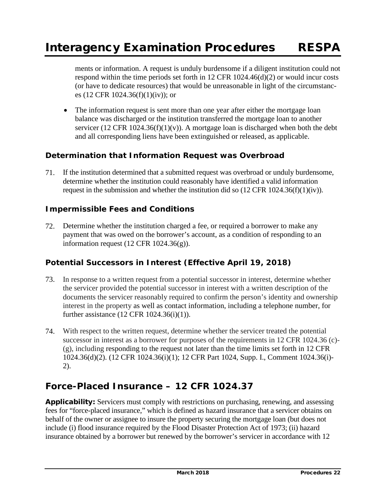ments or information. A request is unduly burdensome if a diligent institution could not respond within the time periods set forth in 12 CFR 1024.46(d)(2) or would incur costs (or have to dedicate resources) that would be unreasonable in light of the circumstances (12 CFR 1024.36(f)(1)(iv)); or

• The information request is sent more than one year after either the mortgage loan balance was discharged or the institution transferred the mortgage loan to another servicer (12 CFR 1024.36(f)(1)(v)). A mortgage loan is discharged when both the debt and all corresponding liens have been extinguished or released, as applicable.

## **Determination that Information Request was Overbroad**

71. If the institution determined that a submitted request was overbroad or unduly burdensome, determine whether the institution could reasonably have identified a valid information request in the submission and whether the institution did so  $(12 \text{ CFR } 1024.36(f)(1)(iv))$ .

### **Impermissible Fees and Conditions**

72. Determine whether the institution charged a fee, or required a borrower to make any payment that was owed on the borrower's account, as a condition of responding to an information request  $(12 \text{ CFR } 1024.36(g))$ .

## **Potential Successors in Interest (***Effective April 19, 2018***)**

- 73. In response to a written request from a potential successor in interest, determine whether the servicer provided the potential successor in interest with a written description of the documents the servicer reasonably required to confirm the person's identity and ownership interest in the property as well as contact information, including a telephone number, for further assistance (12 CFR 1024.36(i)(1)).
- 74. With respect to the written request, determine whether the servicer treated the potential successor in interest as a borrower for purposes of the requirements in 12 CFR 1024.36 (c)-  $(g)$ , including responding to the request not later than the time limits set forth in 12 CFR 1024.36(d)(2). (12 CFR 1024.36(i)(1); 12 CFR Part 1024, Supp. I., Comment 1024.36(i)- 2).

## **Force-Placed Insurance – 12 CFR 1024.37**

**Applicability:** Servicers must comply with restrictions on purchasing, renewing, and assessing fees for "force-placed insurance," which is defined as hazard insurance that a servicer obtains on behalf of the owner or assignee to insure the property securing the mortgage loan (but does not include (i) flood insurance required by the Flood Disaster Protection Act of 1973; (ii) hazard insurance obtained by a borrower but renewed by the borrower's servicer in accordance with 12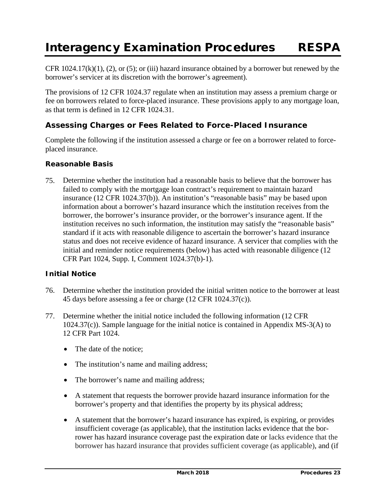CFR 1024.17(k)(1), (2), or (5); or (iii) hazard insurance obtained by a borrower but renewed by the borrower's servicer at its discretion with the borrower's agreement).

The provisions of 12 CFR 1024.37 regulate when an institution may assess a premium charge or fee on borrowers related to force-placed insurance. These provisions apply to any mortgage loan, as that term is defined in 12 CFR 1024.31.

## **Assessing Charges or Fees Related to Force-Placed Insurance**

Complete the following if the institution assessed a charge or fee on a borrower related to forceplaced insurance.

#### *Reasonable Basis*

75. Determine whether the institution had a reasonable basis to believe that the borrower has failed to comply with the mortgage loan contract's requirement to maintain hazard insurance (12 CFR 1024.37(b)). An institution's "reasonable basis" may be based upon information about a borrower's hazard insurance which the institution receives from the borrower, the borrower's insurance provider, or the borrower's insurance agent. If the institution receives no such information, the institution may satisfy the "reasonable basis" standard if it acts with reasonable diligence to ascertain the borrower's hazard insurance status and does not receive evidence of hazard insurance. A servicer that complies with the initial and reminder notice requirements (below) has acted with reasonable diligence (12 CFR Part 1024, Supp. I, Comment 1024.37(b)-1).

#### *Initial Notice*

- 76. Determine whether the institution provided the initial written notice to the borrower at least 45 days before assessing a fee or charge (12 CFR 1024.37(c)).
- 77. Determine whether the initial notice included the following information (12 CFR 1024.37(c)). Sample language for the initial notice is contained in Appendix MS-3(A) to 12 CFR Part 1024.
	- The date of the notice;
	- The institution's name and mailing address;
	- The borrower's name and mailing address;
	- A statement that requests the borrower provide hazard insurance information for the borrower's property and that identifies the property by its physical address;
	- A statement that the borrower's hazard insurance has expired, is expiring, or provides insufficient coverage (as applicable), that the institution lacks evidence that the borrower has hazard insurance coverage past the expiration date or lacks evidence that the borrower has hazard insurance that provides sufficient coverage (as applicable), and (if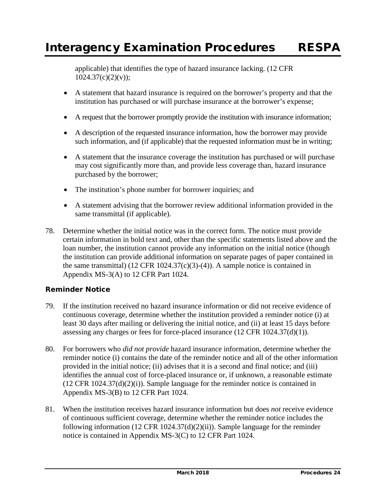applicable) that identifies the type of hazard insurance lacking. (12 CFR  $1024.37(c)(2)(v)$ ;

- A statement that hazard insurance is required on the borrower's property and that the institution has purchased or will purchase insurance at the borrower's expense;
- A request that the borrower promptly provide the institution with insurance information;
- A description of the requested insurance information, how the borrower may provide such information, and (if applicable) that the requested information must be in writing;
- A statement that the insurance coverage the institution has purchased or will purchase may cost significantly more than, and provide less coverage than, hazard insurance purchased by the borrower;
- The institution's phone number for borrower inquiries; and
- A statement advising that the borrower review additional information provided in the same transmittal (if applicable).
- 78. Determine whether the initial notice was in the correct form. The notice must provide certain information in bold text and, other than the specific statements listed above and the loan number, the institution cannot provide any information on the initial notice (though the institution can provide additional information on separate pages of paper contained in the same transmittal) (12 CFR 1024.37(c)(3)-(4)). A sample notice is contained in Appendix MS-3(A) to 12 CFR Part 1024.

### *Reminder Notice*

- 79. If the institution received no hazard insurance information or did not receive evidence of continuous coverage, determine whether the institution provided a reminder notice (i) at least 30 days after mailing or delivering the initial notice, and (ii) at least 15 days before assessing any charges or fees for force-placed insurance (12 CFR 1024.37(d)(1)).
- 80. For borrowers who *did not provide* hazard insurance information, determine whether the reminder notice (i) contains the date of the reminder notice and all of the other information provided in the initial notice; (ii) advises that it is a second and final notice; and (iii) identifies the annual cost of force-placed insurance or, if unknown, a reasonable estimate  $(12 \text{ CFR } 1024.37(d)(2)(i))$ . Sample language for the reminder notice is contained in Appendix MS-3(B) to 12 CFR Part 1024.
- 81. When the institution receives hazard insurance information but does *not* receive evidence of continuous sufficient coverage, determine whether the reminder notice includes the following information (12 CFR 1024.37(d)(2)(ii)). Sample language for the reminder notice is contained in Appendix MS-3(C) to 12 CFR Part 1024.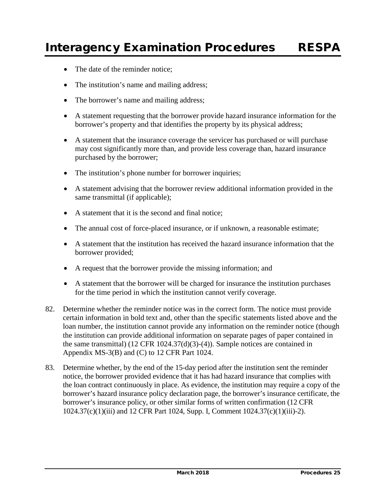- The date of the reminder notice;
- The institution's name and mailing address;
- The borrower's name and mailing address;
- A statement requesting that the borrower provide hazard insurance information for the borrower's property and that identifies the property by its physical address;
- A statement that the insurance coverage the servicer has purchased or will purchase may cost significantly more than, and provide less coverage than, hazard insurance purchased by the borrower;
- The institution's phone number for borrower inquiries;
- A statement advising that the borrower review additional information provided in the same transmittal (if applicable);
- A statement that it is the second and final notice;
- The annual cost of force-placed insurance, or if unknown, a reasonable estimate;
- A statement that the institution has received the hazard insurance information that the borrower provided;
- A request that the borrower provide the missing information; and
- A statement that the borrower will be charged for insurance the institution purchases for the time period in which the institution cannot verify coverage.
- 82. Determine whether the reminder notice was in the correct form. The notice must provide certain information in bold text and, other than the specific statements listed above and the loan number, the institution cannot provide any information on the reminder notice (though the institution can provide additional information on separate pages of paper contained in the same transmittal) (12 CFR 1024.37(d)(3)-(4)). Sample notices are contained in Appendix MS-3(B) and (C) to 12 CFR Part 1024.
- 83. Determine whether, by the end of the 15-day period after the institution sent the reminder notice, the borrower provided evidence that it has had hazard insurance that complies with the loan contract continuously in place. As evidence, the institution may require a copy of the borrower's hazard insurance policy declaration page, the borrower's insurance certificate, the borrower's insurance policy, or other similar forms of written confirmation (12 CFR 1024.37(c)(1)(iii) and 12 CFR Part 1024, Supp. I, Comment 1024.37(c)(1)(iii)-2).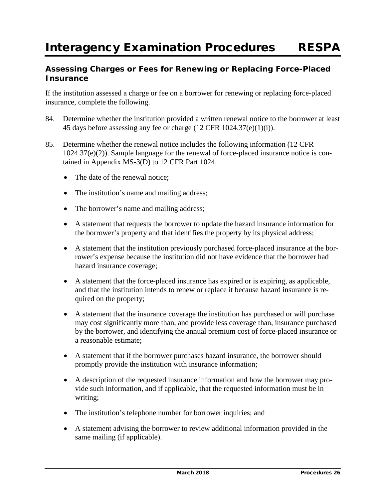## **Assessing Charges or Fees for Renewing or Replacing Force-Placed Insurance**

If the institution assessed a charge or fee on a borrower for renewing or replacing force-placed insurance, complete the following.

- 84. Determine whether the institution provided a written renewal notice to the borrower at least 45 days before assessing any fee or charge (12 CFR 1024.37(e)(1)(i)).
- 85. Determine whether the renewal notice includes the following information (12 CFR 1024.37(e)(2)). Sample language for the renewal of force-placed insurance notice is contained in Appendix MS-3(D) to 12 CFR Part 1024.
	- The date of the renewal notice;
	- The institution's name and mailing address;
	- The borrower's name and mailing address;
	- A statement that requests the borrower to update the hazard insurance information for the borrower's property and that identifies the property by its physical address;
	- A statement that the institution previously purchased force-placed insurance at the borrower's expense because the institution did not have evidence that the borrower had hazard insurance coverage;
	- A statement that the force-placed insurance has expired or is expiring, as applicable, and that the institution intends to renew or replace it because hazard insurance is required on the property;
	- A statement that the insurance coverage the institution has purchased or will purchase may cost significantly more than, and provide less coverage than, insurance purchased by the borrower, and identifying the annual premium cost of force-placed insurance or a reasonable estimate;
	- A statement that if the borrower purchases hazard insurance, the borrower should promptly provide the institution with insurance information;
	- A description of the requested insurance information and how the borrower may provide such information, and if applicable, that the requested information must be in writing;
	- The institution's telephone number for borrower inquiries; and
	- A statement advising the borrower to review additional information provided in the same mailing (if applicable).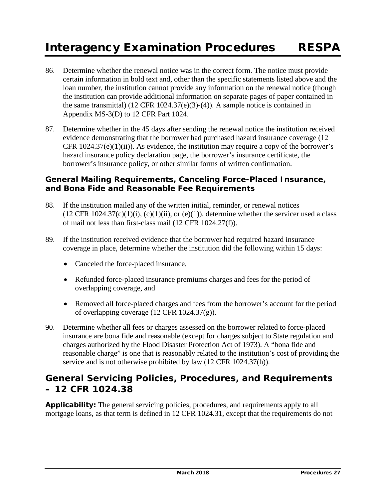- 86. Determine whether the renewal notice was in the correct form. The notice must provide certain information in bold text and, other than the specific statements listed above and the loan number, the institution cannot provide any information on the renewal notice (though the institution can provide additional information on separate pages of paper contained in the same transmittal) (12 CFR 1024.37(e)(3)-(4)). A sample notice is contained in Appendix MS-3(D) to 12 CFR Part 1024.
- 87. Determine whether in the 45 days after sending the renewal notice the institution received evidence demonstrating that the borrower had purchased hazard insurance coverage (12 CFR  $1024.37(e)(1)(ii)$ ). As evidence, the institution may require a copy of the borrower's hazard insurance policy declaration page, the borrower's insurance certificate, the borrower's insurance policy, or other similar forms of written confirmation.

## **General Mailing Requirements, Canceling Force-Placed Insurance, and Bona Fide and Reasonable Fee Requirements**

- 88. If the institution mailed any of the written initial, reminder, or renewal notices  $(12 \text{ CFR } 1024.37(c)(1)(i), (c)(1)(ii), or (e)(1)),$  determine whether the servicer used a class of mail not less than first-class mail (12 CFR 1024.27(f)).
- 89. If the institution received evidence that the borrower had required hazard insurance coverage in place, determine whether the institution did the following within 15 days:
	- Canceled the force-placed insurance,
	- Refunded force-placed insurance premiums charges and fees for the period of overlapping coverage, and
	- Removed all force-placed charges and fees from the borrower's account for the period of overlapping coverage (12 CFR 1024.37(g)).
- 90. Determine whether all fees or charges assessed on the borrower related to force-placed insurance are bona fide and reasonable (except for charges subject to State regulation and charges authorized by the Flood Disaster Protection Act of 1973). A "bona fide and reasonable charge" is one that is reasonably related to the institution's cost of providing the service and is not otherwise prohibited by law (12 CFR 1024.37(h)).

## **General Servicing Policies, Procedures, and Requirements – 12 CFR 1024.38**

**Applicability:** The general servicing policies, procedures, and requirements apply to all mortgage loans, as that term is defined in 12 CFR 1024.31, except that the requirements do not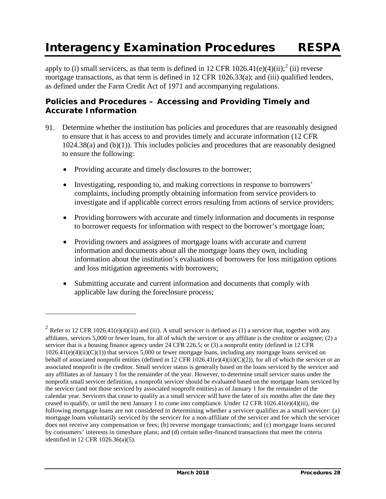apply to (i) small servicers, as that term is defined in 1[2](#page-95-0) CFR 1026.41(e)(4)(ii);<sup>2</sup> (ii) reverse mortgage transactions, as that term is defined in 12 CFR 1026.33(a); and (iii) qualified lenders, as defined under the Farm Credit Act of 1971 and accompanying regulations.

## **Policies and Procedures – Accessing and Providing Timely and Accurate Information**

- 91. Determine whether the institution has policies and procedures that are reasonably designed to ensure that it has access to and provides timely and accurate information (12 CFR 1024.38(a) and (b)(1)). This includes policies and procedures that are reasonably designed to ensure the following:
	- Providing accurate and timely disclosures to the borrower;

 $\overline{a}$ 

- Investigating, responding to, and making corrections in response to borrowers' complaints, including promptly obtaining information from service providers to investigate and if applicable correct errors resulting from actions of service providers;
- Providing borrowers with accurate and timely information and documents in response to borrower requests for information with respect to the borrower's mortgage loan;
- Providing owners and assignees of mortgage loans with accurate and current information and documents about all the mortgage loans they own, including information about the institution's evaluations of borrowers for loss mitigation options and loss mitigation agreements with borrowers;
- Submitting accurate and current information and documents that comply with applicable law during the foreclosure process;

<span id="page-95-0"></span><sup>&</sup>lt;sup>2</sup> Refer to 12 CFR 1026.41(e)(4)(ii)) and (iii). A small servicer is defined as (1) a servicer that, together with any affiliates, services 5,000 or fewer loans, for all of which the servicer or any affiliate is the creditor or assignee; (2) a servicer that is a housing finance agency under 24 CFR 226.5; or (3) a nonprofit entity (defined in 12 CFR  $1026.41(e)(4)(ii)(C)(1)$ ) that services 5,000 or fewer mortgage loans, including any mortgage loans serviced on behalf of associated nonprofit entities (defined in 12 CFR  $1026.41(e)(4)(ii)(C)(2)$ ), for all of which the servicer or an associated nonprofit is the creditor. Small servicer status is generally based on the loans serviced by the servicer and any affiliates as of January 1 for the remainder of the year. However, to determine small servicer status under the nonprofit small servicer definition, a nonprofit servicer should be evaluated based on the mortgage loans serviced by the servicer (and not those serviced by associated nonprofit entities) as of January 1 for the remainder of the calendar year. Servicers that cease to qualify as a small servicer will have the later of six months after the date they ceased to qualify, or until the next January 1 to come into compliance. Under 12 CFR 1026.41(e)(4)(iii), the following mortgage loans are not considered in determining whether a servicer qualifies as a small servicer: (a) mortgage loans voluntarily serviced by the servicer for a non-affiliate of the servicer and for which the servicer does not receive any compensation or fees; (b) reverse mortgage transactions; and (c) mortgage loans secured by consumers' interests in timeshare plans; and (d) certain seller-financed transactions that meet the criteria identified in 12 CFR 1026.36(a)(5).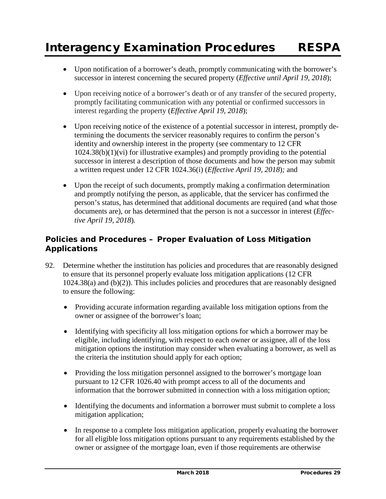- Upon notification of a borrower's death, promptly communicating with the borrower's successor in interest concerning the secured property (*Effective until April 19, 2018*);
- Upon receiving notice of a borrower's death or of any transfer of the secured property, promptly facilitating communication with any potential or confirmed successors in interest regarding the property (*Effective April 19, 2018*);
- Upon receiving notice of the existence of a potential successor in interest, promptly determining the documents the servicer reasonably requires to confirm the person's identity and ownership interest in the property (see commentary to 12 CFR 1024.38(b)(1)(vi) for illustrative examples) and promptly providing to the potential successor in interest a description of those documents and how the person may submit a written request under 12 CFR 1024.36(i) (*Effective April 19, 2018*)*;* and
- Upon the receipt of such documents, promptly making a confirmation determination and promptly notifying the person, as applicable, that the servicer has confirmed the person's status, has determined that additional documents are required (and what those documents are), or has determined that the person is not a successor in interest (*Effective April 19, 2018*)*.*

## **Policies and Procedures – Proper Evaluation of Loss Mitigation Applications**

- 92. Determine whether the institution has policies and procedures that are reasonably designed to ensure that its personnel properly evaluate loss mitigation applications (12 CFR 1024.38(a) and (b)(2)). This includes policies and procedures that are reasonably designed to ensure the following:
	- Providing accurate information regarding available loss mitigation options from the owner or assignee of the borrower's loan;
	- Identifying with specificity all loss mitigation options for which a borrower may be eligible, including identifying, with respect to each owner or assignee, all of the loss mitigation options the institution may consider when evaluating a borrower, as well as the criteria the institution should apply for each option;
	- Providing the loss mitigation personnel assigned to the borrower's mortgage loan pursuant to 12 CFR 1026.40 with prompt access to all of the documents and information that the borrower submitted in connection with a loss mitigation option;
	- Identifying the documents and information a borrower must submit to complete a loss mitigation application;
	- In response to a complete loss mitigation application, properly evaluating the borrower for all eligible loss mitigation options pursuant to any requirements established by the owner or assignee of the mortgage loan, even if those requirements are otherwise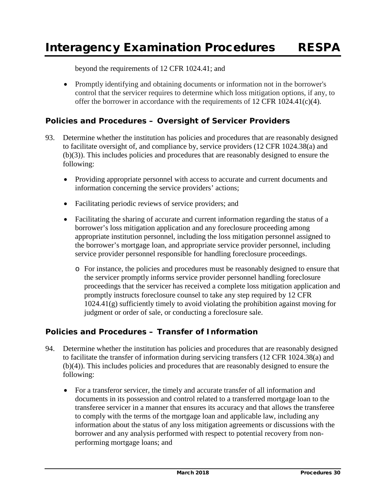beyond the requirements of 12 CFR 1024.41; and

• Promptly identifying and obtaining documents or information not in the borrower's control that the servicer requires to determine which loss mitigation options, if any, to offer the borrower in accordance with the requirements of 12 CFR 1024.41(c)(4).

## **Policies and Procedures – Oversight of Servicer Providers**

- 93. Determine whether the institution has policies and procedures that are reasonably designed to facilitate oversight of, and compliance by, service providers (12 CFR 1024.38(a) and (b)(3)). This includes policies and procedures that are reasonably designed to ensure the following:
	- Providing appropriate personnel with access to accurate and current documents and information concerning the service providers' actions;
	- Facilitating periodic reviews of service providers; and
	- Facilitating the sharing of accurate and current information regarding the status of a borrower's loss mitigation application and any foreclosure proceeding among appropriate institution personnel, including the loss mitigation personnel assigned to the borrower's mortgage loan, and appropriate service provider personnel, including service provider personnel responsible for handling foreclosure proceedings.
		- o For instance, the policies and procedures must be reasonably designed to ensure that the servicer promptly informs service provider personnel handling foreclosure proceedings that the servicer has received a complete loss mitigation application and promptly instructs foreclosure counsel to take any step required by 12 CFR 1024.41(g) sufficiently timely to avoid violating the prohibition against moving for judgment or order of sale, or conducting a foreclosure sale.

## **Policies and Procedures – Transfer of Information**

- 94. Determine whether the institution has policies and procedures that are reasonably designed to facilitate the transfer of information during servicing transfers (12 CFR 1024.38(a) and (b)(4)). This includes policies and procedures that are reasonably designed to ensure the following:
	- For a transferor servicer, the timely and accurate transfer of all information and documents in its possession and control related to a transferred mortgage loan to the transferee servicer in a manner that ensures its accuracy and that allows the transferee to comply with the terms of the mortgage loan and applicable law, including any information about the status of any loss mitigation agreements or discussions with the borrower and any analysis performed with respect to potential recovery from nonperforming mortgage loans; and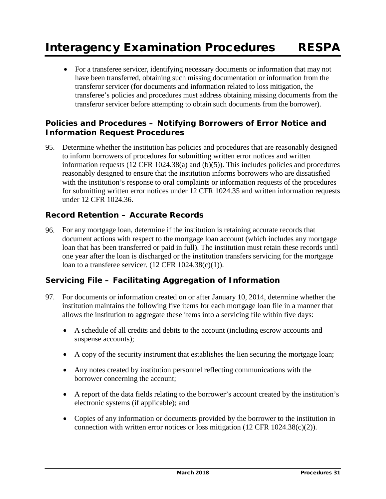• For a transferee servicer, identifying necessary documents or information that may not have been transferred, obtaining such missing documentation or information from the transferor servicer (for documents and information related to loss mitigation, the transferee's policies and procedures must address obtaining missing documents from the transferor servicer before attempting to obtain such documents from the borrower).

## **Policies and Procedures – Notifying Borrowers of Error Notice and Information Request Procedures**

95. Determine whether the institution has policies and procedures that are reasonably designed to inform borrowers of procedures for submitting written error notices and written information requests  $(12 \text{ CFR } 1024.38(a)$  and  $(b)(5)$ ). This includes policies and procedures reasonably designed to ensure that the institution informs borrowers who are dissatisfied with the institution's response to oral complaints or information requests of the procedures for submitting written error notices under 12 CFR 1024.35 and written information requests under 12 CFR 1024.36.

## **Record Retention – Accurate Records**

96. For any mortgage loan, determine if the institution is retaining accurate records that document actions with respect to the mortgage loan account (which includes any mortgage loan that has been transferred or paid in full). The institution must retain these records until one year after the loan is discharged or the institution transfers servicing for the mortgage loan to a transferee servicer.  $(12 \text{ CFR } 1024.38(c)(1)).$ 

## **Servicing File – Facilitating Aggregation of Information**

- 97. For documents or information created on or after January 10, 2014, determine whether the institution maintains the following five items for each mortgage loan file in a manner that allows the institution to aggregate these items into a servicing file within five days:
	- A schedule of all credits and debits to the account (including escrow accounts and suspense accounts);
	- A copy of the security instrument that establishes the lien securing the mortgage loan;
	- Any notes created by institution personnel reflecting communications with the borrower concerning the account;
	- A report of the data fields relating to the borrower's account created by the institution's electronic systems (if applicable); and
	- Copies of any information or documents provided by the borrower to the institution in connection with written error notices or loss mitigation  $(12 \text{ CFR } 1024.38(c)(2))$ .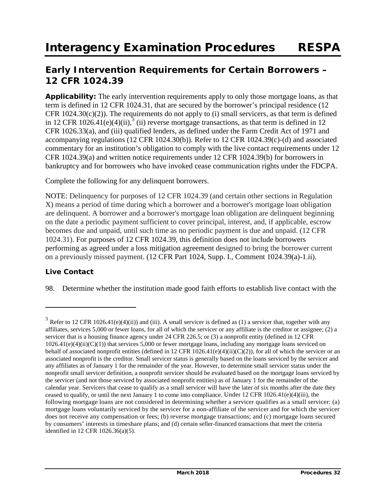## **Early Intervention Requirements for Certain Borrowers – 12 CFR 1024.39**

**Applicability:** The early intervention requirements apply to only those mortgage loans, as that term is defined in 12 CFR 1024.31, that are secured by the borrower's principal residence (12 CFR  $1024.30(c)(2)$ ). The requirements do not apply to (i) small servicers, as that term is defined in 12 CFR 1026.41(e)(4)(ii),<sup>[3](#page-99-0)</sup> (ii) reverse mortgage transactions, as that term is defined in 12 CFR 1026.33(a), and (iii) qualified lenders, as defined under the Farm Credit Act of 1971 and accompanying regulations (12 CFR 1024.30(b)). Refer to 12 CFR 1024.39(c)-(d) and associated commentary for an institution's obligation to comply with the live contact requirements under 12 CFR 1024.39(a) and written notice requirements under 12 CFR 1024.39(b) for borrowers in bankruptcy and for borrowers who have invoked cease communication rights under the FDCPA.

Complete the following for any delinquent borrowers.

NOTE: Delinquency for purposes of 12 CFR 1024.39 (and certain other sections in Regulation X) means a period of time during which a borrower and a borrower's mortgage loan obligation are delinquent. A borrower and a borrower's mortgage loan obligation are delinquent beginning on the date a periodic payment sufficient to cover principal, interest, and, if applicable, escrow becomes due and unpaid, until such time as no periodic payment is due and unpaid. (12 CFR 1024.31). For purposes of 12 CFR 1024.39, this definition does not include borrowers performing as agreed under a loss mitigation agreement designed to bring the borrower current on a previously missed payment. (12 CFR Part 1024, Supp. I., Comment 1024.39(a)-1.ii).

### **Live Contact**

 $\overline{a}$ 

98. Determine whether the institution made good faith efforts to establish live contact with the

<span id="page-99-0"></span> $3$  Refer to 12 CFR 1026.41(e)(4)(ii)) and (iii). A small servicer is defined as (1) a servicer that, together with any affiliates, services 5,000 or fewer loans, for all of which the servicer or any affiliate is the creditor or assignee; (2) a servicer that is a housing finance agency under 24 CFR 226.5; or (3) a nonprofit entity (defined in 12 CFR  $1026.41(e)(4)(ii)(C)(1)$ ) that services 5,000 or fewer mortgage loans, including any mortgage loans serviced on behalf of associated nonprofit entities (defined in 12 CFR 1026.41(e)(4)(ii)(C)(2)), for all of which the servicer or an associated nonprofit is the creditor. Small servicer status is generally based on the loans serviced by the servicer and any affiliates as of January 1 for the remainder of the year. However, to determine small servicer status under the nonprofit small servicer definition, a nonprofit servicer should be evaluated based on the mortgage loans serviced by the servicer (and not those serviced by associated nonprofit entities) as of January 1 for the remainder of the calendar year. Servicers that cease to qualify as a small servicer will have the later of six months after the date they ceased to qualify, or until the next January 1 to come into compliance. Under 12 CFR 1026.41(e)(4)(iii), the following mortgage loans are not considered in determining whether a servicer qualifies as a small servicer: (a) mortgage loans voluntarily serviced by the servicer for a non-affiliate of the servicer and for which the servicer does not receive any compensation or fees; (b) reverse mortgage transactions; and (c) mortgage loans secured by consumers' interests in timeshare plans; and (d) certain seller-financed transactions that meet the criteria identified in 12 CFR 1026.36(a)(5).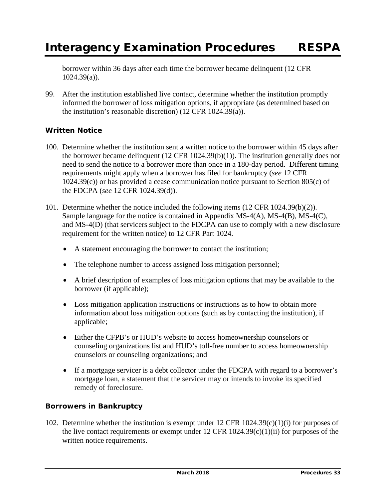borrower within 36 days after each time the borrower became delinquent (12 CFR 1024.39(a)).

99. After the institution established live contact, determine whether the institution promptly informed the borrower of loss mitigation options, if appropriate (as determined based on the institution's reasonable discretion) (12 CFR 1024.39(a)).

## **Written Notice**

- 100. Determine whether the institution sent a written notice to the borrower within 45 days after the borrower became delinquent (12 CFR 1024.39(b)(1)). The institution generally does not need to send the notice to a borrower more than once in a 180-day period. Different timing requirements might apply when a borrower has filed for bankruptcy (*see* 12 CFR 1024.39(c)) or has provided a cease communication notice pursuant to Section 805(c) of the FDCPA (*see* 12 CFR 1024.39(d)).
- 101. Determine whether the notice included the following items (12 CFR 1024.39(b)(2)). Sample language for the notice is contained in Appendix MS-4(A), MS-4(B), MS-4(C), and MS-4(D) (that servicers subject to the FDCPA can use to comply with a new disclosure requirement for the written notice) to 12 CFR Part 1024.
	- A statement encouraging the borrower to contact the institution;
	- The telephone number to access assigned loss mitigation personnel;
	- A brief description of examples of loss mitigation options that may be available to the borrower (if applicable);
	- Loss mitigation application instructions or instructions as to how to obtain more information about loss mitigation options (such as by contacting the institution), if applicable;
	- Either the CFPB's or HUD's website to access homeownership counselors or counseling organizations list and HUD's toll-free number to access homeownership counselors or counseling organizations; and
	- If a mortgage servicer is a debt collector under the FDCPA with regard to a borrower's mortgage loan, a statement that the servicer may or intends to invoke its specified remedy of foreclosure.

### **Borrowers in Bankruptcy**

102. Determine whether the institution is exempt under 12 CFR 1024.39(c)(1)(i) for purposes of the live contact requirements or exempt under 12 CFR  $1024.39(c)(1)(ii)$  for purposes of the written notice requirements.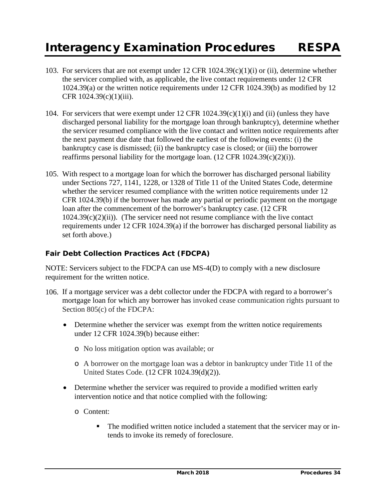- 103. For servicers that are not exempt under  $12$  CFR  $1024.39(c)(1)(i)$  or (ii), determine whether the servicer complied with, as applicable, the live contact requirements under 12 CFR 1024.39(a) or the written notice requirements under 12 CFR 1024.39(b) as modified by 12 CFR 1024.39(c)(1)(iii).
- 104. For servicers that were exempt under 12 CFR 1024.39(c)(1)(i) and (ii) (unless they have discharged personal liability for the mortgage loan through bankruptcy), determine whether the servicer resumed compliance with the live contact and written notice requirements after the next payment due date that followed the earliest of the following events: (i) the bankruptcy case is dismissed; (ii) the bankruptcy case is closed; or (iii) the borrower reaffirms personal liability for the mortgage loan.  $(12 \text{ CFR } 1024.39(c)(2)(i)).$
- 105. With respect to a mortgage loan for which the borrower has discharged personal liability under Sections 727, 1141, 1228, or 1328 of Title 11 of the United States Code, determine whether the servicer resumed compliance with the written notice requirements under 12 CFR 1024.39(b) if the borrower has made any partial or periodic payment on the mortgage loan after the commencement of the borrower's bankruptcy case. (12 CFR  $1024.39(c)(2)(ii)$ ). (The servicer need not resume compliance with the live contact requirements under 12 CFR 1024.39(a) if the borrower has discharged personal liability as set forth above.)

## **Fair Debt Collection Practices Act (FDCPA)**

NOTE: Servicers subject to the FDCPA can use MS-4(D) to comply with a new disclosure requirement for the written notice.

- 106. If a mortgage servicer was a debt collector under the FDCPA with regard to a borrower's mortgage loan for which any borrower has invoked cease communication rights pursuant to Section 805(c) of the FDCPA:
	- Determine whether the servicer was exempt from the written notice requirements under 12 CFR 1024.39(b) because either:
		- o No loss mitigation option was available; or
		- o A borrower on the mortgage loan was a debtor in bankruptcy under Title 11 of the United States Code. (12 CFR 1024.39(d)(2)).
	- Determine whether the servicer was required to provide a modified written early intervention notice and that notice complied with the following:
		- o Content:
			- The modified written notice included a statement that the servicer may or intends to invoke its remedy of foreclosure.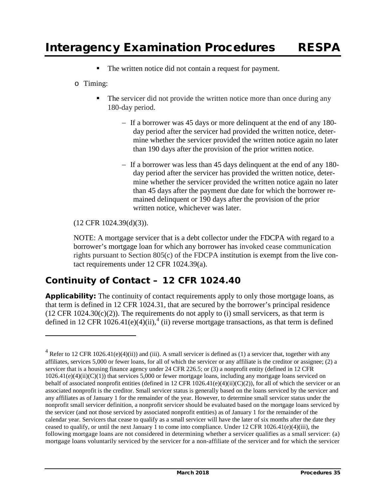- The written notice did not contain a request for payment.
- o Timing:
	- The servicer did not provide the written notice more than once during any 180-day period.
		- − If a borrower was 45 days or more delinquent at the end of any 180 day period after the servicer had provided the written notice, determine whether the servicer provided the written notice again no later than 190 days after the provision of the prior written notice.
		- − If a borrower was less than 45 days delinquent at the end of any 180 day period after the servicer has provided the written notice, determine whether the servicer provided the written notice again no later than 45 days after the payment due date for which the borrower remained delinquent or 190 days after the provision of the prior written notice, whichever was later.

### (12 CFR 1024.39(d)(3)).

 $\overline{a}$ 

 NOTE: A mortgage servicer that is a debt collector under the FDCPA with regard to a borrower's mortgage loan for which any borrower has invoked cease communication rights pursuant to Section 805(c) of the FDCPA institution is exempt from the live contact requirements under 12 CFR 1024.39(a).

# **Continuity of Contact – 12 CFR 1024.40**

**Applicability:** The continuity of contact requirements apply to only those mortgage loans, as that term is defined in 12 CFR 1024.31, that are secured by the borrower's principal residence  $(12 \text{ CFR } 1024.30(c)(2))$ . The requirements do not apply to (i) small servicers, as that term is defined in 12 CFR 1026.[4](#page-102-0)1(e)(4)(ii),<sup>4</sup> (ii) reverse mortgage transactions, as that term is defined

<span id="page-102-0"></span> $4$  Refer to 12 CFR 1026.41(e)(4)(ii)) and (iii). A small servicer is defined as (1) a servicer that, together with any affiliates, services 5,000 or fewer loans, for all of which the servicer or any affiliate is the creditor or assignee; (2) a servicer that is a housing finance agency under 24 CFR 226.5; or (3) a nonprofit entity (defined in 12 CFR  $1026.41(e)(4)(ii)(C)(1)$ ) that services 5,000 or fewer mortgage loans, including any mortgage loans serviced on behalf of associated nonprofit entities (defined in 12 CFR  $1026.41(e)(4)(ii)(C)(2)$ ), for all of which the servicer or an associated nonprofit is the creditor. Small servicer status is generally based on the loans serviced by the servicer and any affiliates as of January 1 for the remainder of the year. However, to determine small servicer status under the nonprofit small servicer definition, a nonprofit servicer should be evaluated based on the mortgage loans serviced by the servicer (and not those serviced by associated nonprofit entities) as of January 1 for the remainder of the calendar year. Servicers that cease to qualify as a small servicer will have the later of six months after the date they ceased to qualify, or until the next January 1 to come into compliance. Under 12 CFR 1026.41(e)(4)(iii), the following mortgage loans are not considered in determining whether a servicer qualifies as a small servicer: (a) mortgage loans voluntarily serviced by the servicer for a non-affiliate of the servicer and for which the servicer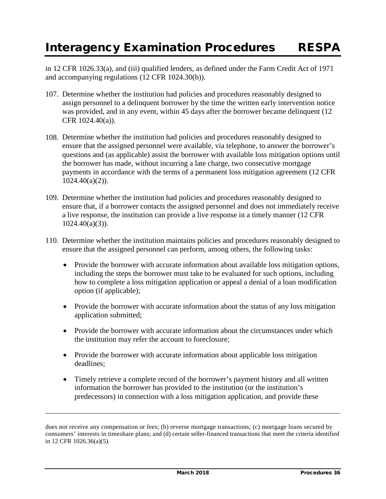in 12 CFR 1026.33(a), and (iii) qualified lenders, as defined under the Farm Credit Act of 1971 and accompanying regulations (12 CFR 1024.30(b)).

- 107. Determine whether the institution had policies and procedures reasonably designed to assign personnel to a delinquent borrower by the time the written early intervention notice was provided, and in any event, within 45 days after the borrower became delinquent (12) CFR 1024.40(a)).
- 108. Determine whether the institution had policies and procedures reasonably designed to ensure that the assigned personnel were available, via telephone, to answer the borrower's questions and (as applicable) assist the borrower with available loss mitigation options until the borrower has made, without incurring a late charge, two consecutive mortgage payments in accordance with the terms of a permanent loss mitigation agreement (12 CFR 1024.40(a)(2)).
- 109. Determine whether the institution had policies and procedures reasonably designed to ensure that, if a borrower contacts the assigned personnel and does not immediately receive a live response, the institution can provide a live response in a timely manner (12 CFR 1024.40(a)(3)).
- 110. Determine whether the institution maintains policies and procedures reasonably designed to ensure that the assigned personnel can perform, among others, the following tasks:
	- Provide the borrower with accurate information about available loss mitigation options, including the steps the borrower must take to be evaluated for such options, including how to complete a loss mitigation application or appeal a denial of a loan modification option (if applicable);
	- Provide the borrower with accurate information about the status of any loss mitigation application submitted;
	- Provide the borrower with accurate information about the circumstances under which the institution may refer the account to foreclosure;
	- Provide the borrower with accurate information about applicable loss mitigation deadlines;
	- Timely retrieve a complete record of the borrower's payment history and all written information the borrower has provided to the institution (or the institution's predecessors) in connection with a loss mitigation application, and provide these

 $\overline{a}$ 

does not receive any compensation or fees; (b) reverse mortgage transactions; (c) mortgage loans secured by consumers' interests in timeshare plans; and (d) certain seller-financed transactions that meet the criteria identified in 12 CFR 1026.36(a)(5).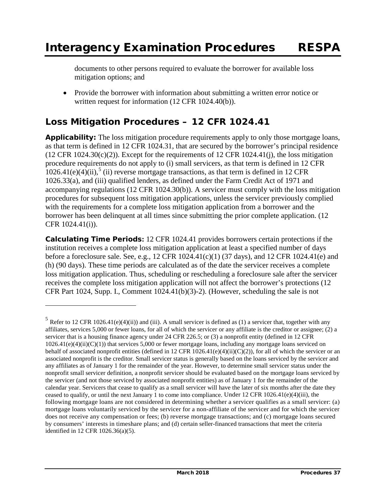documents to other persons required to evaluate the borrower for available loss mitigation options; and

• Provide the borrower with information about submitting a written error notice or written request for information (12 CFR 1024.40(b)).

# **Loss Mitigation Procedures – 12 CFR 1024.41**

 $\overline{a}$ 

**Applicability:** The loss mitigation procedure requirements apply to only those mortgage loans, as that term is defined in 12 CFR 1024.31, that are secured by the borrower's principal residence  $(12 \text{ CFR } 1024.30(c)(2))$ . Except for the requirements of 12 CFR 1024.41(j), the loss mitigation procedure requirements do not apply to (i) small servicers, as that term is defined in 12 CFR  $1026.41(e)(4)(ii)$ ,  $\frac{5}{1}$  $\frac{5}{1}$  $\frac{5}{1}$  (ii) reverse mortgage transactions, as that term is defined in 12 CFR 1026.33(a), and (iii) qualified lenders, as defined under the Farm Credit Act of 1971 and accompanying regulations (12 CFR 1024.30(b)). A servicer must comply with the loss mitigation procedures for subsequent loss mitigation applications, unless the servicer previously complied with the requirements for a complete loss mitigation application from a borrower and the borrower has been delinquent at all times since submitting the prior complete application. (12 CFR 1024.41(i)).

**Calculating Time Periods:** 12 CFR 1024.41 provides borrowers certain protections if the institution receives a complete loss mitigation application at least a specified number of days before a foreclosure sale. See, e.g., 12 CFR 1024.41(c)(1) (37 days), and 12 CFR 1024.41(e) and (h) (90 days). These time periods are calculated as of the date the servicer receives a complete loss mitigation application. Thus, scheduling or rescheduling a foreclosure sale after the servicer receives the complete loss mitigation application will not affect the borrower's protections (12 CFR Part 1024, Supp. I., Comment 1024.41(b)(3)-2). (However, scheduling the sale is not

<span id="page-104-0"></span> $5$  Refer to 12 CFR 1026.41(e)(4)(ii)) and (iii). A small servicer is defined as (1) a servicer that, together with any affiliates, services 5,000 or fewer loans, for all of which the servicer or any affiliate is the creditor or assignee; (2) a servicer that is a housing finance agency under 24 CFR 226.5; or (3) a nonprofit entity (defined in 12 CFR  $1026.41(e)(4)(ii)(C)(1)$ ) that services 5,000 or fewer mortgage loans, including any mortgage loans serviced on behalf of associated nonprofit entities (defined in 12 CFR 1026.41(e)(4)(ii)(C)(2)), for all of which the servicer or an associated nonprofit is the creditor. Small servicer status is generally based on the loans serviced by the servicer and any affiliates as of January 1 for the remainder of the year. However, to determine small servicer status under the nonprofit small servicer definition, a nonprofit servicer should be evaluated based on the mortgage loans serviced by the servicer (and not those serviced by associated nonprofit entities) as of January 1 for the remainder of the calendar year. Servicers that cease to qualify as a small servicer will have the later of six months after the date they ceased to qualify, or until the next January 1 to come into compliance. Under 12 CFR 1026.41(e)(4)(iii), the following mortgage loans are not considered in determining whether a servicer qualifies as a small servicer: (a) mortgage loans voluntarily serviced by the servicer for a non-affiliate of the servicer and for which the servicer does not receive any compensation or fees; (b) reverse mortgage transactions; and (c) mortgage loans secured by consumers' interests in timeshare plans; and (d) certain seller-financed transactions that meet the criteria identified in 12 CFR 1026.36(a)(5).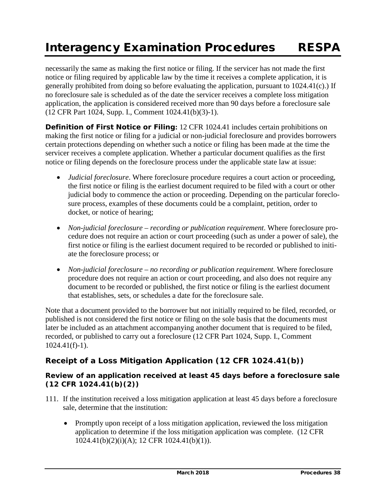necessarily the same as making the first notice or filing. If the servicer has not made the first notice or filing required by applicable law by the time it receives a complete application, it is generally prohibited from doing so before evaluating the application, pursuant to 1024.41(c).) If no foreclosure sale is scheduled as of the date the servicer receives a complete loss mitigation application, the application is considered received more than 90 days before a foreclosure sale (12 CFR Part 1024, Supp. I., Comment 1024.41(b)(3)-1).

**Definition of First Notice or Filing:** 12 CFR 1024.41 includes certain prohibitions on making the first notice or filing for a judicial or non-judicial foreclosure and provides borrowers certain protections depending on whether such a notice or filing has been made at the time the servicer receives a complete application. Whether a particular document qualifies as the first notice or filing depends on the foreclosure process under the applicable state law at issue:

- *Judicial foreclosure*. Where foreclosure procedure requires a court action or proceeding, the first notice or filing is the earliest document required to be filed with a court or other judicial body to commence the action or proceeding. Depending on the particular foreclosure process, examples of these documents could be a complaint, petition, order to docket, or notice of hearing;
- *Non-judicial foreclosure – recording or publication requirement*. Where foreclosure procedure does not require an action or court proceeding (such as under a power of sale), the first notice or filing is the earliest document required to be recorded or published to initiate the foreclosure process; or
- *Non-judicial foreclosure – no recording or publication requirement*. Where foreclosure procedure does not require an action or court proceeding, and also does not require any document to be recorded or published, the first notice or filing is the earliest document that establishes, sets, or schedules a date for the foreclosure sale.

Note that a document provided to the borrower but not initially required to be filed, recorded, or published is not considered the first notice or filing on the sole basis that the documents must later be included as an attachment accompanying another document that is required to be filed, recorded, or published to carry out a foreclosure (12 CFR Part 1024, Supp. I., Comment 1024.41(f)-1).

## **Receipt of a Loss Mitigation Application (12 CFR 1024.41(b))**

### *Review of an application received at least 45 days before a foreclosure sale (12 CFR 1024.41(b)(2))*

- 111. If the institution received a loss mitigation application at least 45 days before a foreclosure sale, determine that the institution:
	- Promptly upon receipt of a loss mitigation application, reviewed the loss mitigation application to determine if the loss mitigation application was complete. (12 CFR 1024.41(b)(2)(i)(A); 12 CFR 1024.41(b)(1)).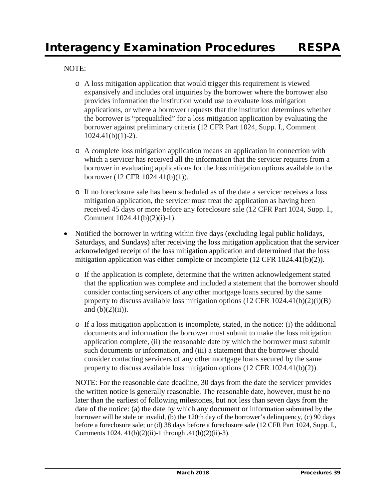#### NOTE:

- o A loss mitigation application that would trigger this requirement is viewed expansively and includes oral inquiries by the borrower where the borrower also provides information the institution would use to evaluate loss mitigation applications, or where a borrower requests that the institution determines whether the borrower is "prequalified" for a loss mitigation application by evaluating the borrower against preliminary criteria (12 CFR Part 1024, Supp. I., Comment 1024.41(b)(1)-2).
- o A complete loss mitigation application means an application in connection with which a servicer has received all the information that the servicer requires from a borrower in evaluating applications for the loss mitigation options available to the borrower (12 CFR 1024.41(b)(1)).
- o If no foreclosure sale has been scheduled as of the date a servicer receives a loss mitigation application, the servicer must treat the application as having been received 45 days or more before any foreclosure sale (12 CFR Part 1024, Supp. I., Comment 1024.41(b)(2)(i)-1).
- Notified the borrower in writing within five days (excluding legal public holidays, Saturdays, and Sundays) after receiving the loss mitigation application that the servicer acknowledged receipt of the loss mitigation application and determined that the loss mitigation application was either complete or incomplete (12 CFR 1024.41(b)(2)).
	- o If the application is complete, determine that the written acknowledgement stated that the application was complete and included a statement that the borrower should consider contacting servicers of any other mortgage loans secured by the same property to discuss available loss mitigation options  $(12 \text{ CFR } 1024.41(b)(2)(i)(B))$ and  $(b)(2)(ii)$ ).
	- o If a loss mitigation application is incomplete, stated, in the notice: (i) the additional documents and information the borrower must submit to make the loss mitigation application complete, (ii) the reasonable date by which the borrower must submit such documents or information, and (iii) a statement that the borrower should consider contacting servicers of any other mortgage loans secured by the same property to discuss available loss mitigation options (12 CFR 1024.41(b)(2)).

NOTE: For the reasonable date deadline, 30 days from the date the servicer provides the written notice is generally reasonable. The reasonable date, however, must be no later than the earliest of following milestones, but not less than seven days from the date of the notice: (a) the date by which any document or information submitted by the borrower will be stale or invalid, (b) the 120th day of the borrower's delinquency, (c) 90 days before a foreclosure sale; or (d) 38 days before a foreclosure sale (12 CFR Part 1024, Supp. I., Comments 1024.  $41(b)(2)(ii)$ -1 through .41(b)(2)(ii)-3).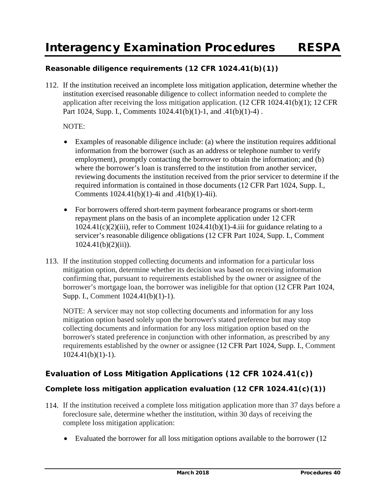## *Reasonable diligence requirements (12 CFR 1024.41(b)(1))*

112. If the institution received an incomplete loss mitigation application, determine whether the institution exercised reasonable diligence to collect information needed to complete the application after receiving the loss mitigation application. (12 CFR 1024.41(b)(1); 12 CFR Part 1024, Supp. I., Comments 1024.41(b)(1)-1, and .41(b)(1)-4).

#### NOTE:

- Examples of reasonable diligence include: (a) where the institution requires additional information from the borrower (such as an address or telephone number to verify employment), promptly contacting the borrower to obtain the information; and (b) where the borrower's loan is transferred to the institution from another servicer, reviewing documents the institution received from the prior servicer to determine if the required information is contained in those documents (12 CFR Part 1024, Supp. I., Comments 1024.41(b)(1)-4i and .41(b)(1)-4ii).
- For borrowers offered short-term payment forbearance programs or short-term repayment plans on the basis of an incomplete application under 12 CFR  $1024.41(c)(2)(iii)$ , refer to Comment  $1024.41(b)(1)$ -4.iii for guidance relating to a servicer's reasonable diligence obligations (12 CFR Part 1024, Supp. I., Comment  $1024.41(b)(2)(ii)$ ).
- 113. If the institution stopped collecting documents and information for a particular loss mitigation option, determine whether its decision was based on receiving information confirming that, pursuant to requirements established by the owner or assignee of the borrower's mortgage loan, the borrower was ineligible for that option (12 CFR Part 1024, Supp. I., Comment 1024.41(b)(1)-1).

NOTE: A servicer may not stop collecting documents and information for any loss mitigation option based solely upon the borrower's stated preference but may stop collecting documents and information for any loss mitigation option based on the borrower's stated preference in conjunction with other information, as prescribed by any requirements established by the owner or assignee (12 CFR Part 1024, Supp. I., Comment  $1024.41(b)(1)-1$ ).

## **Evaluation of Loss Mitigation Applications (12 CFR 1024.41(c))**

### *Complete loss mitigation application evaluation (12 CFR 1024.41(c)(1))*

- 114. If the institution received a complete loss mitigation application more than 37 days before a foreclosure sale, determine whether the institution, within 30 days of receiving the complete loss mitigation application:
	- Evaluated the borrower for all loss mitigation options available to the borrower (12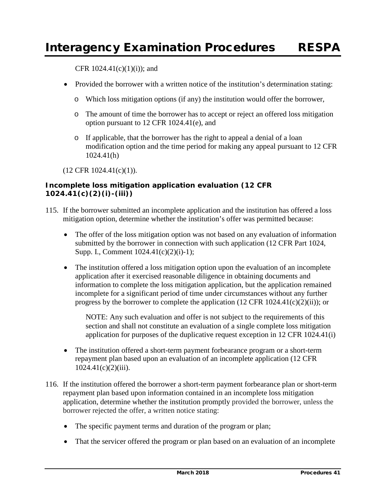CFR  $1024.41(c)(1)(i)$ ; and

- Provided the borrower with a written notice of the institution's determination stating:
	- o Which loss mitigation options (if any) the institution would offer the borrower,
	- o The amount of time the borrower has to accept or reject an offered loss mitigation option pursuant to 12 CFR 1024.41(e), and
	- o If applicable, that the borrower has the right to appeal a denial of a loan modification option and the time period for making any appeal pursuant to 12 CFR 1024.41(h)

(12 CFR 1024.41(c)(1)).

## *Incomplete loss mitigation application evaluation (12 CFR 1024.41(c)(2)(i)-(iii))*

- 115. If the borrower submitted an incomplete application and the institution has offered a loss mitigation option, determine whether the institution's offer was permitted because:
	- The offer of the loss mitigation option was not based on any evaluation of information submitted by the borrower in connection with such application (12 CFR Part 1024, Supp. I., Comment 1024.41(c)(2)(i)-1);
	- The institution offered a loss mitigation option upon the evaluation of an incomplete application after it exercised reasonable diligence in obtaining documents and information to complete the loss mitigation application, but the application remained incomplete for a significant period of time under circumstances without any further progress by the borrower to complete the application  $(12 \text{ CFR } 1024.41(c)(2)(ii))$ ; or

NOTE: Any such evaluation and offer is not subject to the requirements of this section and shall not constitute an evaluation of a single complete loss mitigation application for purposes of the duplicative request exception in 12 CFR 1024.41(i)

- The institution offered a short-term payment forbearance program or a short-term repayment plan based upon an evaluation of an incomplete application (12 CFR  $1024.41(c)(2)(iii)$ .
- 116. If the institution offered the borrower a short-term payment forbearance plan or short-term repayment plan based upon information contained in an incomplete loss mitigation application, determine whether the institution promptly provided the borrower, unless the borrower rejected the offer, a written notice stating:
	- The specific payment terms and duration of the program or plan;
	- That the servicer offered the program or plan based on an evaluation of an incomplete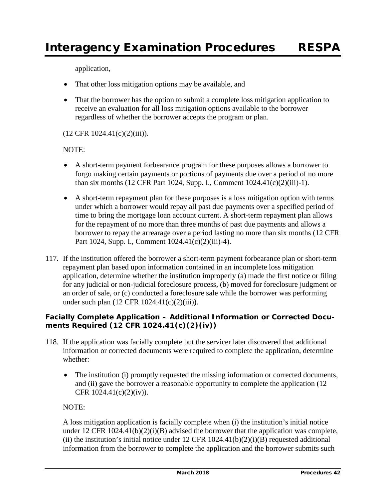application,

- That other loss mitigation options may be available, and
- That the borrower has the option to submit a complete loss mitigation application to receive an evaluation for all loss mitigation options available to the borrower regardless of whether the borrower accepts the program or plan.

#### $(12$  CFR  $1024.41(c)(2)(iii))$ .

#### NOTE:

- A short-term payment forbearance program for these purposes allows a borrower to forgo making certain payments or portions of payments due over a period of no more than six months (12 CFR Part 1024, Supp. I., Comment 1024.41(c)(2)(iii)-1).
- A short-term repayment plan for these purposes is a loss mitigation option with terms under which a borrower would repay all past due payments over a specified period of time to bring the mortgage loan account current. A short-term repayment plan allows for the repayment of no more than three months of past due payments and allows a borrower to repay the arrearage over a period lasting no more than six months (12 CFR Part 1024, Supp. I., Comment 1024.41(c)(2)(iii)-4).
- 117. If the institution offered the borrower a short-term payment forbearance plan or short-term repayment plan based upon information contained in an incomplete loss mitigation application, determine whether the institution improperly (a) made the first notice or filing for any judicial or non-judicial foreclosure process, (b) moved for foreclosure judgment or an order of sale, or (c) conducted a foreclosure sale while the borrower was performing under such plan (12 CFR 1024.41(c)(2)(iii)).

## *Facially Complete Application – Additional Information or Corrected Documents Required (12 CFR 1024.41(c)(2)(iv))*

- 118. If the application was facially complete but the servicer later discovered that additional information or corrected documents were required to complete the application, determine whether:
	- The institution (i) promptly requested the missing information or corrected documents, and (ii) gave the borrower a reasonable opportunity to complete the application (12 CFR 1024.41(c)(2)(iv)).

## NOTE:

A loss mitigation application is facially complete when (i) the institution's initial notice under 12 CFR  $1024.41(b)(2)(i)(B)$  advised the borrower that the application was complete, (ii) the institution's initial notice under  $12$  CFR  $1024.41(b)(2)(i)(B)$  requested additional information from the borrower to complete the application and the borrower submits such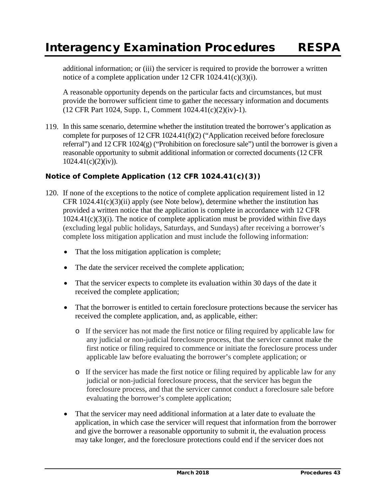additional information; or (iii) the servicer is required to provide the borrower a written notice of a complete application under 12 CFR 1024.41(c)(3)(i).

A reasonable opportunity depends on the particular facts and circumstances, but must provide the borrower sufficient time to gather the necessary information and documents (12 CFR Part 1024, Supp. I., Comment 1024.41(c)(2)(iv)-1).

119. In this same scenario, determine whether the institution treated the borrower's application as complete for purposes of 12 CFR 1024.41(f)(2) ("Application received before foreclosure referral") and 12 CFR 1024(g) ("Prohibition on foreclosure sale") until the borrower is given a reasonable opportunity to submit additional information or corrected documents (12 CFR  $1024.41(c)(2)(iv)$ ).

## *Notice of Complete Application (12 CFR 1024.41(c)(3))*

- 120. If none of the exceptions to the notice of complete application requirement listed in 12 CFR  $1024.41(c)(3)(ii)$  apply (see Note below), determine whether the institution has provided a written notice that the application is complete in accordance with 12 CFR  $1024.41(c)(3)(i)$ . The notice of complete application must be provided within five days (excluding legal public holidays, Saturdays, and Sundays) after receiving a borrower's complete loss mitigation application and must include the following information:
	- That the loss mitigation application is complete;
	- The date the servicer received the complete application;
	- That the servicer expects to complete its evaluation within 30 days of the date it received the complete application;
	- That the borrower is entitled to certain foreclosure protections because the servicer has received the complete application, and, as applicable, either:
		- o If the servicer has not made the first notice or filing required by applicable law for any judicial or non-judicial foreclosure process, that the servicer cannot make the first notice or filing required to commence or initiate the foreclosure process under applicable law before evaluating the borrower's complete application; or
		- o If the servicer has made the first notice or filing required by applicable law for any judicial or non-judicial foreclosure process, that the servicer has begun the foreclosure process, and that the servicer cannot conduct a foreclosure sale before evaluating the borrower's complete application;
	- That the servicer may need additional information at a later date to evaluate the application, in which case the servicer will request that information from the borrower and give the borrower a reasonable opportunity to submit it, the evaluation process may take longer, and the foreclosure protections could end if the servicer does not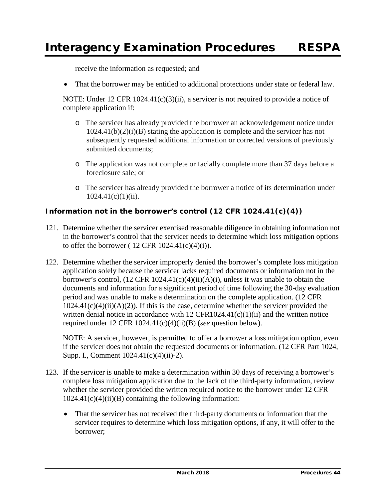receive the information as requested; and

• That the borrower may be entitled to additional protections under state or federal law.

NOTE: Under 12 CFR  $1024.41(c)(3)(ii)$ , a servicer is not required to provide a notice of complete application if:

- o The servicer has already provided the borrower an acknowledgement notice under 1024.41(b)(2)(i)(B) stating the application is complete and the servicer has not subsequently requested additional information or corrected versions of previously submitted documents;
- o The application was not complete or facially complete more than 37 days before a foreclosure sale; or
- o The servicer has already provided the borrower a notice of its determination under  $1024.41(c)(1)(ii)$ .

## *Information not in the borrower's control (12 CFR 1024.41(c)(4))*

- 121. Determine whether the servicer exercised reasonable diligence in obtaining information not in the borrower's control that the servicer needs to determine which loss mitigation options to offer the borrower ( $12$  CFR  $1024.41(c)(4)(i)$ ).
- 122. Determine whether the servicer improperly denied the borrower's complete loss mitigation application solely because the servicer lacks required documents or information not in the borrower's control,  $(12 \text{ CFR } 1024.41(c)(4)(ii)(A)(i))$ , unless it was unable to obtain the documents and information for a significant period of time following the 30-day evaluation period and was unable to make a determination on the complete application. (12 CFR  $1024.41(c)(4)(ii)(A)(2)$ . If this is the case, determine whether the servicer provided the written denial notice in accordance with 12 CFR1024.41(c)(1)(ii) and the written notice required under 12 CFR 1024.41(c)(4)(ii)(B) (*see* question below).

NOTE: A servicer, however, is permitted to offer a borrower a loss mitigation option, even if the servicer does not obtain the requested documents or information. (12 CFR Part 1024, Supp. I., Comment 1024.41(c)(4)(ii)-2).

- 123. If the servicer is unable to make a determination within 30 days of receiving a borrower's complete loss mitigation application due to the lack of the third-party information, review whether the servicer provided the written required notice to the borrower under 12 CFR  $1024.41(c)(4)(ii)(B)$  containing the following information:
	- That the servicer has not received the third-party documents or information that the servicer requires to determine which loss mitigation options, if any, it will offer to the borrower;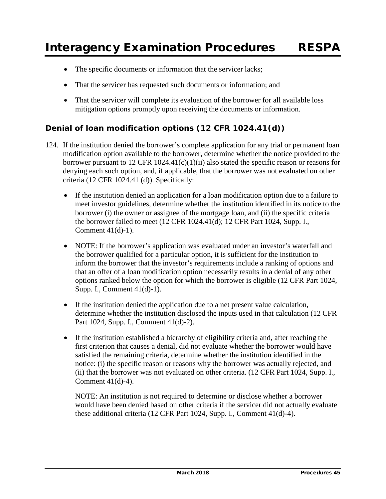- The specific documents or information that the servicer lacks;
- That the servicer has requested such documents or information; and
- That the servicer will complete its evaluation of the borrower for all available loss mitigation options promptly upon receiving the documents or information.

# **Denial of loan modification options (12 CFR 1024.41(d))**

- 124. If the institution denied the borrower's complete application for any trial or permanent loan modification option available to the borrower, determine whether the notice provided to the borrower pursuant to 12 CFR 1024.41(c)(1)(ii) also stated the specific reason or reasons for denying each such option, and, if applicable, that the borrower was not evaluated on other criteria (12 CFR 1024.41 (d)). Specifically:
	- If the institution denied an application for a loan modification option due to a failure to meet investor guidelines, determine whether the institution identified in its notice to the borrower (i) the owner or assignee of the mortgage loan, and (ii) the specific criteria the borrower failed to meet (12 CFR 1024.41(d); 12 CFR Part 1024, Supp. I., Comment 41(d)-1).
	- NOTE: If the borrower's application was evaluated under an investor's waterfall and the borrower qualified for a particular option, it is sufficient for the institution to inform the borrower that the investor's requirements include a ranking of options and that an offer of a loan modification option necessarily results in a denial of any other options ranked below the option for which the borrower is eligible (12 CFR Part 1024, Supp. I., Comment 41(d)-1).
	- If the institution denied the application due to a net present value calculation, determine whether the institution disclosed the inputs used in that calculation (12 CFR Part 1024, Supp. I., Comment 41(d)-2).
	- If the institution established a hierarchy of eligibility criteria and, after reaching the first criterion that causes a denial, did not evaluate whether the borrower would have satisfied the remaining criteria, determine whether the institution identified in the notice: (i) the specific reason or reasons why the borrower was actually rejected, and (ii) that the borrower was not evaluated on other criteria. (12 CFR Part 1024, Supp. I., Comment 41(d)-4).

NOTE: An institution is not required to determine or disclose whether a borrower would have been denied based on other criteria if the servicer did not actually evaluate these additional criteria (12 CFR Part 1024, Supp. I., Comment 41(d)-4).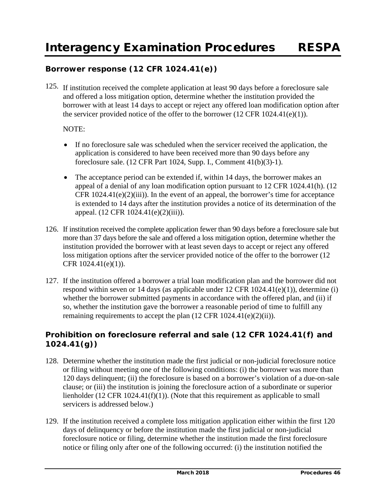## **Borrower response (12 CFR 1024.41(e))**

125. If institution received the complete application at least 90 days before a foreclosure sale and offered a loss mitigation option, determine whether the institution provided the borrower with at least 14 days to accept or reject any offered loan modification option after the servicer provided notice of the offer to the borrower  $(12 \text{ CFR } 1024.41(e)(1)).$ 

#### NOTE:

- If no foreclosure sale was scheduled when the servicer received the application, the application is considered to have been received more than 90 days before any foreclosure sale. (12 CFR Part 1024, Supp. I., Comment 41(b)(3)-1).
- The acceptance period can be extended if, within 14 days, the borrower makes an appeal of a denial of any loan modification option pursuant to 12 CFR 1024.41(h). (12 CFR  $1024.41(e)(2)(iii)$ . In the event of an appeal, the borrower's time for acceptance is extended to 14 days after the institution provides a notice of its determination of the appeal. (12 CFR 1024.41(e)(2)(iii)).
- 126. If institution received the complete application fewer than 90 days before a foreclosure sale but more than 37 days before the sale and offered a loss mitigation option, determine whether the institution provided the borrower with at least seven days to accept or reject any offered loss mitigation options after the servicer provided notice of the offer to the borrower (12 CFR 1024.41(e)(1)).
- 127. If the institution offered a borrower a trial loan modification plan and the borrower did not respond within seven or 14 days (as applicable under 12 CFR 1024.41(e)(1)), determine (i) whether the borrower submitted payments in accordance with the offered plan, and (ii) if so, whether the institution gave the borrower a reasonable period of time to fulfill any remaining requirements to accept the plan (12 CFR 1024.41(e)(2)(ii)).

## **Prohibition on foreclosure referral and sale (12 CFR 1024.41(f) and 1024.41(g))**

- 128. Determine whether the institution made the first judicial or non-judicial foreclosure notice or filing without meeting one of the following conditions: (i) the borrower was more than 120 days delinquent; (ii) the foreclosure is based on a borrower's violation of a due-on-sale clause; or (iii) the institution is joining the foreclosure action of a subordinate or superior lienholder (12 CFR 1024.41(f)(1)). (Note that this requirement as applicable to small servicers is addressed below.)
- 129. If the institution received a complete loss mitigation application either within the first 120 days of delinquency or before the institution made the first judicial or non-judicial foreclosure notice or filing, determine whether the institution made the first foreclosure notice or filing only after one of the following occurred: (i) the institution notified the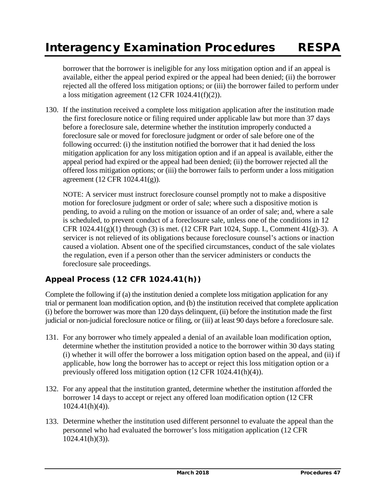# Interagency Examination Procedures RESPA

borrower that the borrower is ineligible for any loss mitigation option and if an appeal is available, either the appeal period expired or the appeal had been denied; (ii) the borrower rejected all the offered loss mitigation options; or (iii) the borrower failed to perform under a loss mitigation agreement  $(12 \text{ CFR } 1024.41(f)(2)).$ 

130. If the institution received a complete loss mitigation application after the institution made the first foreclosure notice or filing required under applicable law but more than 37 days before a foreclosure sale, determine whether the institution improperly conducted a foreclosure sale or moved for foreclosure judgment or order of sale before one of the following occurred: (i) the institution notified the borrower that it had denied the loss mitigation application for any loss mitigation option and if an appeal is available, either the appeal period had expired or the appeal had been denied; (ii) the borrower rejected all the offered loss mitigation options; or (iii) the borrower fails to perform under a loss mitigation agreement (12 CFR 1024.41(g)).

NOTE: A servicer must instruct foreclosure counsel promptly not to make a dispositive motion for foreclosure judgment or order of sale; where such a dispositive motion is pending, to avoid a ruling on the motion or issuance of an order of sale; and, where a sale is scheduled, to prevent conduct of a foreclosure sale, unless one of the conditions in 12 CFR  $1024.41(g)(1)$  through (3) is met. (12 CFR Part 1024, Supp. I., Comment  $41(g)-3$ ). A servicer is not relieved of its obligations because foreclosure counsel's actions or inaction caused a violation. Absent one of the specified circumstances, conduct of the sale violates the regulation, even if a person other than the servicer administers or conducts the foreclosure sale proceedings.

# **Appeal Process (12 CFR 1024.41(h))**

Complete the following if (a) the institution denied a complete loss mitigation application for any trial or permanent loan modification option, and (b) the institution received that complete application (i) before the borrower was more than 120 days delinquent, (ii) before the institution made the first judicial or non-judicial foreclosure notice or filing, or (iii) at least 90 days before a foreclosure sale.

- 131. For any borrower who timely appealed a denial of an available loan modification option, determine whether the institution provided a notice to the borrower within 30 days stating (i) whether it will offer the borrower a loss mitigation option based on the appeal, and (ii) if applicable, how long the borrower has to accept or reject this loss mitigation option or a previously offered loss mitigation option (12 CFR 1024.41(h)(4)).
- 132. For any appeal that the institution granted, determine whether the institution afforded the borrower 14 days to accept or reject any offered loan modification option (12 CFR  $1024.41(h)(4)$ .
- 133. Determine whether the institution used different personnel to evaluate the appeal than the personnel who had evaluated the borrower's loss mitigation application (12 CFR 1024.41(h)(3)).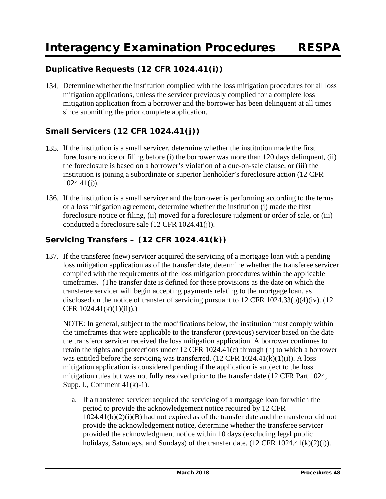# **Duplicative Requests (12 CFR 1024.41(i))**

134. Determine whether the institution complied with the loss mitigation procedures for all loss mitigation applications, unless the servicer previously complied for a complete loss mitigation application from a borrower and the borrower has been delinquent at all times since submitting the prior complete application.

# **Small Servicers (12 CFR 1024.41(j))**

- 135. If the institution is a small servicer, determine whether the institution made the first foreclosure notice or filing before (i) the borrower was more than 120 days delinquent, (ii) the foreclosure is based on a borrower's violation of a due-on-sale clause, or (iii) the institution is joining a subordinate or superior lienholder's foreclosure action (12 CFR  $1024.41(j)$ ).
- 136. If the institution is a small servicer and the borrower is performing according to the terms of a loss mitigation agreement, determine whether the institution (i) made the first foreclosure notice or filing, (ii) moved for a foreclosure judgment or order of sale, or (iii) conducted a foreclosure sale (12 CFR 1024.41(j)).

## **Servicing Transfers – (12 CFR 1024.41(k))**

137. If the transferee (new) servicer acquired the servicing of a mortgage loan with a pending loss mitigation application as of the transfer date, determine whether the transferee servicer complied with the requirements of the loss mitigation procedures within the applicable timeframes. (The transfer date is defined for these provisions as the date on which the transferee servicer will begin accepting payments relating to the mortgage loan, as disclosed on the notice of transfer of servicing pursuant to 12 CFR 1024.33(b)(4)(iv). (12 CFR 1024.41(k)(1)(ii)).)

NOTE: In general, subject to the modifications below, the institution must comply within the timeframes that were applicable to the transferor (previous) servicer based on the date the transferor servicer received the loss mitigation application. A borrower continues to retain the rights and protections under 12 CFR 1024.41(c) through (h) to which a borrower was entitled before the servicing was transferred.  $(12 \text{ CFR } 1024.41(k)(1)(i))$ . A loss mitigation application is considered pending if the application is subject to the loss mitigation rules but was not fully resolved prior to the transfer date (12 CFR Part 1024, Supp. I., Comment 41(k)-1).

a. If a transferee servicer acquired the servicing of a mortgage loan for which the period to provide the acknowledgement notice required by 12 CFR 1024.41(b)(2)(i)(B) had not expired as of the transfer date and the transferor did not provide the acknowledgement notice, determine whether the transferee servicer provided the acknowledgment notice within 10 days (excluding legal public holidays, Saturdays, and Sundays) of the transfer date.  $(12 \text{ CFR } 1024.41(k)(2)(i)).$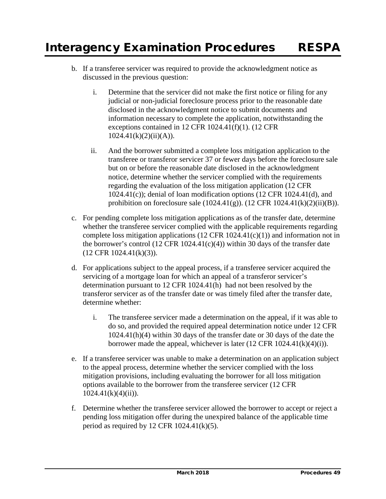- b. If a transferee servicer was required to provide the acknowledgment notice as discussed in the previous question:
	- i. Determine that the servicer did not make the first notice or filing for any judicial or non-judicial foreclosure process prior to the reasonable date disclosed in the acknowledgment notice to submit documents and information necessary to complete the application, notwithstanding the exceptions contained in 12 CFR 1024.41(f)(1). (12 CFR  $1024.41(k)(2)(ii)(A)$ .
	- ii. And the borrower submitted a complete loss mitigation application to the transferee or transferor servicer 37 or fewer days before the foreclosure sale but on or before the reasonable date disclosed in the acknowledgment notice, determine whether the servicer complied with the requirements regarding the evaluation of the loss mitigation application (12 CFR 1024.41(c)); denial of loan modification options (12 CFR 1024.41(d), and prohibition on foreclosure sale  $(1024.41(g))$ .  $(12 \text{ CFR } 1024.41(k)(2)(ii)(B))$ .
- c. For pending complete loss mitigation applications as of the transfer date, determine whether the transferee servicer complied with the applicable requirements regarding complete loss mitigation applications  $(12 \text{ CFR } 1024.41(c)(1))$  and information not in the borrower's control (12 CFR 1024.41 $(c)(4)$ ) within 30 days of the transfer date (12 CFR 1024.41(k)(3)).
- d. For applications subject to the appeal process, if a transferee servicer acquired the servicing of a mortgage loan for which an appeal of a transferor servicer's determination pursuant to 12 CFR 1024.41(h) had not been resolved by the transferor servicer as of the transfer date or was timely filed after the transfer date, determine whether:
	- i. The transferee servicer made a determination on the appeal, if it was able to do so, and provided the required appeal determination notice under 12 CFR 1024.41(h)(4) within 30 days of the transfer date or 30 days of the date the borrower made the appeal, whichever is later  $(12 \text{ CFR } 1024.41(k)(4)(i)).$
- e. If a transferee servicer was unable to make a determination on an application subject to the appeal process, determine whether the servicer complied with the loss mitigation provisions, including evaluating the borrower for all loss mitigation options available to the borrower from the transferee servicer (12 CFR  $1024.41(k)(4)(ii)$ ).
- f. Determine whether the transferee servicer allowed the borrower to accept or reject a pending loss mitigation offer during the unexpired balance of the applicable time period as required by 12 CFR  $1024.41(k)(5)$ .